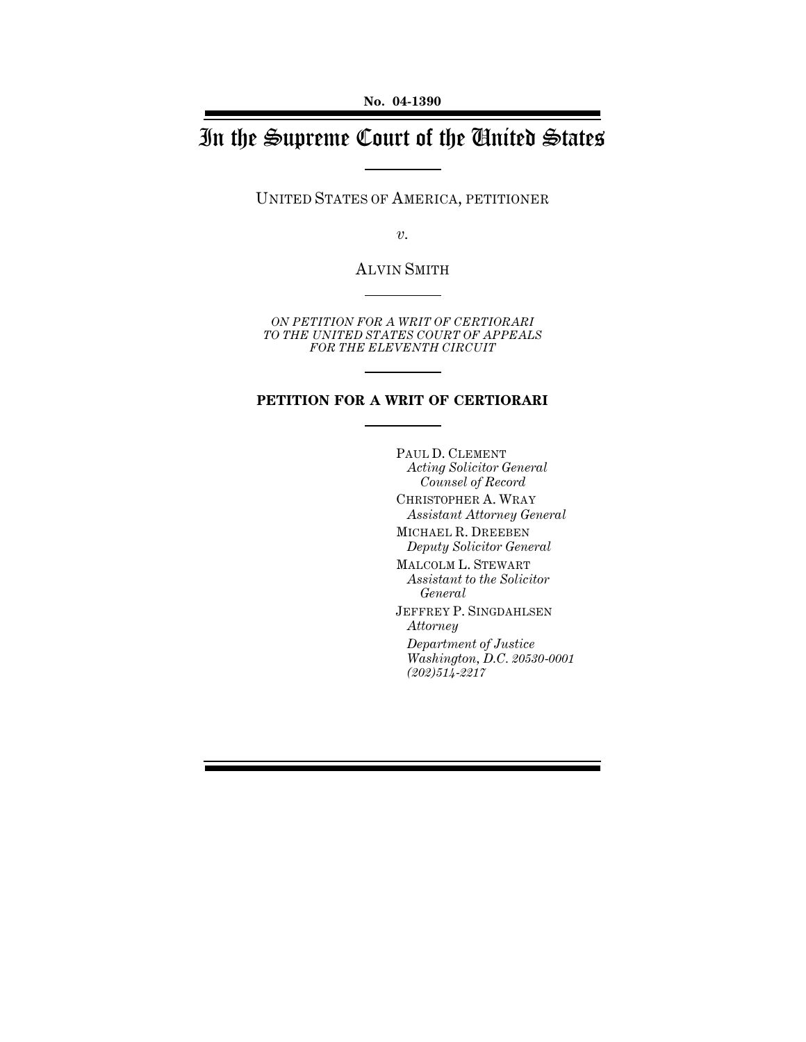# In the Supreme Court of the United States

UNITED STATES OF AMERICA, PETITIONER

*v.*

ALVIN SMITH

*ON PETITION FOR A WRIT OF CERTIORARI TO THE UNITED STATES COURT OF APPEALS FOR THE ELEVENTH CIRCUIT*

## **PETITION FOR A WRIT OF CERTIORARI**

PAUL D. CLEMENT *Acting Solicitor General Counsel of Record* CHRISTOPHER A. WRAY *Assistant Attorney General* MICHAEL R. DREEBEN *Deputy Solicitor General* MALCOLM L. STEWART *Assistant to the Solicitor General* JEFFREY P. SINGDAHLSEN *Attorney Department of Justice Washington, D.C. 20530-0001 (202)514-2217*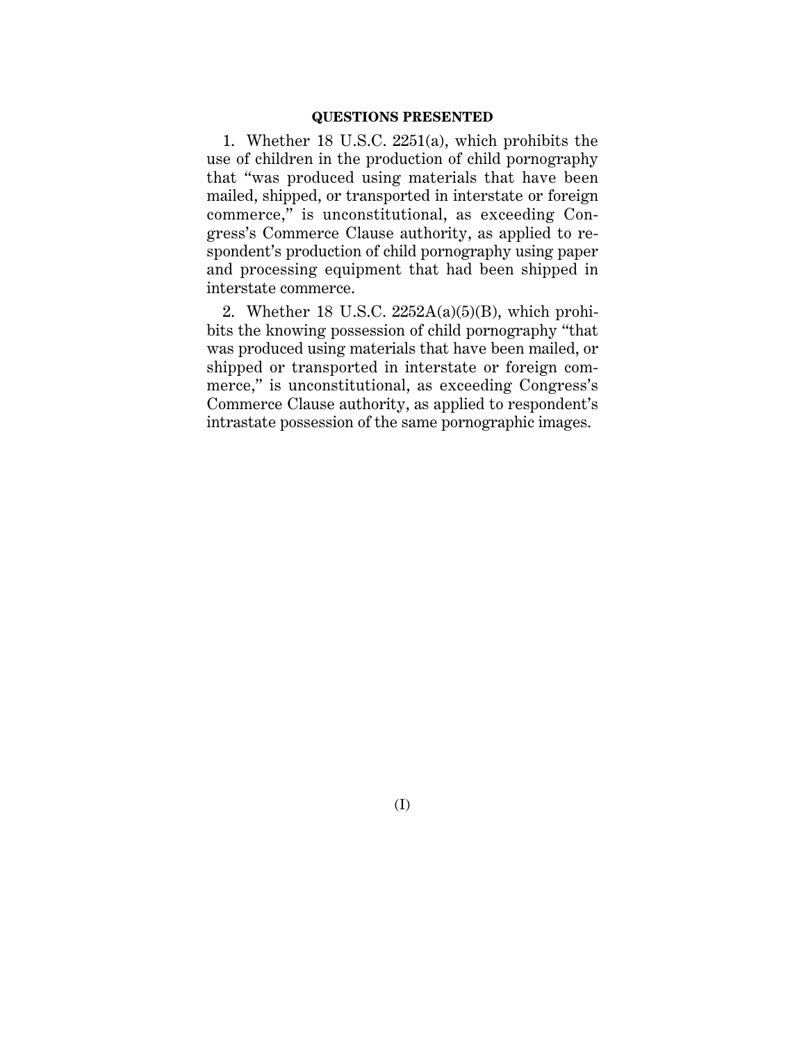#### **QUESTIONS PRESENTED**

1. Whether 18 U.S.C. 2251(a), which prohibits the use of children in the production of child pornography that "was produced using materials that have been mailed, shipped, or transported in interstate or foreign commerce," is unconstitutional, as exceeding Congress's Commerce Clause authority, as applied to respondent's production of child pornography using paper and processing equipment that had been shipped in interstate commerce.

2. Whether 18 U.S.C.  $2252A(a)(5)(B)$ , which prohibits the knowing possession of child pornography "that was produced using materials that have been mailed, or shipped or transported in interstate or foreign commerce," is unconstitutional, as exceeding Congress's Commerce Clause authority, as applied to respondent's intrastate possession of the same pornographic images.

(I)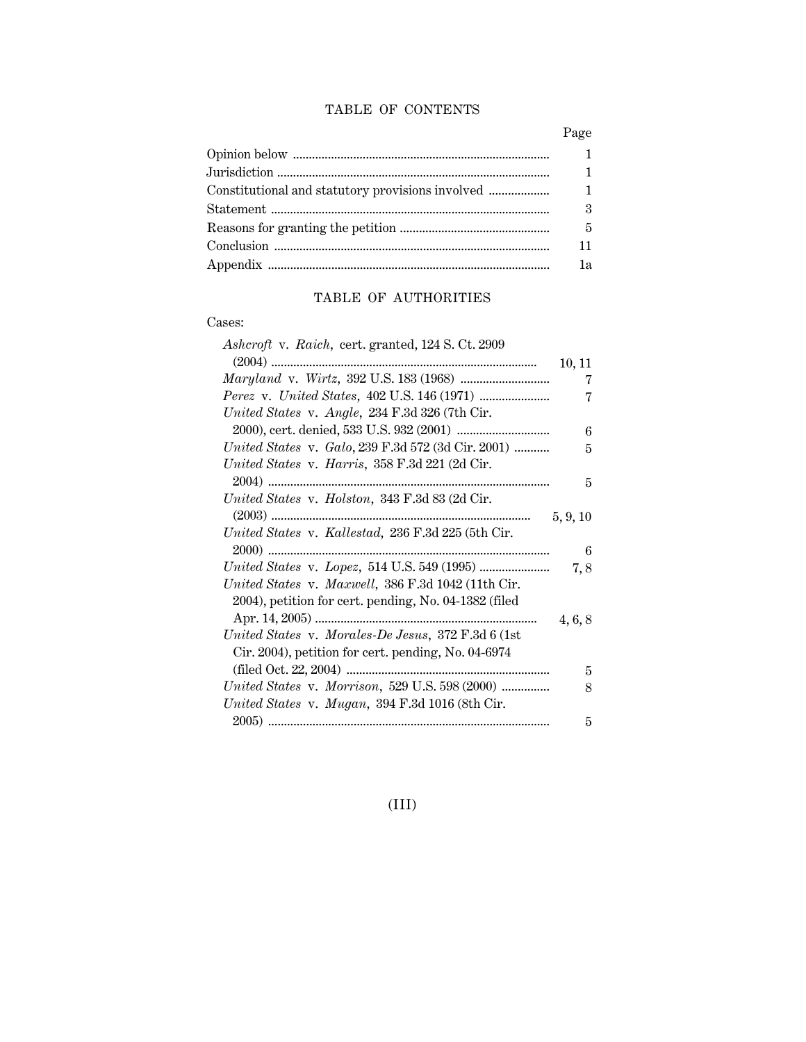## TABLE OF CONTENTS

| $\mathbf{1}$               |
|----------------------------|
| $\mathbf{1}$               |
| $\mathbf{1}$               |
| $\boldsymbol{\mathcal{S}}$ |
| 5                          |
| 11                         |
| 1a                         |
|                            |

## TABLE OF AUTHORITIES

## Cases:

| Ashcroft v. Raich, cert. granted, 124 S. Ct. 2909     |          |
|-------------------------------------------------------|----------|
|                                                       | 10, 11   |
|                                                       | 7        |
|                                                       | 7        |
| United States v. Angle, 234 F.3d 326 (7th Cir.        |          |
|                                                       | 6        |
| United States v. Galo, 239 F.3d 572 (3d Cir. 2001)    | 5        |
| United States v. Harris, 358 F.3d 221 (2d Cir.        |          |
|                                                       | 5        |
| United States v. Holston, 343 F.3d 83 (2d Cir.        |          |
|                                                       | 5, 9, 10 |
| United States v. Kallestad, 236 F.3d 225 (5th Cir.    |          |
|                                                       | 6        |
|                                                       | 7,8      |
| United States v. Maxwell, 386 F.3d 1042 (11th Cir.    |          |
| 2004), petition for cert. pending, No. 04-1382 (filed |          |
|                                                       | 4, 6, 8  |
| United States v. Morales-De Jesus, 372 F.3d 6 (1st)   |          |
| Cir. 2004), petition for cert. pending, No. 04-6974   |          |
|                                                       | 5        |
| United States v. Morrison, 529 U.S. 598 (2000)        | 8        |
| United States v. Mugan, 394 F.3d 1016 (8th Cir.       |          |
|                                                       | 5        |

(III)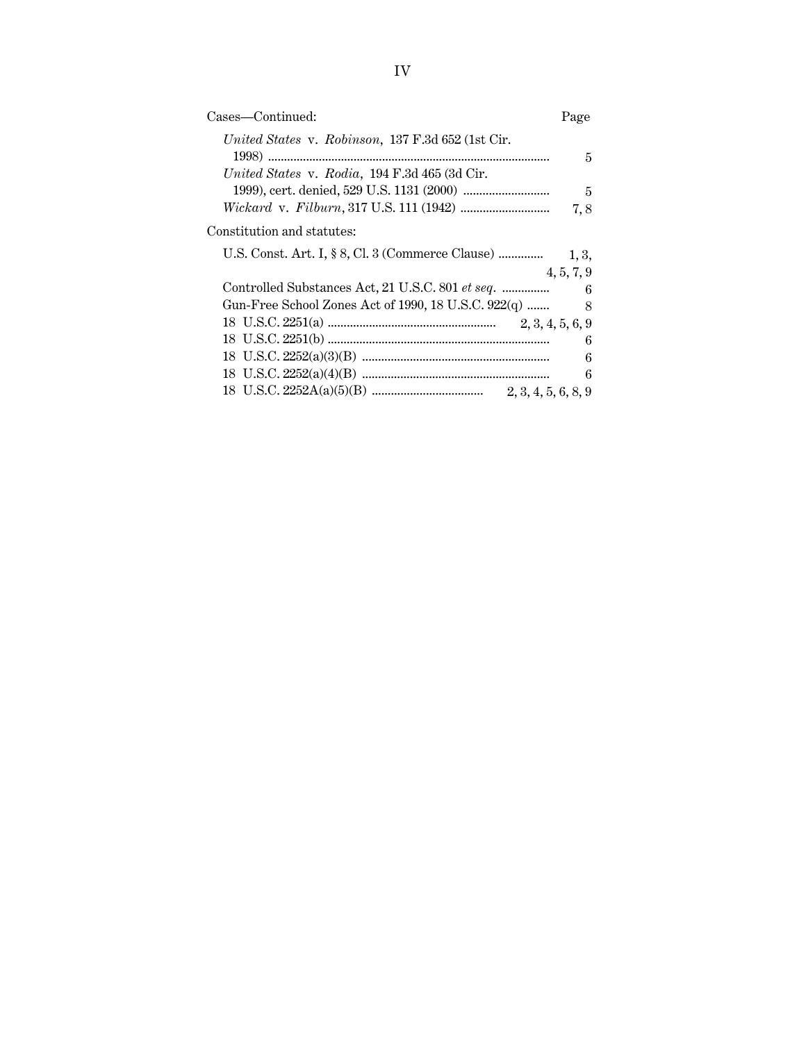| Cases—Continued:                                    | Page             |
|-----------------------------------------------------|------------------|
| United States v. Robinson, 137 F.3d 652 (1st Cir.   | 5                |
| United States v. Rodia, 194 F.3d 465 (3d Cir.       |                  |
|                                                     | $\overline{5}$   |
|                                                     | 7,8              |
| Constitution and statutes:                          |                  |
| U.S. Const. Art. I, § 8, Cl. 3 (Commerce Clause)    | 1, 3,            |
|                                                     | 4, 5, 7, 9       |
| Controlled Substances Act, 21 U.S.C. 801 et seq.    | $\overline{6}$   |
| Gun-Free School Zones Act of 1990, 18 U.S.C. 922(q) |                  |
|                                                     |                  |
|                                                     |                  |
|                                                     | $\boldsymbol{6}$ |
|                                                     | $6\phantom{.}6$  |
|                                                     |                  |
|                                                     |                  |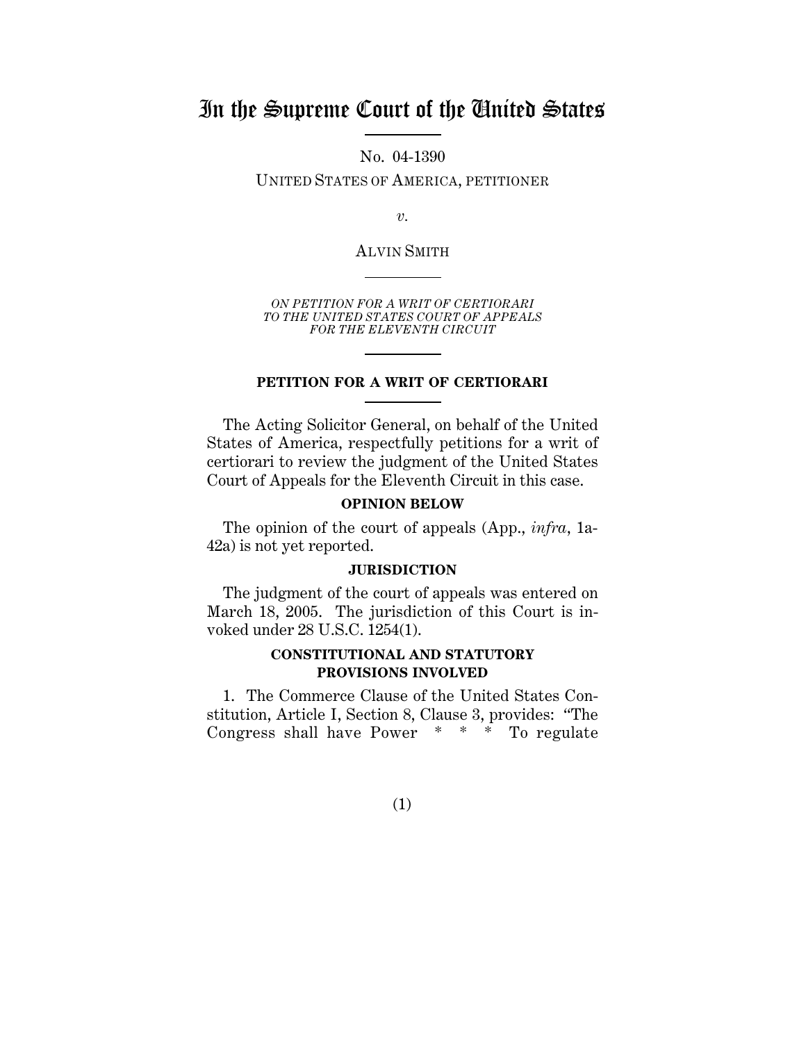## In the Supreme Court of the United States

No. 04-1390

UNITED STATES OF AMERICA, PETITIONER

*v.*

ALVIN SMITH

*ON PETITION FOR A WRIT OF CERTIORARI TO THE UNITED STATES COURT OF APPEALS FOR THE ELEVENTH CIRCUIT*

## **PETITION FOR A WRIT OF CERTIORARI**

The Acting Solicitor General, on behalf of the United States of America, respectfully petitions for a writ of certiorari to review the judgment of the United States Court of Appeals for the Eleventh Circuit in this case.

## **OPINION BELOW**

The opinion of the court of appeals (App., *infra*, 1a-42a) is not yet reported.

#### **JURISDICTION**

The judgment of the court of appeals was entered on March 18, 2005. The jurisdiction of this Court is invoked under 28 U.S.C. 1254(1).

## **CONSTITUTIONAL AND STATUTORY PROVISIONS INVOLVED**

1. The Commerce Clause of the United States Constitution, Article I, Section 8, Clause 3, provides: "The Congress shall have Power \* \* \* To regulate

(1)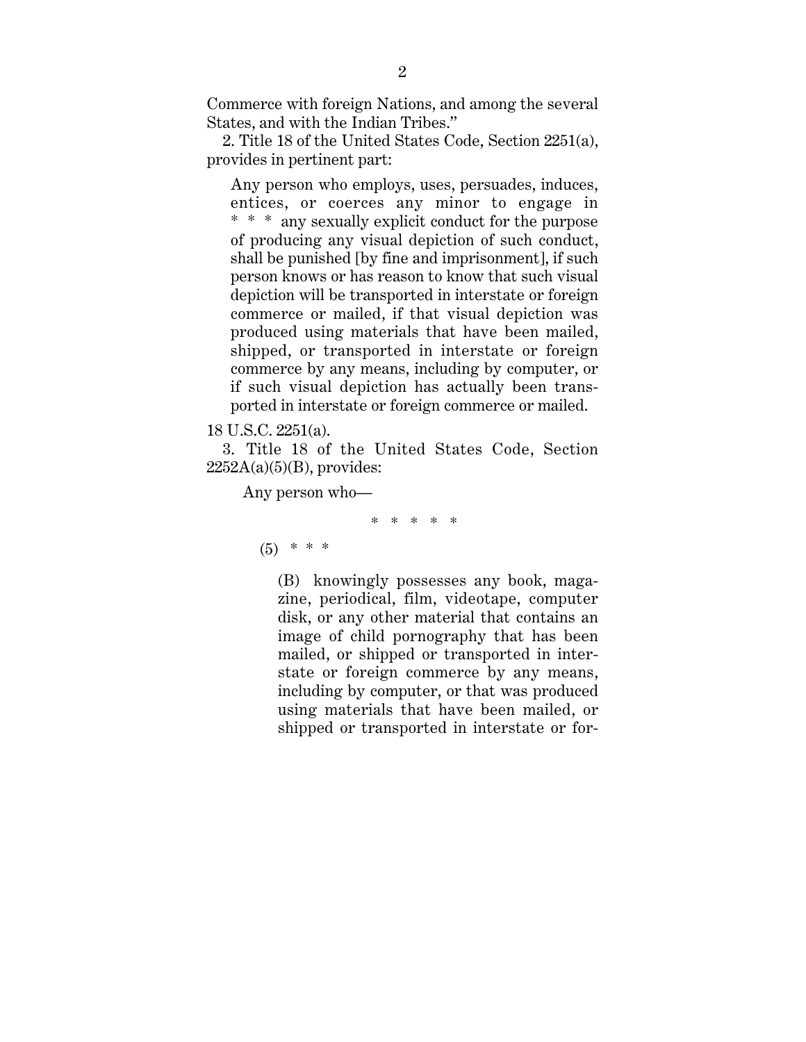Commerce with foreign Nations, and among the several States, and with the Indian Tribes."

2. Title 18 of the United States Code, Section 2251(a), provides in pertinent part:

Any person who employs, uses, persuades, induces, entices, or coerces any minor to engage in \* \* \* any sexually explicit conduct for the purpose of producing any visual depiction of such conduct, shall be punished [by fine and imprisonment], if such person knows or has reason to know that such visual depiction will be transported in interstate or foreign commerce or mailed, if that visual depiction was produced using materials that have been mailed, shipped, or transported in interstate or foreign commerce by any means, including by computer, or if such visual depiction has actually been transported in interstate or foreign commerce or mailed.

## 18 U.S.C. 2251(a).

3. Title 18 of the United States Code, Section  $2252A(a)(5)(B)$ , provides:

Any person who—

\* \* \* \* \*

 $(5)$  \* \* \*

(B) knowingly possesses any book, magazine, periodical, film, videotape, computer disk, or any other material that contains an image of child pornography that has been mailed, or shipped or transported in interstate or foreign commerce by any means, including by computer, or that was produced using materials that have been mailed, or shipped or transported in interstate or for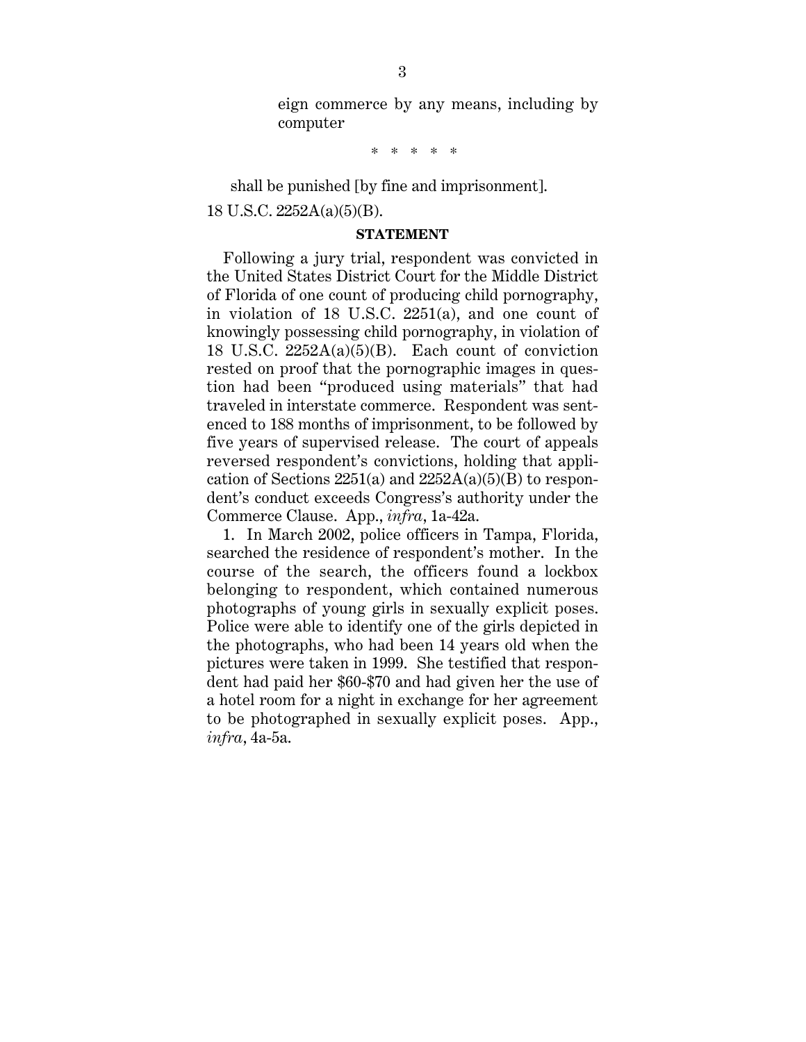eign commerce by any means, including by computer

\* \* \* \* \*

shall be punished [by fine and imprisonment]. 18 U.S.C. 2252A(a)(5)(B).

#### **STATEMENT**

Following a jury trial, respondent was convicted in the United States District Court for the Middle District of Florida of one count of producing child pornography, in violation of 18 U.S.C. 2251(a), and one count of knowingly possessing child pornography, in violation of 18 U.S.C.  $2252A(a)(5)(B)$ . Each count of conviction rested on proof that the pornographic images in question had been "produced using materials" that had traveled in interstate commerce. Respondent was sentenced to 188 months of imprisonment, to be followed by five years of supervised release. The court of appeals reversed respondent's convictions, holding that application of Sections  $2251(a)$  and  $2252A(a)(5)(B)$  to respondent's conduct exceeds Congress's authority under the Commerce Clause. App., *infra*, 1a-42a.

1. In March 2002, police officers in Tampa, Florida, searched the residence of respondent's mother. In the course of the search, the officers found a lockbox belonging to respondent, which contained numerous photographs of young girls in sexually explicit poses. Police were able to identify one of the girls depicted in the photographs, who had been 14 years old when the pictures were taken in 1999. She testified that respondent had paid her \$60-\$70 and had given her the use of a hotel room for a night in exchange for her agreement to be photographed in sexually explicit poses. App., *infra*, 4a-5a.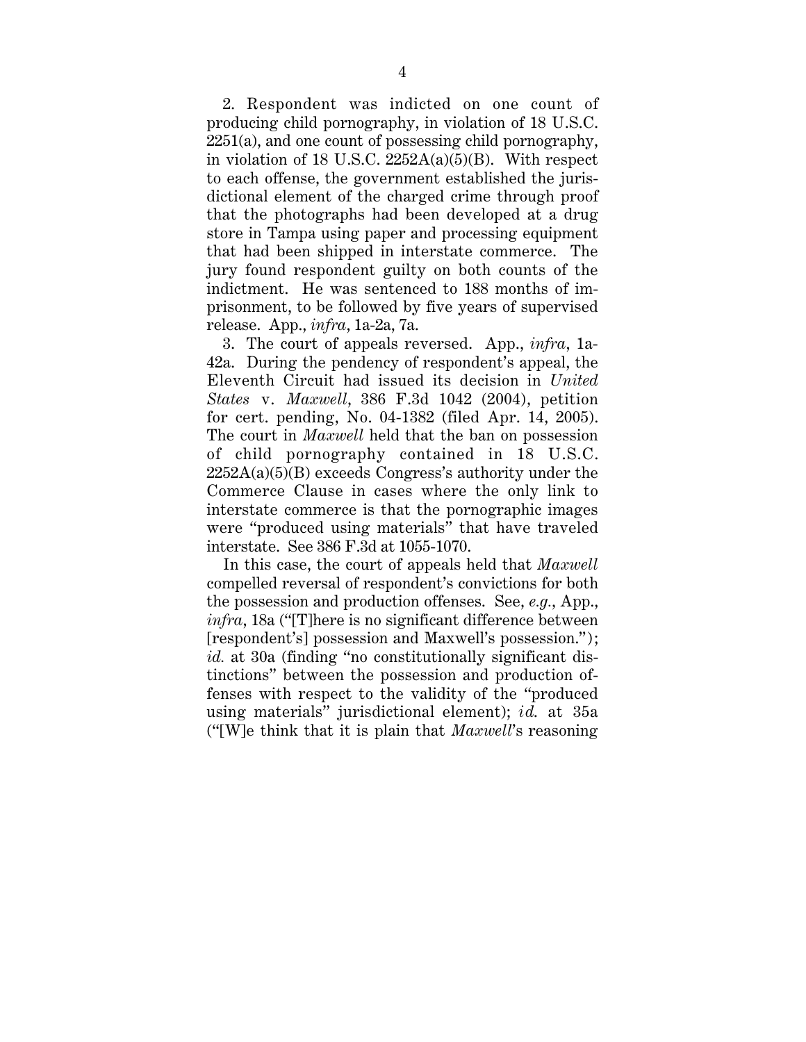2. Respondent was indicted on one count of producing child pornography, in violation of 18 U.S.C.  $2251(a)$ , and one count of possessing child pornography, in violation of 18 U.S.C.  $2252A(a)(5)(B)$ . With respect to each offense, the government established the jurisdictional element of the charged crime through proof that the photographs had been developed at a drug store in Tampa using paper and processing equipment that had been shipped in interstate commerce. The jury found respondent guilty on both counts of the indictment. He was sentenced to 188 months of imprisonment, to be followed by five years of supervised release. App., *infra*, 1a-2a, 7a.

3. The court of appeals reversed. App., *infra*, 1a-42a. During the pendency of respondent's appeal, the Eleventh Circuit had issued its decision in *United States* v. *Maxwell*, 386 F.3d 1042 (2004), petition for cert. pending, No. 04-1382 (filed Apr. 14, 2005). The court in *Maxwell* held that the ban on possession of child pornography contained in 18 U.S.C.  $2252A(a)(5)(B)$  exceeds Congress's authority under the Commerce Clause in cases where the only link to interstate commerce is that the pornographic images were "produced using materials" that have traveled interstate. See 386 F.3d at 1055-1070.

In this case, the court of appeals held that *Maxwell* compelled reversal of respondent's convictions for both the possession and production offenses. See, *e.g.*, App., *infra*, 18a ("[T]here is no significant difference between [respondent's] possession and Maxwell's possession."); *id.* at 30a (finding "no constitutionally significant distinctions" between the possession and production offenses with respect to the validity of the "produced using materials" jurisdictional element); *id*. at 35a ("[W]e think that it is plain that *Maxwell*'s reasoning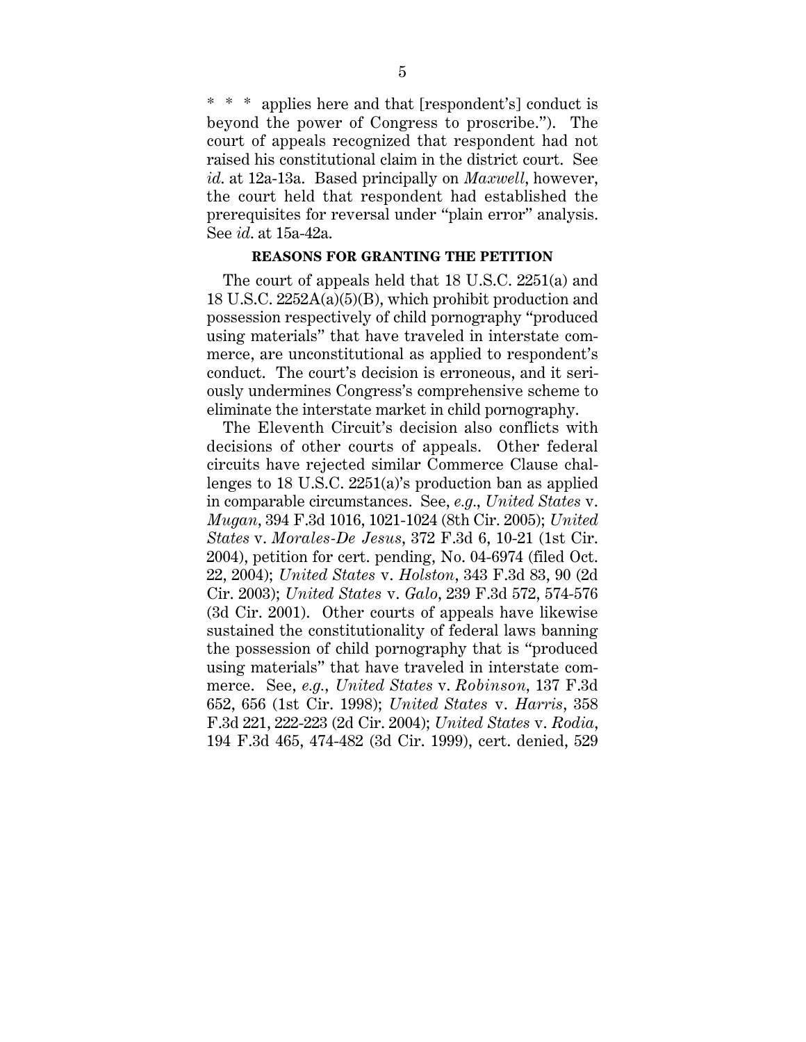\* applies here and that [respondent's] conduct is beyond the power of Congress to proscribe."). The court of appeals recognized that respondent had not raised his constitutional claim in the district court. See *id*. at 12a-13a. Based principally on *Maxwell*, however, the court held that respondent had established the prerequisites for reversal under "plain error" analysis. See *id*. at 15a-42a.

#### **REASONS FOR GRANTING THE PETITION**

The court of appeals held that 18 U.S.C. 2251(a) and 18 U.S.C. 2252A(a)(5)(B), which prohibit production and possession respectively of child pornography "produced using materials" that have traveled in interstate commerce, are unconstitutional as applied to respondent's conduct. The court's decision is erroneous, and it seriously undermines Congress's comprehensive scheme to eliminate the interstate market in child pornography.

The Eleventh Circuit's decision also conflicts with decisions of other courts of appeals. Other federal circuits have rejected similar Commerce Clause challenges to 18 U.S.C. 2251(a)'s production ban as applied in comparable circumstances. See, *e.g.*, *United States* v. *Mugan*, 394 F.3d 1016, 1021-1024 (8th Cir. 2005); *United States* v. *Morales-De Jesus*, 372 F.3d 6, 10-21 (1st Cir. 2004), petition for cert. pending, No. 04-6974 (filed Oct. 22, 2004); *United States* v. *Holston*, 343 F.3d 83, 90 (2d Cir. 2003); *United States* v. *Galo*, 239 F.3d 572, 574-576 (3d Cir. 2001). Other courts of appeals have likewise sustained the constitutionality of federal laws banning the possession of child pornography that is "produced using materials" that have traveled in interstate commerce. See, *e.g.*, *United States* v. *Robinson*, 137 F.3d 652, 656 (1st Cir. 1998); *United States* v. *Harris*, 358 F.3d 221, 222-223 (2d Cir. 2004); *United States* v. *Rodia*, 194 F.3d 465, 474-482 (3d Cir. 1999), cert. denied, 529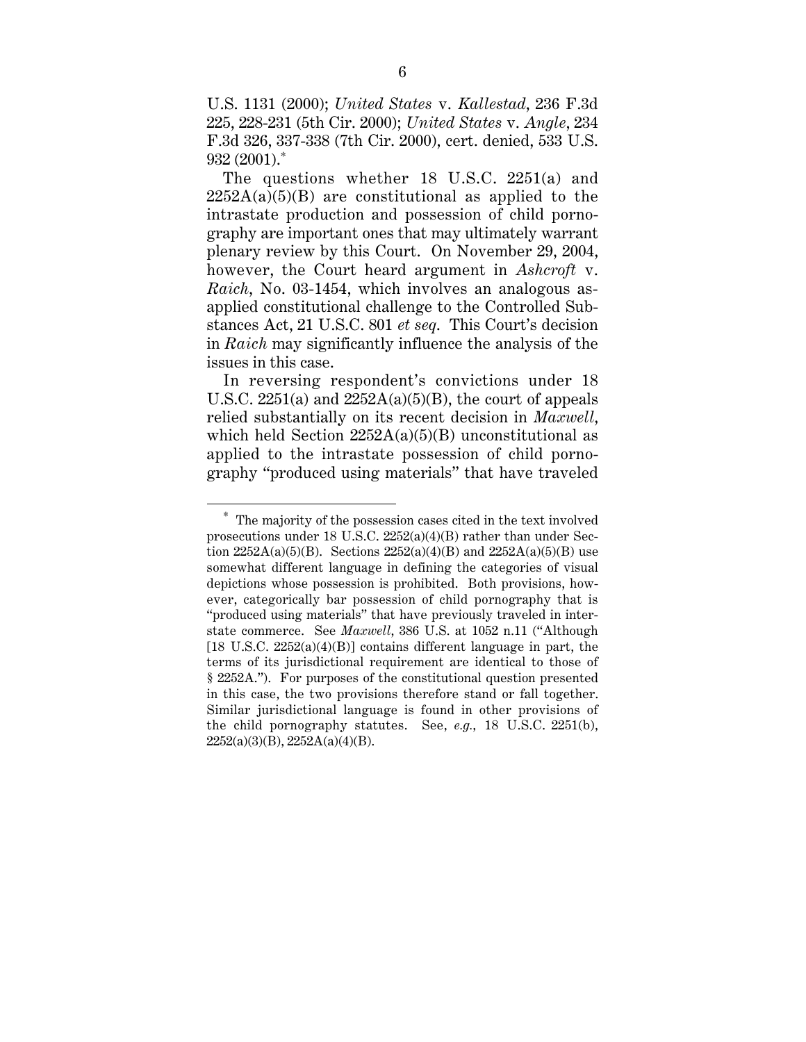U.S. 1131 (2000); *United States* v. *Kallestad*, 236 F.3d 225, 228-231 (5th Cir. 2000); *United States* v. *Angle*, 234 F.3d 326, 337-338 (7th Cir. 2000), cert. denied, 533 U.S. 932 (2001).\*

The questions whether 18 U.S.C. 2251(a) and  $2252A(a)(5)(B)$  are constitutional as applied to the intrastate production and possession of child pornography are important ones that may ultimately warrant plenary review by this Court. On November 29, 2004, however, the Court heard argument in *Ashcroft* v. *Raich*, No. 03-1454, which involves an analogous asapplied constitutional challenge to the Controlled Substances Act, 21 U.S.C. 801 *et seq*. This Court's decision in *Raich* may significantly influence the analysis of the issues in this case.

In reversing respondent's convictions under 18 U.S.C. 2251(a) and 2252A(a)(5)(B), the court of appeals relied substantially on its recent decision in *Maxwell*, which held Section  $2252A(a)(5)(B)$  unconstitutional as applied to the intrastate possession of child pornography "produced using materials" that have traveled

 $\overline{a}$ 

The majority of the possession cases cited in the text involved prosecutions under 18 U.S.C. 2252(a)(4)(B) rather than under Section  $2252A(a)(5)(B)$ . Sections  $2252(a)(4)(B)$  and  $2252A(a)(5)(B)$  use somewhat different language in defining the categories of visual depictions whose possession is prohibited. Both provisions, however, categorically bar possession of child pornography that is "produced using materials" that have previously traveled in interstate commerce. See *Maxwell*, 386 U.S. at 1052 n.11 ("Although  $[18 \text{ U.S.C. } 2252(a)(4)(B)]$  contains different language in part, the terms of its jurisdictional requirement are identical to those of § 2252A."). For purposes of the constitutional question presented in this case, the two provisions therefore stand or fall together. Similar jurisdictional language is found in other provisions of the child pornography statutes. See, *e.g.*, 18 U.S.C. 2251(b), 2252(a)(3)(B), 2252A(a)(4)(B).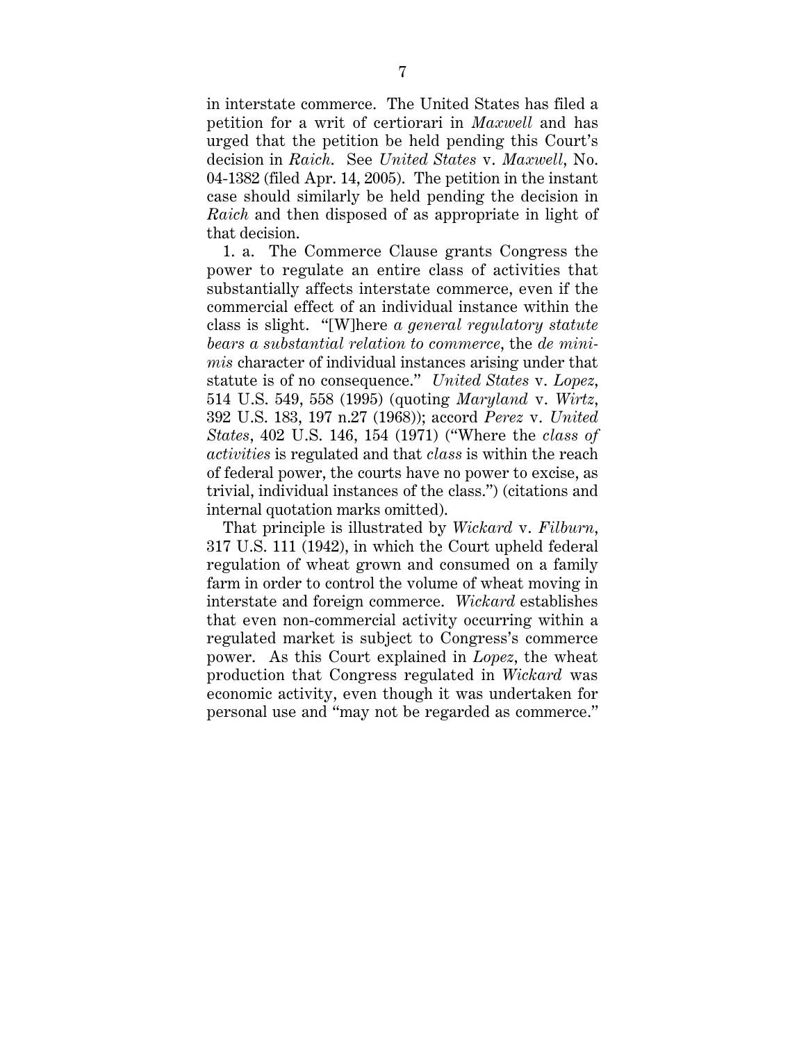in interstate commerce. The United States has filed a petition for a writ of certiorari in *Maxwell* and has urged that the petition be held pending this Court's decision in *Raich*. See *United States* v. *Maxwell*, No. 04-1382 (filed Apr. 14, 2005). The petition in the instant case should similarly be held pending the decision in *Raich* and then disposed of as appropriate in light of that decision.

1. a. The Commerce Clause grants Congress the power to regulate an entire class of activities that substantially affects interstate commerce, even if the commercial effect of an individual instance within the class is slight. "[W]here *a general regulatory statute bears a substantial relation to commerce*, the *de minimis* character of individual instances arising under that statute is of no consequence." *United States* v. *Lopez*, 514 U.S. 549, 558 (1995) (quoting *Maryland* v. *Wirtz*, 392 U.S. 183, 197 n.27 (1968)); accord *Perez* v. *United States*, 402 U.S. 146, 154 (1971) ("Where the *class of activities* is regulated and that *class* is within the reach of federal power, the courts have no power to excise, as trivial, individual instances of the class.") (citations and internal quotation marks omitted).

That principle is illustrated by *Wickard* v. *Filburn*, 317 U.S. 111 (1942), in which the Court upheld federal regulation of wheat grown and consumed on a family farm in order to control the volume of wheat moving in interstate and foreign commerce. *Wickard* establishes that even non-commercial activity occurring within a regulated market is subject to Congress's commerce power. As this Court explained in *Lopez*, the wheat production that Congress regulated in *Wickard* was economic activity, even though it was undertaken for personal use and "may not be regarded as commerce."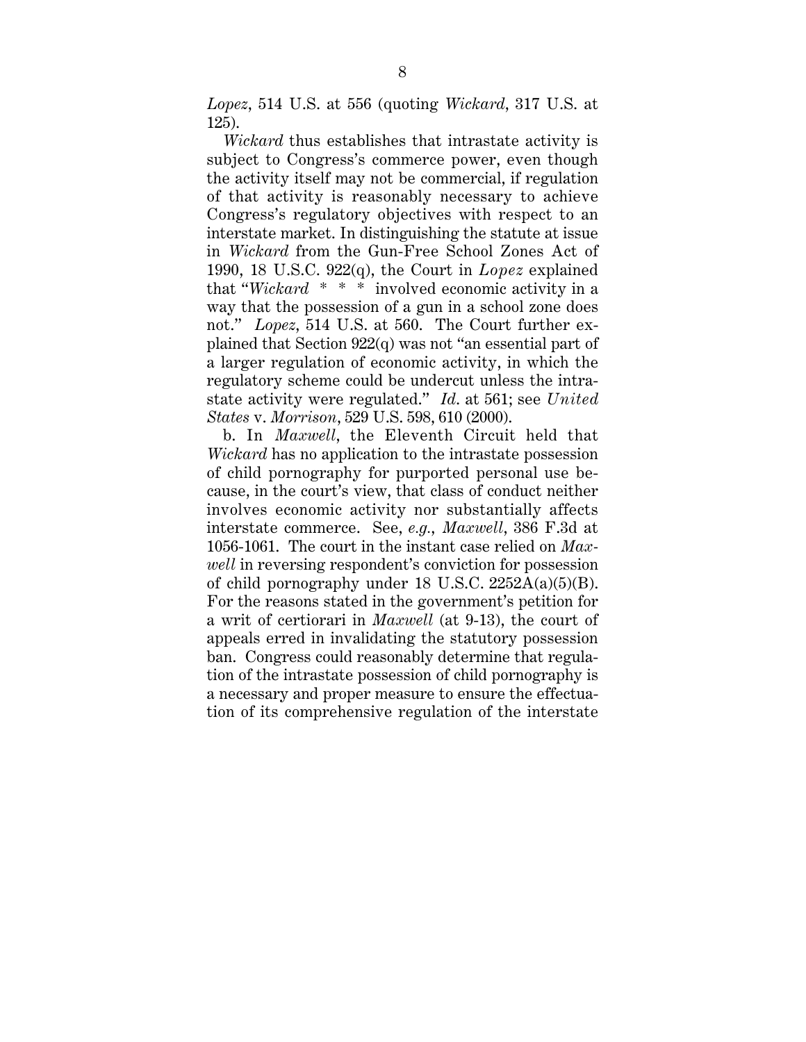*Lopez*, 514 U.S. at 556 (quoting *Wickard*, 317 U.S. at 125).

*Wickard* thus establishes that intrastate activity is subject to Congress's commerce power, even though the activity itself may not be commercial, if regulation of that activity is reasonably necessary to achieve Congress's regulatory objectives with respect to an interstate market. In distinguishing the statute at issue in *Wickard* from the Gun-Free School Zones Act of 1990, 18 U.S.C. 922(q), the Court in *Lopez* explained that "*Wickard* \* \* \* involved economic activity in a way that the possession of a gun in a school zone does not." *Lopez*, 514 U.S. at 560. The Court further explained that Section 922(q) was not "an essential part of a larger regulation of economic activity, in which the regulatory scheme could be undercut unless the intrastate activity were regulated." *Id*. at 561; see *United States* v. *Morrison*, 529 U.S. 598, 610 (2000).

b. In *Maxwell*, the Eleventh Circuit held that *Wickard* has no application to the intrastate possession of child pornography for purported personal use because, in the court's view, that class of conduct neither involves economic activity nor substantially affects interstate commerce. See, *e.g.*, *Maxwell*, 386 F.3d at 1056-1061. The court in the instant case relied on *Maxwell* in reversing respondent's conviction for possession of child pornography under 18 U.S.C.  $2252A(a)(5)(B)$ . For the reasons stated in the government's petition for a writ of certiorari in *Maxwell* (at 9-13), the court of appeals erred in invalidating the statutory possession ban. Congress could reasonably determine that regulation of the intrastate possession of child pornography is a necessary and proper measure to ensure the effectuation of its comprehensive regulation of the interstate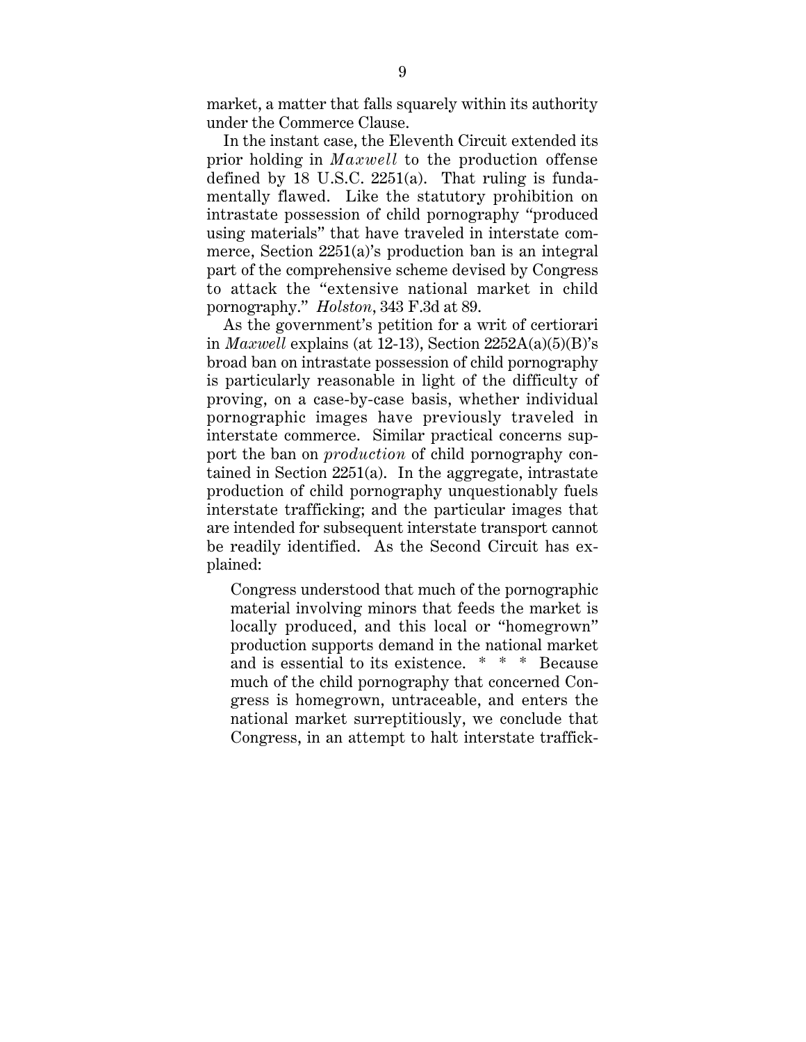market, a matter that falls squarely within its authority under the Commerce Clause.

In the instant case, the Eleventh Circuit extended its prior holding in *Maxwell* to the production offense defined by 18 U.S.C.  $2251(a)$ . That ruling is fundamentally flawed. Like the statutory prohibition on intrastate possession of child pornography "produced using materials" that have traveled in interstate commerce, Section 2251(a)'s production ban is an integral part of the comprehensive scheme devised by Congress to attack the "extensive national market in child pornography." *Holston*, 343 F.3d at 89.

As the government's petition for a writ of certiorari in *Maxwell* explains (at 12-13), Section 2252A(a)(5)(B)'s broad ban on intrastate possession of child pornography is particularly reasonable in light of the difficulty of proving, on a case-by-case basis, whether individual pornographic images have previously traveled in interstate commerce. Similar practical concerns support the ban on *production* of child pornography contained in Section 2251(a). In the aggregate, intrastate production of child pornography unquestionably fuels interstate trafficking; and the particular images that are intended for subsequent interstate transport cannot be readily identified. As the Second Circuit has explained:

Congress understood that much of the pornographic material involving minors that feeds the market is locally produced, and this local or "homegrown" production supports demand in the national market and is essential to its existence. \* \* \* Because much of the child pornography that concerned Congress is homegrown, untraceable, and enters the national market surreptitiously, we conclude that Congress, in an attempt to halt interstate traffick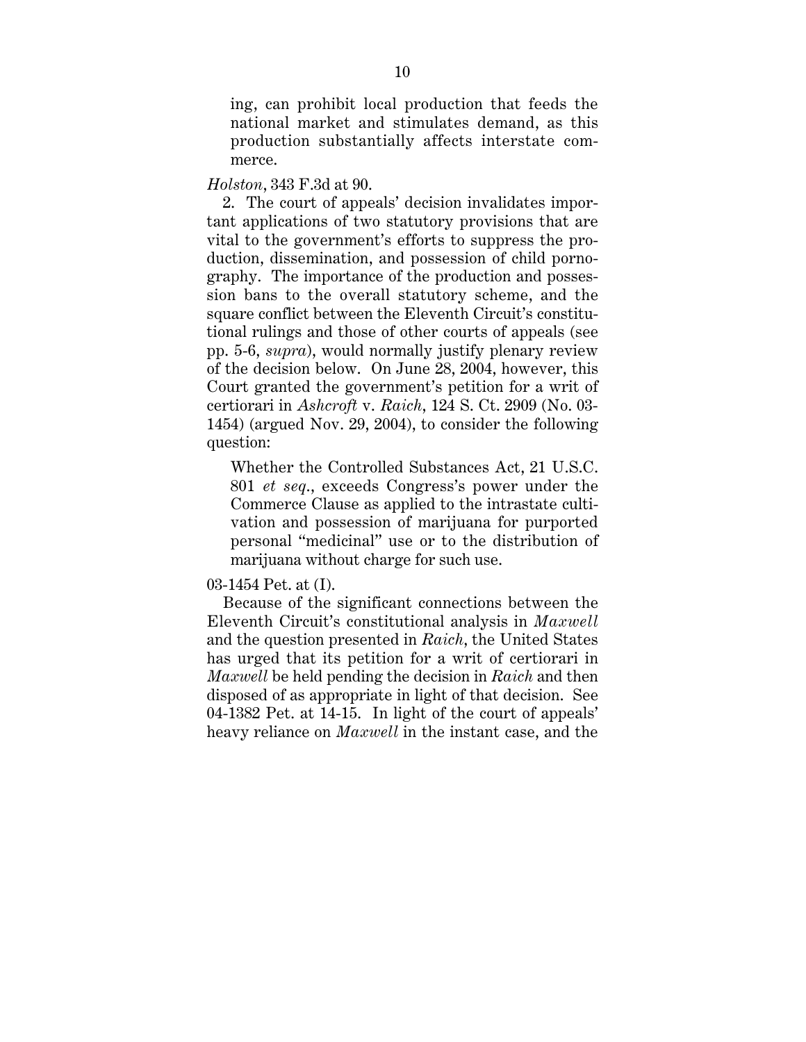ing, can prohibit local production that feeds the national market and stimulates demand, as this production substantially affects interstate commerce.

## *Holston*, 343 F.3d at 90.

2. The court of appeals' decision invalidates important applications of two statutory provisions that are vital to the government's efforts to suppress the production, dissemination, and possession of child pornography. The importance of the production and possession bans to the overall statutory scheme, and the square conflict between the Eleventh Circuit's constitutional rulings and those of other courts of appeals (see pp. 5-6, *supra*), would normally justify plenary review of the decision below. On June 28, 2004, however, this Court granted the government's petition for a writ of certiorari in *Ashcroft* v. *Raich*, 124 S. Ct. 2909 (No. 03- 1454) (argued Nov. 29, 2004), to consider the following question:

Whether the Controlled Substances Act, 21 U.S.C. 801 *et seq*., exceeds Congress's power under the Commerce Clause as applied to the intrastate cultivation and possession of marijuana for purported personal "medicinal" use or to the distribution of marijuana without charge for such use.

## 03-1454 Pet. at (I).

Because of the significant connections between the Eleventh Circuit's constitutional analysis in *Maxwell* and the question presented in *Raich*, the United States has urged that its petition for a writ of certiorari in *Maxwell* be held pending the decision in *Raich* and then disposed of as appropriate in light of that decision. See 04-1382 Pet. at 14-15. In light of the court of appeals' heavy reliance on *Maxwell* in the instant case, and the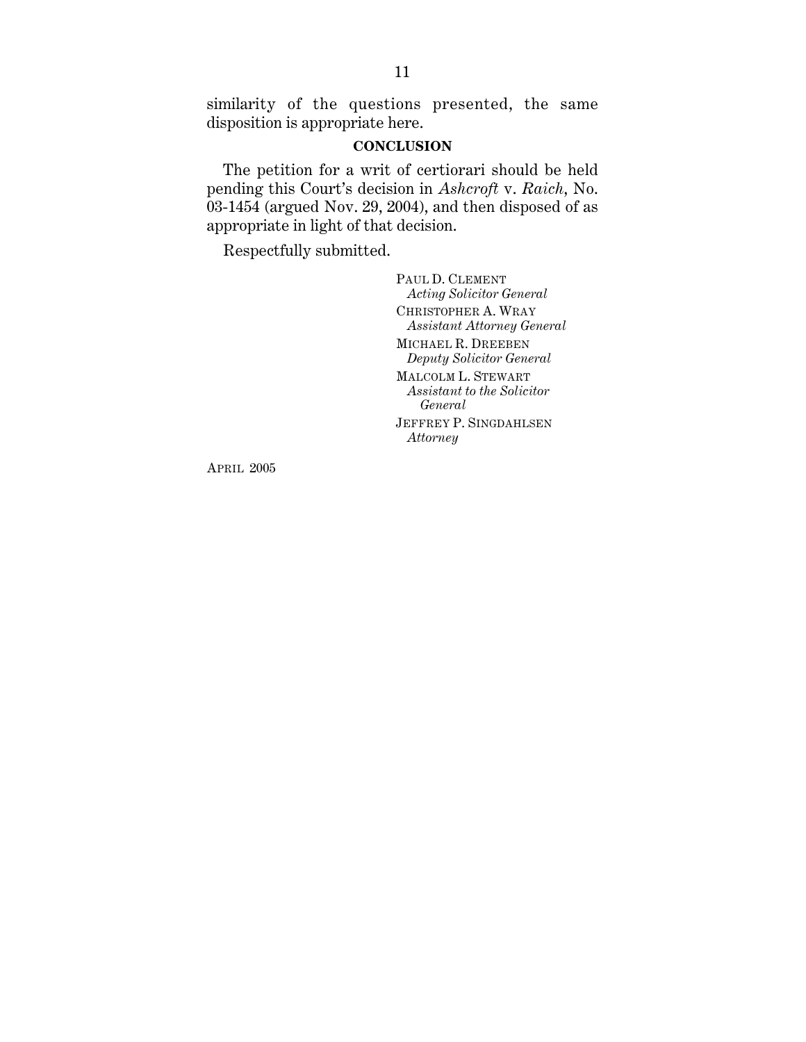similarity of the questions presented, the same disposition is appropriate here.

## **CONCLUSION**

The petition for a writ of certiorari should be held pending this Court's decision in *Ashcroft* v. *Raich*, No.  $03-1454$  (argued Nov. 29, 2004), and then disposed of as appropriate in light of that decision.

Respectfully submitted.

PAUL D. CLEMENT *Acting Solicitor General* CHRISTOPHER A. WRAY *Assistant Attorney General* MICHAEL R. DREEBEN *Deputy Solicitor General* MALCOLM L. STEWART *Assistant to the Solicitor General* JEFFREY P. SINGDAHLSEN *Attorney*

APRIL 2005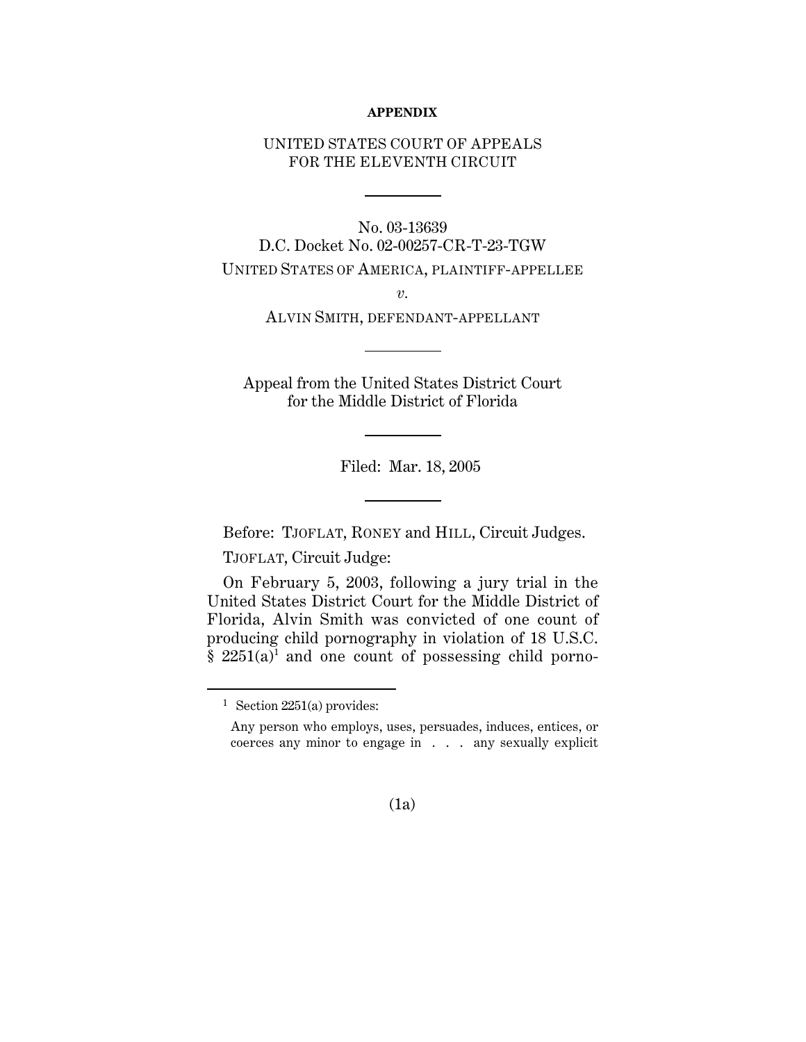#### **APPENDIX**

## UNITED STATES COURT OF APPEALS FOR THE ELEVENTH CIRCUIT

No. 03-13639 D.C. Docket No. 02-00257-CR-T-23-TGW UNITED STATES OF AMERICA, PLAINTIFF-APPELLEE

*v.*

ALVIN SMITH, DEFENDANT-APPELLANT

Appeal from the United States District Court for the Middle District of Florida

Filed: Mar. 18, 2005

Before: TJOFLAT, RONEY and HILL, Circuit Judges.

TJOFLAT, Circuit Judge:

On February 5, 2003, following a jury trial in the United States District Court for the Middle District of Florida, Alvin Smith was convicted of one count of producing child pornography in violation of 18 U.S.C.  $§$  2251(a)<sup>1</sup> and one count of possessing child porno-

(1a)

 <sup>1</sup> Section 2251(a) provides:

Any person who employs, uses, persuades, induces, entices, or coerces any minor to engage in . . . any sexually explicit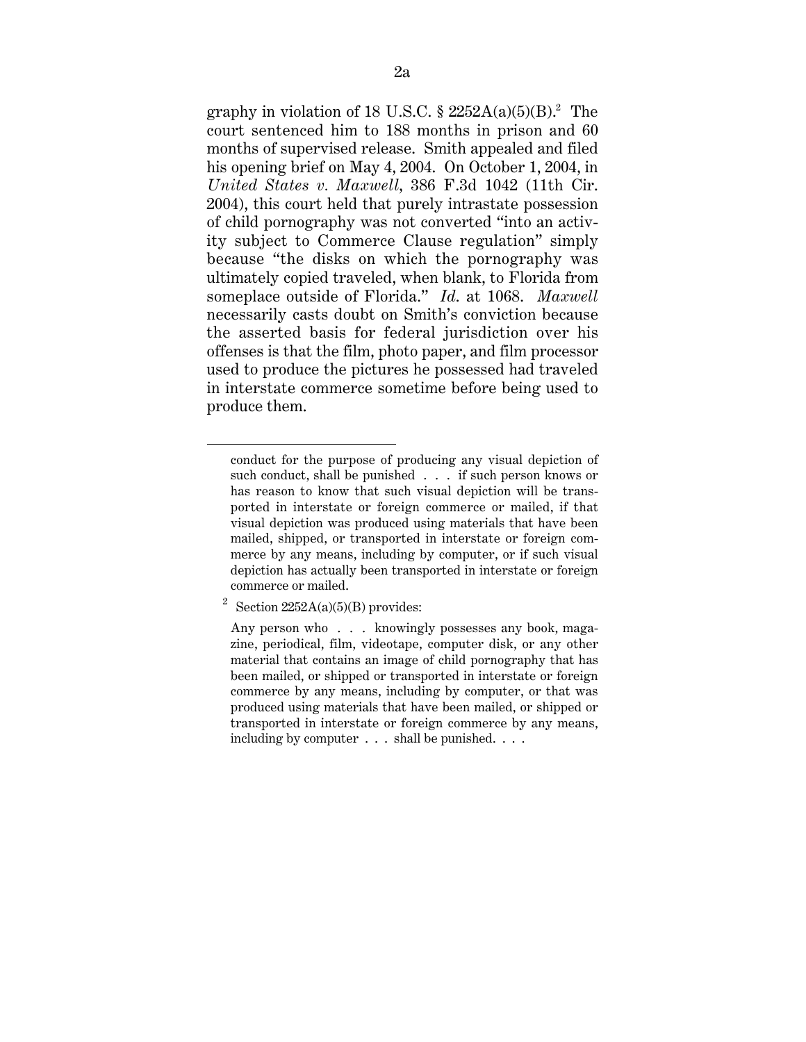graphy in violation of 18 U.S.C.  $\S$  2252A(a)(5)(B).<sup>2</sup> The court sentenced him to 188 months in prison and 60 months of supervised release. Smith appealed and filed his opening brief on May 4, 2004. On October 1, 2004, in *United States v. Maxwell*, 386 F.3d 1042 (11th Cir. 2004), this court held that purely intrastate possession of child pornography was not converted "into an activity subject to Commerce Clause regulation" simply because "the disks on which the pornography was ultimately copied traveled, when blank, to Florida from someplace outside of Florida." *Id*. at 1068. *Maxwell* necessarily casts doubt on Smith's conviction because the asserted basis for federal jurisdiction over his offenses is that the film, photo paper, and film processor used to produce the pictures he possessed had traveled in interstate commerce sometime before being used to produce them.

 $\overline{a}$ 

conduct for the purpose of producing any visual depiction of such conduct, shall be punished . . . if such person knows or has reason to know that such visual depiction will be transported in interstate or foreign commerce or mailed, if that visual depiction was produced using materials that have been mailed, shipped, or transported in interstate or foreign commerce by any means, including by computer, or if such visual depiction has actually been transported in interstate or foreign commerce or mailed.

<sup>&</sup>lt;sup>2</sup> Section  $2252A(a)(5)(B)$  provides:

Any person who . . . knowingly possesses any book, magazine, periodical, film, videotape, computer disk, or any other material that contains an image of child pornography that has been mailed, or shipped or transported in interstate or foreign commerce by any means, including by computer, or that was produced using materials that have been mailed, or shipped or transported in interstate or foreign commerce by any means, including by computer . . . shall be punished. . . .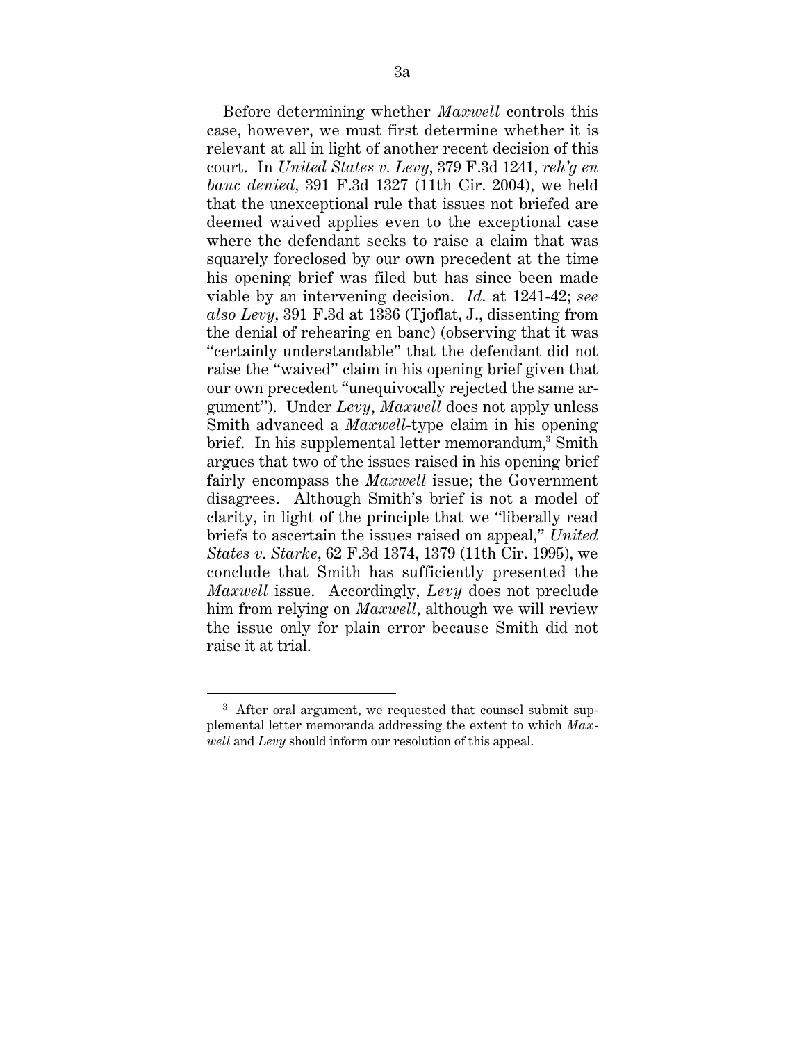Before determining whether *Maxwell* controls this case, however, we must first determine whether it is relevant at all in light of another recent decision of this court. In *United States v. Levy*, 379 F.3d 1241, *reh'g en banc denied,* 391 F.3d 1327 (11th Cir. 2004), we held that the unexceptional rule that issues not briefed are deemed waived applies even to the exceptional case where the defendant seeks to raise a claim that was squarely foreclosed by our own precedent at the time his opening brief was filed but has since been made viable by an intervening decision. *Id*. at 1241-42; *see also Levy*, 391 F.3d at 1336 (Tjoflat, J., dissenting from the denial of rehearing en banc) (observing that it was "certainly understandable" that the defendant did not raise the "waived" claim in his opening brief given that our own precedent "unequivocally rejected the same argument"). Under *Levy*, *Maxwell* does not apply unless Smith advanced a *Maxwell*-type claim in his opening brief. In his supplemental letter memorandum,<sup>3</sup> Smith argues that two of the issues raised in his opening brief fairly encompass the *Maxwell* issue; the Government disagrees. Although Smith's brief is not a model of clarity, in light of the principle that we "liberally read briefs to ascertain the issues raised on appeal," *United States v. Starke*, 62 F.3d 1374, 1379 (11th Cir. 1995), we conclude that Smith has sufficiently presented the *Maxwell* issue. Accordingly, *Levy* does not preclude him from relying on *Maxwell*, although we will review the issue only for plain error because Smith did not raise it at trial.

<sup>&</sup>lt;sup>3</sup> After oral argument, we requested that counsel submit supplemental letter memoranda addressing the extent to which *Maxwell* and *Levy* should inform our resolution of this appeal.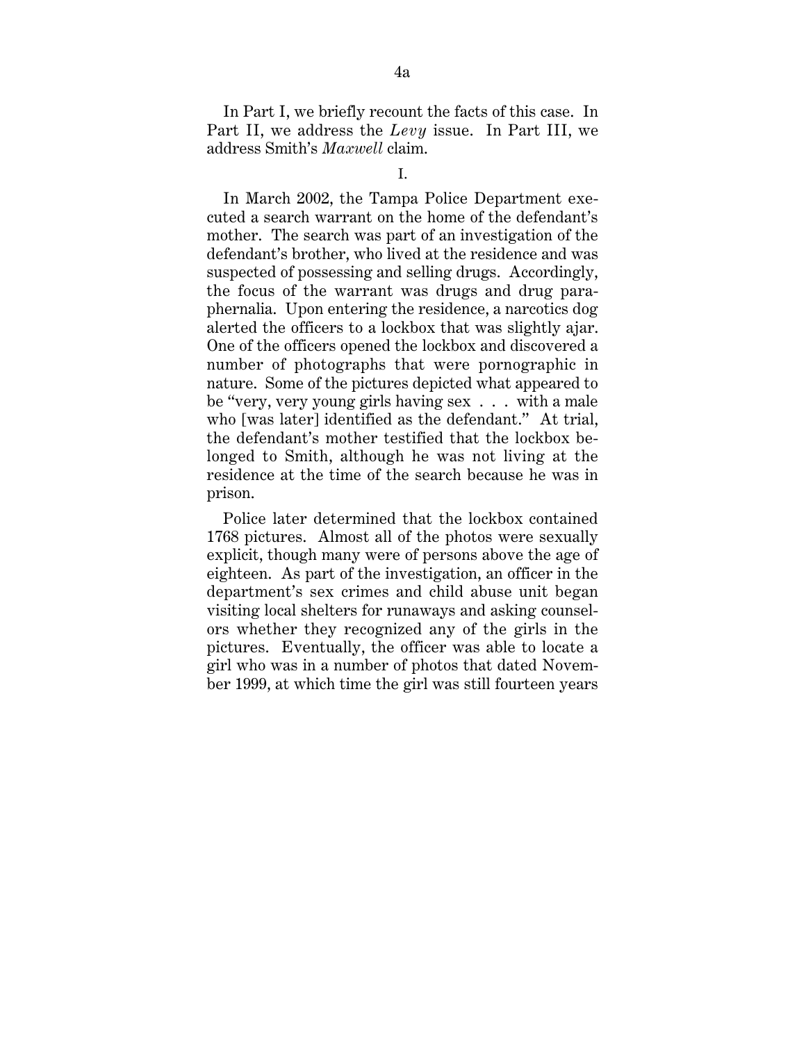In Part I, we briefly recount the facts of this case. In Part II, we address the *Levy* issue. In Part III, we address Smith's *Maxwell* claim.

In March 2002, the Tampa Police Department executed a search warrant on the home of the defendant's mother. The search was part of an investigation of the defendant's brother, who lived at the residence and was suspected of possessing and selling drugs. Accordingly, the focus of the warrant was drugs and drug paraphernalia. Upon entering the residence, a narcotics dog alerted the officers to a lockbox that was slightly ajar. One of the officers opened the lockbox and discovered a number of photographs that were pornographic in nature. Some of the pictures depicted what appeared to be "very, very young girls having sex . . . with a male who [was later] identified as the defendant." At trial, the defendant's mother testified that the lockbox belonged to Smith, although he was not living at the residence at the time of the search because he was in prison.

Police later determined that the lockbox contained 1768 pictures. Almost all of the photos were sexually explicit, though many were of persons above the age of eighteen. As part of the investigation, an officer in the department's sex crimes and child abuse unit began visiting local shelters for runaways and asking counselors whether they recognized any of the girls in the pictures. Eventually, the officer was able to locate a girl who was in a number of photos that dated November 1999, at which time the girl was still fourteen years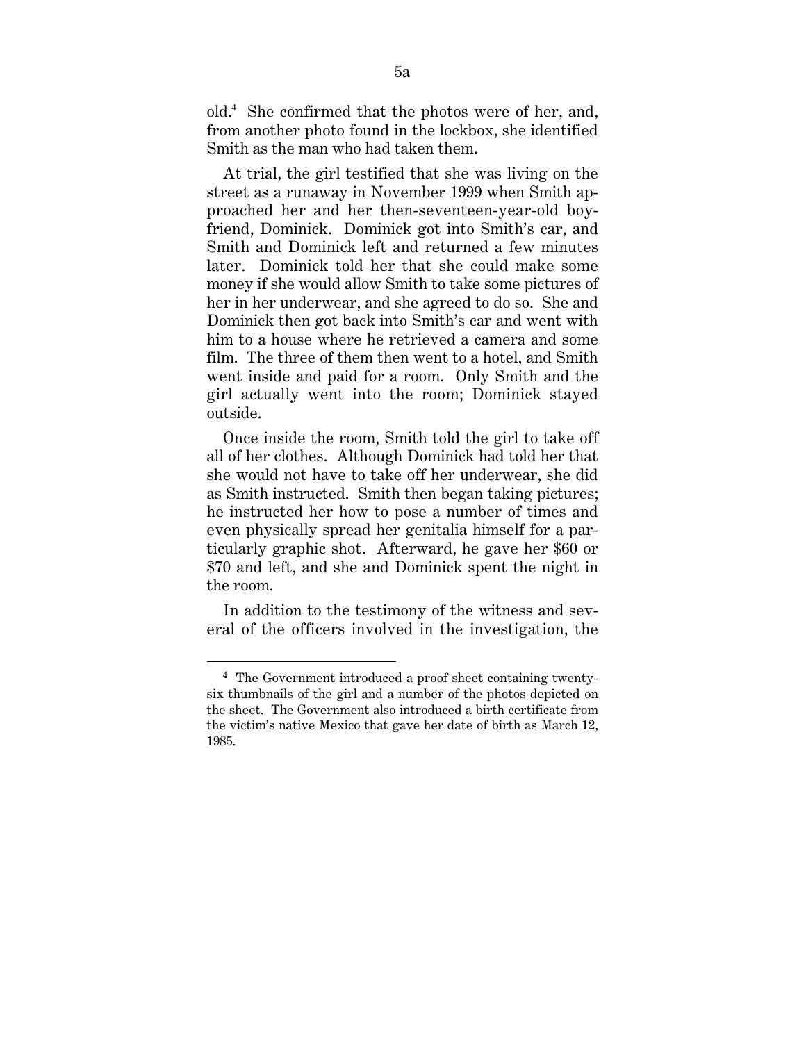old.4 She confirmed that the photos were of her, and, from another photo found in the lockbox, she identified Smith as the man who had taken them.

At trial, the girl testified that she was living on the street as a runaway in November 1999 when Smith approached her and her then-seventeen-year-old boyfriend, Dominick. Dominick got into Smith's car, and Smith and Dominick left and returned a few minutes later. Dominick told her that she could make some money if she would allow Smith to take some pictures of her in her underwear, and she agreed to do so. She and Dominick then got back into Smith's car and went with him to a house where he retrieved a camera and some film. The three of them then went to a hotel, and Smith went inside and paid for a room. Only Smith and the girl actually went into the room; Dominick stayed outside.

Once inside the room, Smith told the girl to take off all of her clothes. Although Dominick had told her that she would not have to take off her underwear, she did as Smith instructed. Smith then began taking pictures; he instructed her how to pose a number of times and even physically spread her genitalia himself for a particularly graphic shot. Afterward, he gave her \$60 or \$70 and left, and she and Dominick spent the night in the room.

In addition to the testimony of the witness and several of the officers involved in the investigation, the

 <sup>4</sup> The Government introduced a proof sheet containing twentysix thumbnails of the girl and a number of the photos depicted on the sheet. The Government also introduced a birth certificate from the victim's native Mexico that gave her date of birth as March 12, 1985.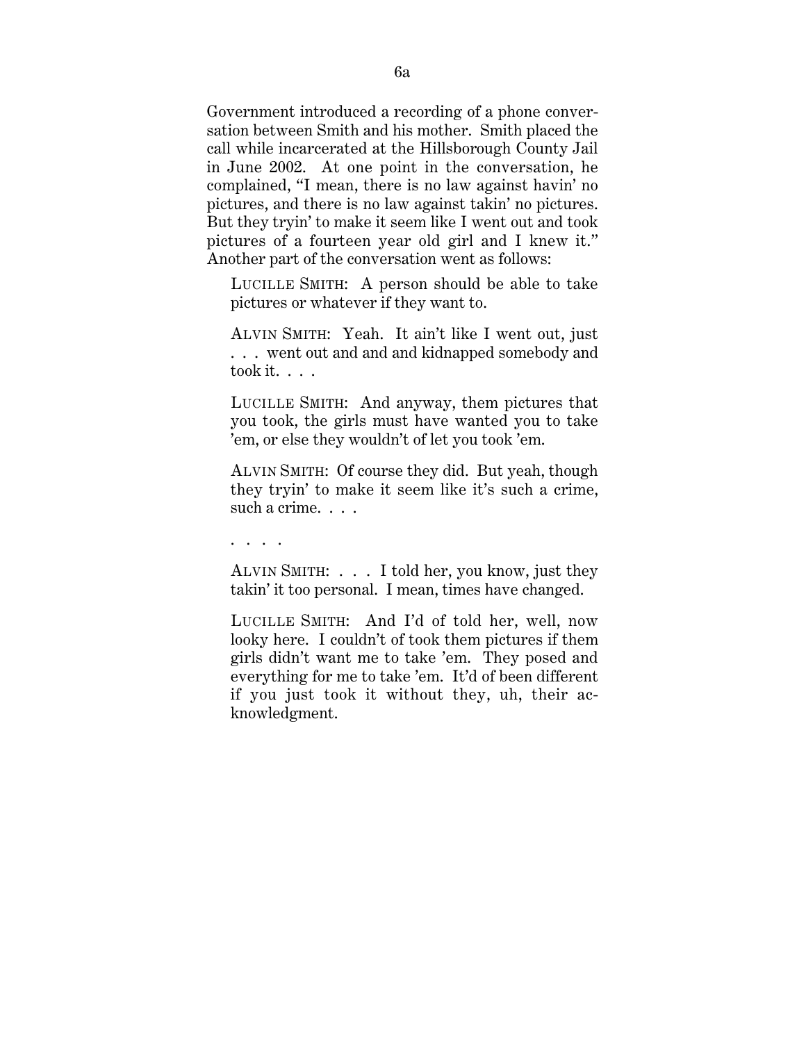Government introduced a recording of a phone conversation between Smith and his mother. Smith placed the call while incarcerated at the Hillsborough County Jail in June 2002. At one point in the conversation, he complained, "I mean, there is no law against havin' no pictures, and there is no law against takin' no pictures. But they tryin' to make it seem like I went out and took pictures of a fourteen year old girl and I knew it." Another part of the conversation went as follows:

LUCILLE SMITH: A person should be able to take pictures or whatever if they want to.

ALVIN SMITH: Yeah. It ain't like I went out, just . . . went out and and and kidnapped somebody and took it. . . .

LUCILLE SMITH: And anyway, them pictures that you took, the girls must have wanted you to take 'em, or else they wouldn't of let you took 'em.

ALVIN SMITH: Of course they did. But yeah, though they tryin' to make it seem like it's such a crime, such a crime. . . .

. . . .

ALVIN SMITH: . . . I told her, you know, just they takin' it too personal. I mean, times have changed.

LUCILLE SMITH: And I'd of told her, well, now looky here. I couldn't of took them pictures if them girls didn't want me to take 'em. They posed and everything for me to take 'em. It'd of been different if you just took it without they, uh, their acknowledgment.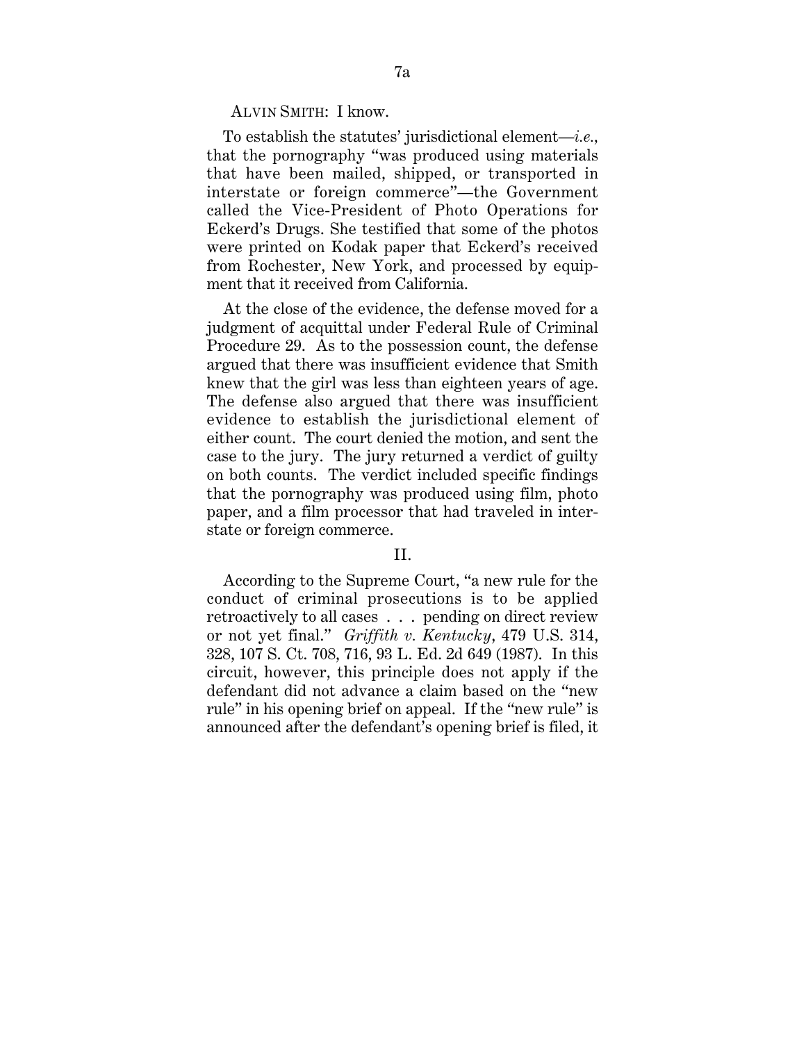ALVIN SMITH: I know.

To establish the statutes' jurisdictional element—*i.e.,* that the pornography "was produced using materials that have been mailed, shipped, or transported in interstate or foreign commerce"—the Government called the Vice-President of Photo Operations for Eckerd's Drugs. She testified that some of the photos were printed on Kodak paper that Eckerd's received from Rochester, New York, and processed by equipment that it received from California.

At the close of the evidence, the defense moved for a judgment of acquittal under Federal Rule of Criminal Procedure 29. As to the possession count, the defense argued that there was insufficient evidence that Smith knew that the girl was less than eighteen years of age. The defense also argued that there was insufficient evidence to establish the jurisdictional element of either count. The court denied the motion, and sent the case to the jury. The jury returned a verdict of guilty on both counts. The verdict included specific findings that the pornography was produced using film, photo paper, and a film processor that had traveled in interstate or foreign commerce.

## II.

According to the Supreme Court, "a new rule for the conduct of criminal prosecutions is to be applied retroactively to all cases . . . pending on direct review or not yet final." *Griffith v. Kentucky*, 479 U.S. 314, 328, 107 S. Ct. 708, 716, 93 L. Ed. 2d 649 (1987). In this circuit, however, this principle does not apply if the defendant did not advance a claim based on the "new rule" in his opening brief on appeal. If the "new rule" is announced after the defendant's opening brief is filed, it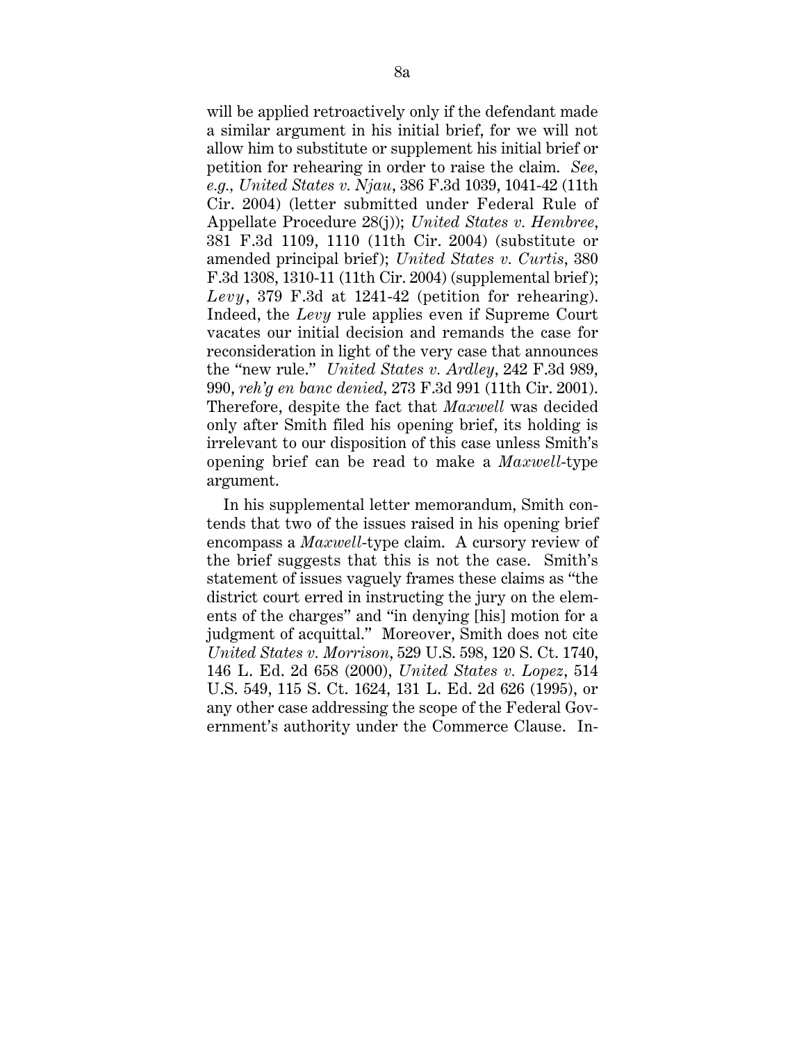will be applied retroactively only if the defendant made a similar argument in his initial brief, for we will not allow him to substitute or supplement his initial brief or petition for rehearing in order to raise the claim. *See, e.g., United States v. Njau*, 386 F.3d 1039, 1041-42 (11th Cir. 2004) (letter submitted under Federal Rule of Appellate Procedure 28(j)); *United States v. Hembree*, 381 F.3d 1109, 1110 (11th Cir. 2004) (substitute or amended principal brief ); *United States v. Curtis*, 380 F.3d 1308, 1310-11 (11th Cir. 2004) (supplemental brief); *Levy*, 379 F.3d at 1241-42 (petition for rehearing). Indeed, the *Levy* rule applies even if Supreme Court vacates our initial decision and remands the case for reconsideration in light of the very case that announces the "new rule." *United States v. Ardley*, 242 F.3d 989, 990, *reh'g en banc denied,* 273 F.3d 991 (11th Cir. 2001). Therefore, despite the fact that *Maxwell* was decided only after Smith filed his opening brief, its holding is irrelevant to our disposition of this case unless Smith's opening brief can be read to make a *Maxwell*-type argument.

In his supplemental letter memorandum, Smith contends that two of the issues raised in his opening brief encompass a *Maxwell*-type claim. A cursory review of the brief suggests that this is not the case. Smith's statement of issues vaguely frames these claims as "the district court erred in instructing the jury on the elements of the charges" and "in denying [his] motion for a judgment of acquittal." Moreover, Smith does not cite *United States v. Morrison*, 529 U.S. 598, 120 S. Ct. 1740, 146 L. Ed. 2d 658 (2000), *United States v. Lopez*, 514 U.S. 549, 115 S. Ct. 1624, 131 L. Ed. 2d 626 (1995), or any other case addressing the scope of the Federal Government's authority under the Commerce Clause. In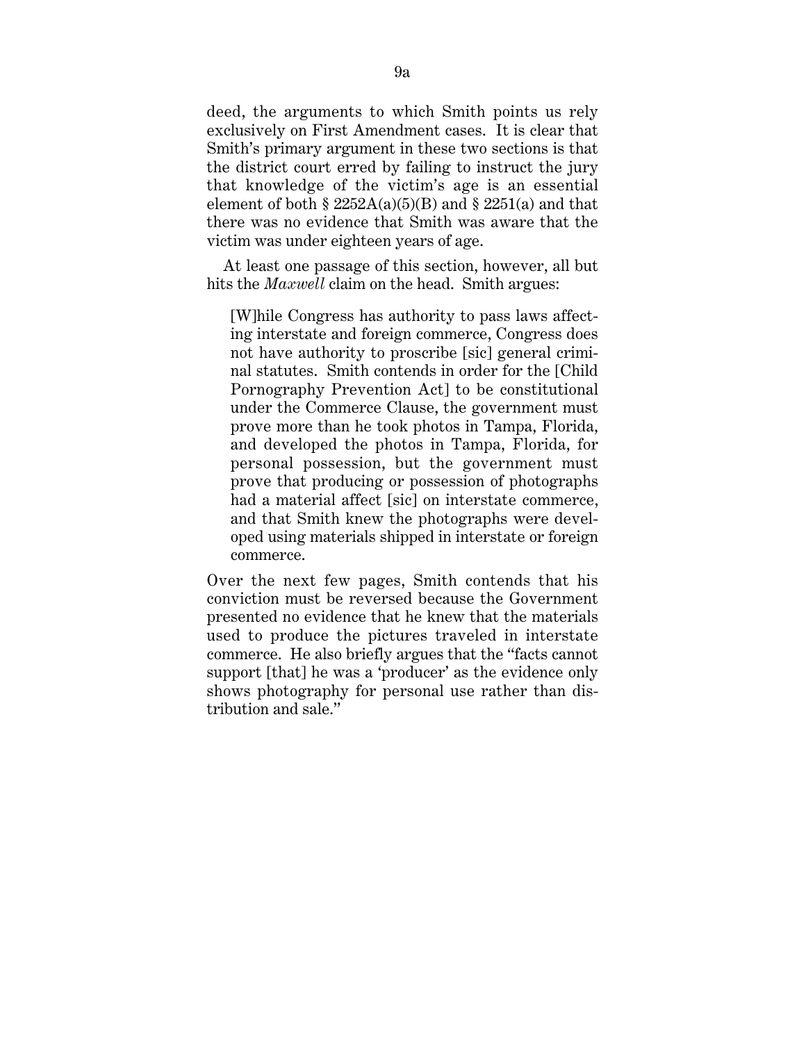deed, the arguments to which Smith points us rely exclusively on First Amendment cases. It is clear that Smith's primary argument in these two sections is that the district court erred by failing to instruct the jury that knowledge of the victim's age is an essential element of both §  $2252A(a)(5)(B)$  and §  $2251(a)$  and that there was no evidence that Smith was aware that the victim was under eighteen years of age.

At least one passage of this section, however, all but hits the *Maxwell* claim on the head. Smith argues:

[W]hile Congress has authority to pass laws affecting interstate and foreign commerce, Congress does not have authority to proscribe [sic] general criminal statutes. Smith contends in order for the [Child Pornography Prevention Act] to be constitutional under the Commerce Clause, the government must prove more than he took photos in Tampa, Florida, and developed the photos in Tampa, Florida, for personal possession, but the government must prove that producing or possession of photographs had a material affect [sic] on interstate commerce, and that Smith knew the photographs were developed using materials shipped in interstate or foreign commerce.

Over the next few pages, Smith contends that his conviction must be reversed because the Government presented no evidence that he knew that the materials used to produce the pictures traveled in interstate commerce. He also briefly argues that the "facts cannot support [that] he was a 'producer' as the evidence only shows photography for personal use rather than distribution and sale."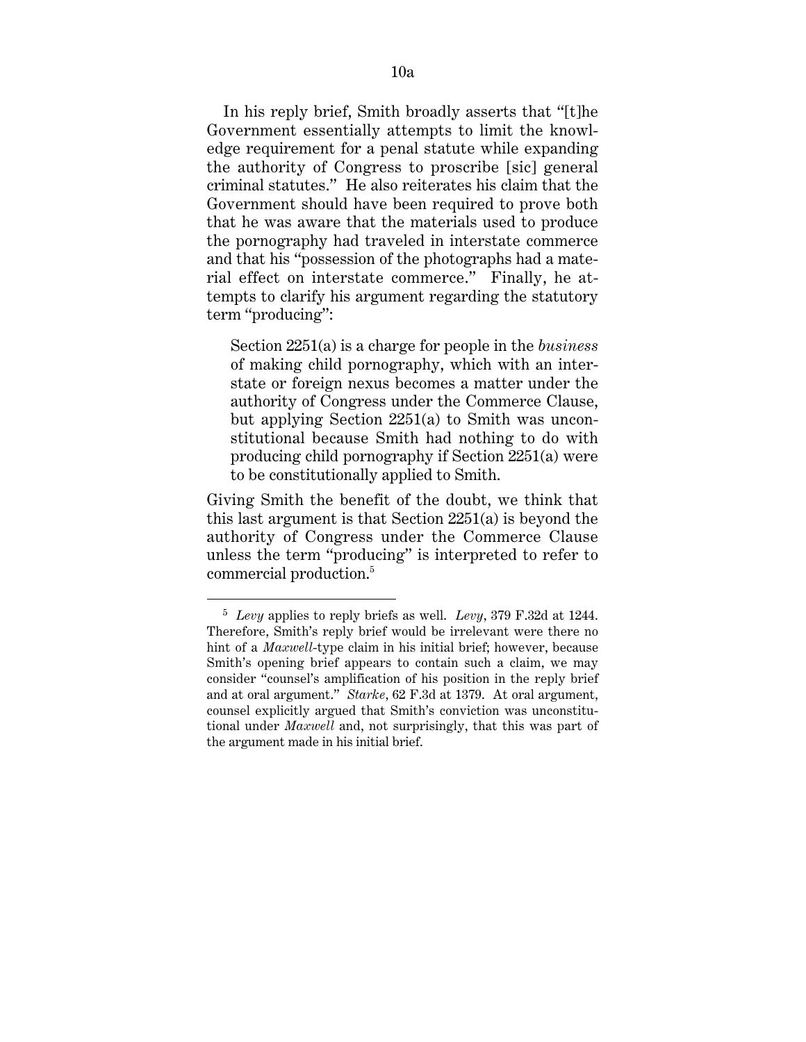In his reply brief, Smith broadly asserts that "[t]he Government essentially attempts to limit the knowledge requirement for a penal statute while expanding the authority of Congress to proscribe [sic] general criminal statutes." He also reiterates his claim that the Government should have been required to prove both that he was aware that the materials used to produce the pornography had traveled in interstate commerce and that his "possession of the photographs had a material effect on interstate commerce." Finally, he attempts to clarify his argument regarding the statutory term "producing":

Section 2251(a) is a charge for people in the *business* of making child pornography, which with an interstate or foreign nexus becomes a matter under the authority of Congress under the Commerce Clause, but applying Section 2251(a) to Smith was unconstitutional because Smith had nothing to do with producing child pornography if Section 2251(a) were to be constitutionally applied to Smith.

Giving Smith the benefit of the doubt, we think that this last argument is that Section 2251(a) is beyond the authority of Congress under the Commerce Clause unless the term "producing" is interpreted to refer to commercial production.5

 <sup>5</sup> *Levy* applies to reply briefs as well. *Levy*, 379 F.32d at 1244. Therefore, Smith's reply brief would be irrelevant were there no hint of a *Maxwell*-type claim in his initial brief; however, because Smith's opening brief appears to contain such a claim, we may consider "counsel's amplification of his position in the reply brief and at oral argument." *Starke*, 62 F.3d at 1379. At oral argument, counsel explicitly argued that Smith's conviction was unconstitutional under *Maxwell* and, not surprisingly, that this was part of the argument made in his initial brief.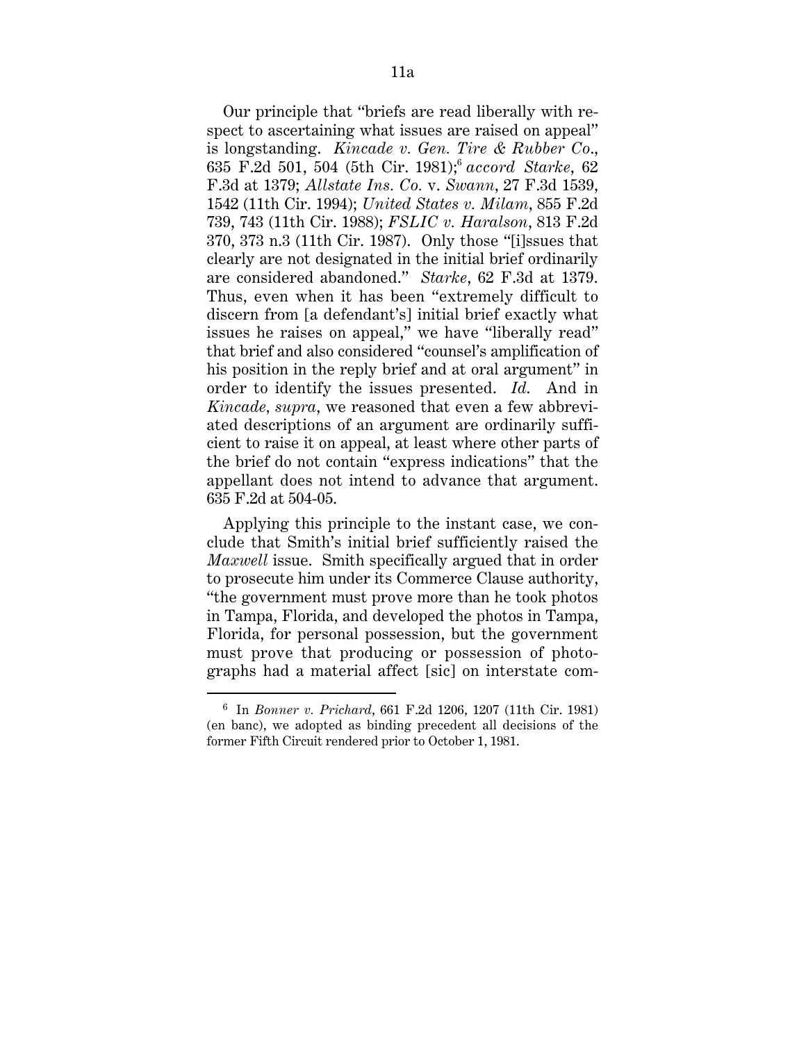Our principle that "briefs are read liberally with respect to ascertaining what issues are raised on appeal" is longstanding. *Kincade v. Gen. Tire & Rubber Co*., 635 F.2d 501, 504 (5th Cir. 1981);6 *accord Starke*, 62 F.3d at 1379; *Allstate Ins. Co.* v. *Swann*, 27 F.3d 1539, 1542 (11th Cir. 1994); *United States v. Milam*, 855 F.2d 739, 743 (11th Cir. 1988); *FSLIC v. Haralson*, 813 F.2d 370, 373 n.3 (11th Cir. 1987). Only those "[i]ssues that clearly are not designated in the initial brief ordinarily are considered abandoned." *Starke*, 62 F.3d at 1379. Thus, even when it has been "extremely difficult to discern from [a defendant's] initial brief exactly what issues he raises on appeal," we have "liberally read" that brief and also considered "counsel's amplification of his position in the reply brief and at oral argument" in order to identify the issues presented. *Id*. And in *Kincade, supra*, we reasoned that even a few abbreviated descriptions of an argument are ordinarily sufficient to raise it on appeal, at least where other parts of the brief do not contain "express indications" that the appellant does not intend to advance that argument. 635 F.2d at 504-05.

Applying this principle to the instant case, we conclude that Smith's initial brief sufficiently raised the *Maxwell* issue. Smith specifically argued that in order to prosecute him under its Commerce Clause authority, "the government must prove more than he took photos in Tampa, Florida, and developed the photos in Tampa, Florida, for personal possession, but the government must prove that producing or possession of photographs had a material affect [sic] on interstate com-

 <sup>6</sup> In *Bonner v. Prichard*, 661 F.2d 1206, 1207 (11th Cir. 1981) (en banc), we adopted as binding precedent all decisions of the former Fifth Circuit rendered prior to October 1, 1981.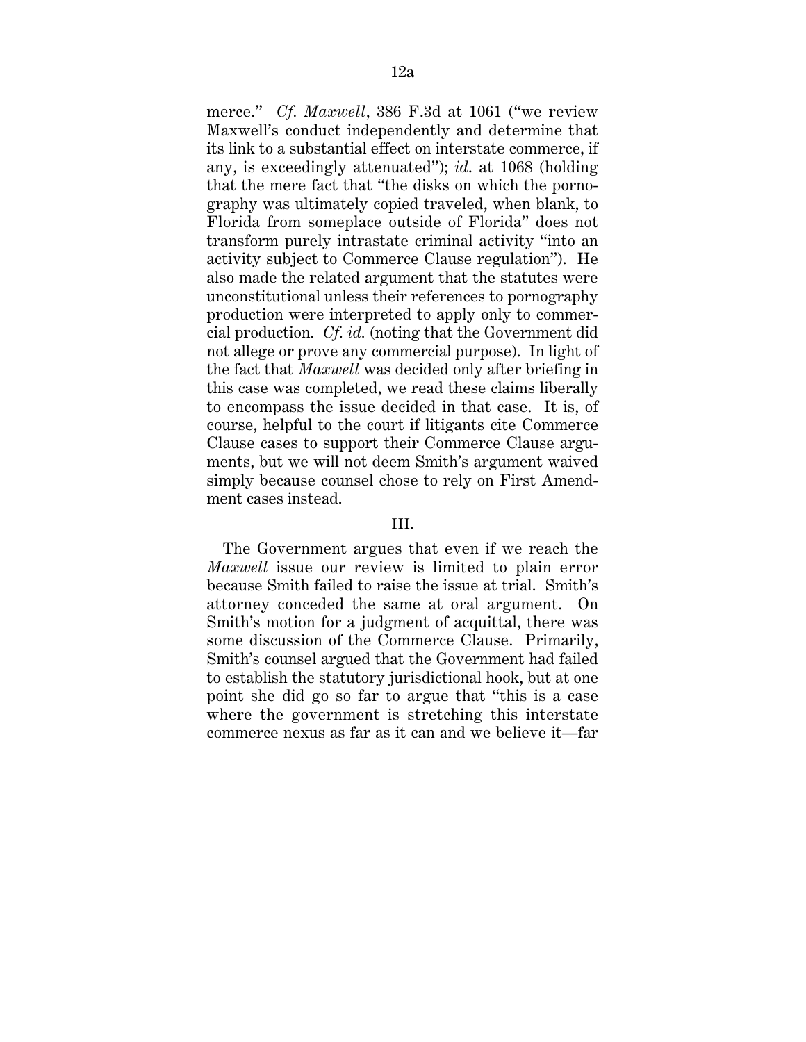merce." *Cf. Maxwell*, 386 F.3d at 1061 ("we review Maxwell's conduct independently and determine that its link to a substantial effect on interstate commerce, if any, is exceedingly attenuated"); *id*. at 1068 (holding that the mere fact that "the disks on which the pornography was ultimately copied traveled, when blank, to Florida from someplace outside of Florida" does not transform purely intrastate criminal activity "into an activity subject to Commerce Clause regulation"). He also made the related argument that the statutes were unconstitutional unless their references to pornography production were interpreted to apply only to commercial production. *Cf. id.* (noting that the Government did not allege or prove any commercial purpose). In light of the fact that *Maxwell* was decided only after briefing in this case was completed, we read these claims liberally to encompass the issue decided in that case. It is, of course, helpful to the court if litigants cite Commerce Clause cases to support their Commerce Clause arguments, but we will not deem Smith's argument waived simply because counsel chose to rely on First Amendment cases instead.

#### III.

The Government argues that even if we reach the *Maxwell* issue our review is limited to plain error because Smith failed to raise the issue at trial. Smith's attorney conceded the same at oral argument. On Smith's motion for a judgment of acquittal, there was some discussion of the Commerce Clause. Primarily, Smith's counsel argued that the Government had failed to establish the statutory jurisdictional hook, but at one point she did go so far to argue that "this is a case where the government is stretching this interstate commerce nexus as far as it can and we believe it—far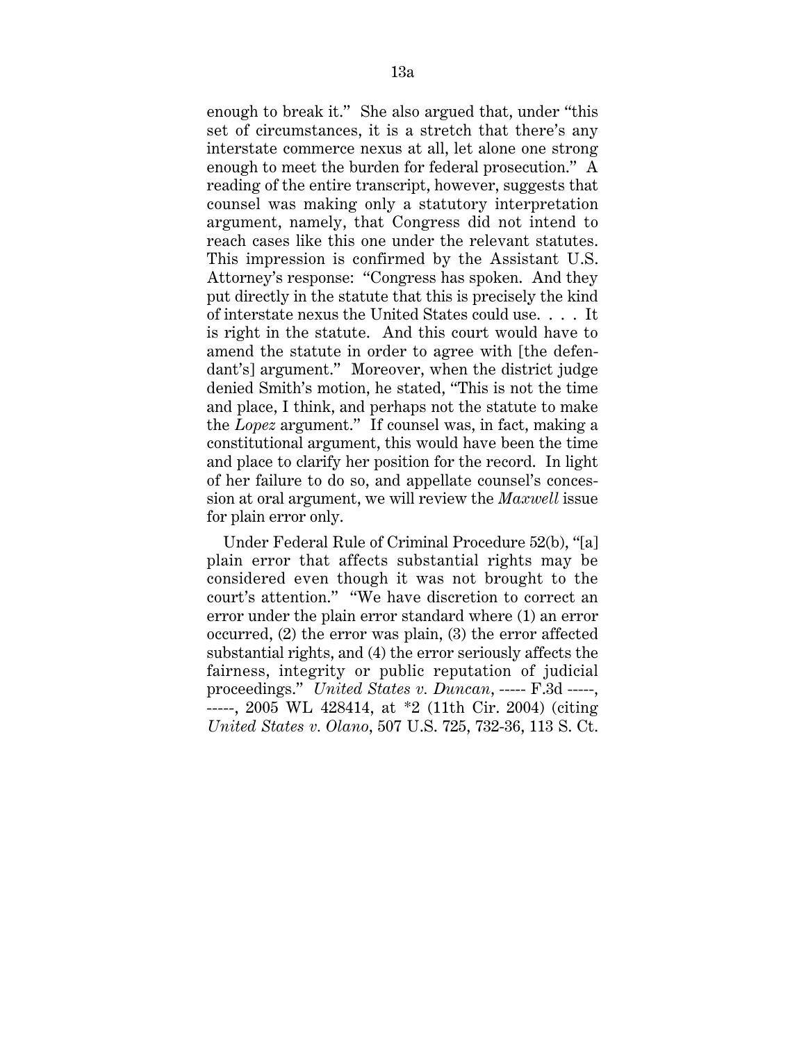enough to break it." She also argued that, under "this set of circumstances, it is a stretch that there's any interstate commerce nexus at all, let alone one strong enough to meet the burden for federal prosecution." A reading of the entire transcript, however, suggests that counsel was making only a statutory interpretation argument, namely, that Congress did not intend to reach cases like this one under the relevant statutes. This impression is confirmed by the Assistant U.S. Attorney's response: "Congress has spoken. And they put directly in the statute that this is precisely the kind of interstate nexus the United States could use. . . . It is right in the statute. And this court would have to amend the statute in order to agree with [the defendant's] argument." Moreover, when the district judge denied Smith's motion, he stated, "This is not the time and place, I think, and perhaps not the statute to make the *Lopez* argument." If counsel was, in fact, making a constitutional argument, this would have been the time and place to clarify her position for the record. In light of her failure to do so, and appellate counsel's concession at oral argument, we will review the *Maxwell* issue for plain error only.

Under Federal Rule of Criminal Procedure 52(b), "[a] plain error that affects substantial rights may be considered even though it was not brought to the court's attention." "We have discretion to correct an error under the plain error standard where (1) an error occurred, (2) the error was plain, (3) the error affected substantial rights, and (4) the error seriously affects the fairness, integrity or public reputation of judicial proceedings." *United States v. Duncan*, ----- F.3d -----, -----, 2005 WL 428414, at \*2 (11th Cir. 2004) (citing *United States v. Olano*, 507 U.S. 725, 732-36, 113 S. Ct.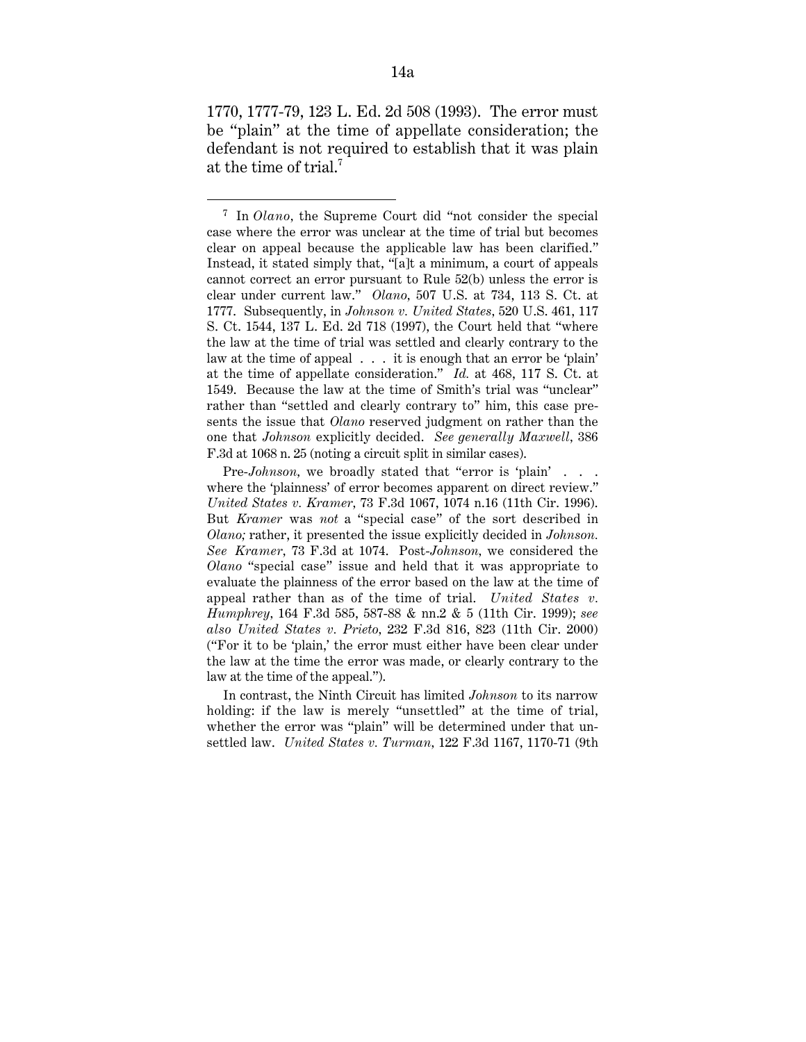1770, 1777-79, 123 L. Ed. 2d 508 (1993). The error must be "plain" at the time of appellate consideration; the defendant is not required to establish that it was plain at the time of trial.7

In contrast, the Ninth Circuit has limited *Johnson* to its narrow holding: if the law is merely "unsettled" at the time of trial, whether the error was "plain" will be determined under that unsettled law. *United States v. Turman,* 122 F.3d 1167, 1170-71 (9th

 <sup>7</sup> In *Olano,* the Supreme Court did "not consider the special case where the error was unclear at the time of trial but becomes clear on appeal because the applicable law has been clarified." Instead, it stated simply that, "[a]t a minimum, a court of appeals cannot correct an error pursuant to Rule 52(b) unless the error is clear under current law." *Olano,* 507 U.S. at 734, 113 S. Ct. at 1777. Subsequently, in *Johnson v. United States,* 520 U.S. 461, 117 S. Ct. 1544, 137 L. Ed. 2d 718 (1997), the Court held that "where the law at the time of trial was settled and clearly contrary to the law at the time of appeal . . . it is enough that an error be 'plain' at the time of appellate consideration." *Id.* at 468, 117 S. Ct. at 1549. Because the law at the time of Smith's trial was "unclear" rather than "settled and clearly contrary to" him, this case presents the issue that *Olano* reserved judgment on rather than the one that *Johnson* explicitly decided. *See generally Maxwell,* 386 F.3d at 1068 n. 25 (noting a circuit split in similar cases).

Pre-*Johnson*, we broadly stated that "error is 'plain' . . . where the 'plainness' of error becomes apparent on direct review." *United States v. Kramer,* 73 F.3d 1067, 1074 n.16 (11th Cir. 1996). But *Kramer* was *not* a "special case" of the sort described in *Olano;* rather, it presented the issue explicitly decided in *Johnson. See Kramer,* 73 F.3d at 1074. Post-*Johnson,* we considered the *Olano* "special case" issue and held that it was appropriate to evaluate the plainness of the error based on the law at the time of appeal rather than as of the time of trial. *United States v. Humphrey,* 164 F.3d 585, 587-88 & nn.2 & 5 (11th Cir. 1999); *see also United States v. Prieto,* 232 F.3d 816, 823 (11th Cir. 2000) ("For it to be 'plain,' the error must either have been clear under the law at the time the error was made, or clearly contrary to the law at the time of the appeal.").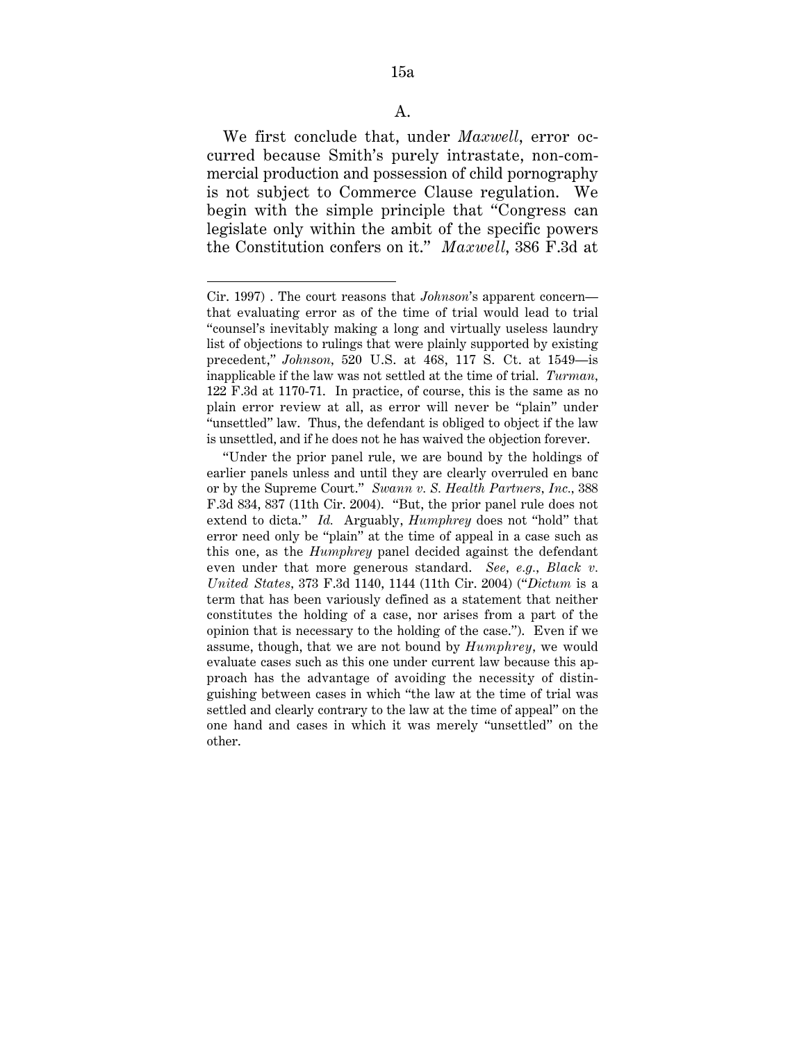We first conclude that, under *Maxwell*, error occurred because Smith's purely intrastate, non-commercial production and possession of child pornography is not subject to Commerce Clause regulation. We begin with the simple principle that "Congress can legislate only within the ambit of the specific powers the Constitution confers on it." *Maxwell*, 386 F.3d at

 $\overline{a}$ 

Cir. 1997) . The court reasons that *Johnson*'s apparent concern that evaluating error as of the time of trial would lead to trial "counsel's inevitably making a long and virtually useless laundry list of objections to rulings that were plainly supported by existing precedent," *Johnson,* 520 U.S. at 468, 117 S. Ct. at 1549—is inapplicable if the law was not settled at the time of trial. *Turman,* 122 F.3d at 1170-71. In practice, of course, this is the same as no plain error review at all, as error will never be "plain" under "unsettled" law. Thus, the defendant is obliged to object if the law is unsettled, and if he does not he has waived the objection forever.

<sup>&</sup>quot;Under the prior panel rule, we are bound by the holdings of earlier panels unless and until they are clearly overruled en banc or by the Supreme Court." *Swann v. S. Health Partners, Inc.,* 388 F.3d 834, 837 (11th Cir. 2004). "But, the prior panel rule does not extend to dicta." *Id.* Arguably, *Humphrey* does not "hold" that error need only be "plain" at the time of appeal in a case such as this one, as the *Humphrey* panel decided against the defendant even under that more generous standard. *See, e.g., Black v. United States,* 373 F.3d 1140, 1144 (11th Cir. 2004) ("*Dictum* is a term that has been variously defined as a statement that neither constitutes the holding of a case, nor arises from a part of the opinion that is necessary to the holding of the case."). Even if we assume, though, that we are not bound by *Humphrey,* we would evaluate cases such as this one under current law because this approach has the advantage of avoiding the necessity of distinguishing between cases in which "the law at the time of trial was settled and clearly contrary to the law at the time of appeal" on the one hand and cases in which it was merely "unsettled" on the other.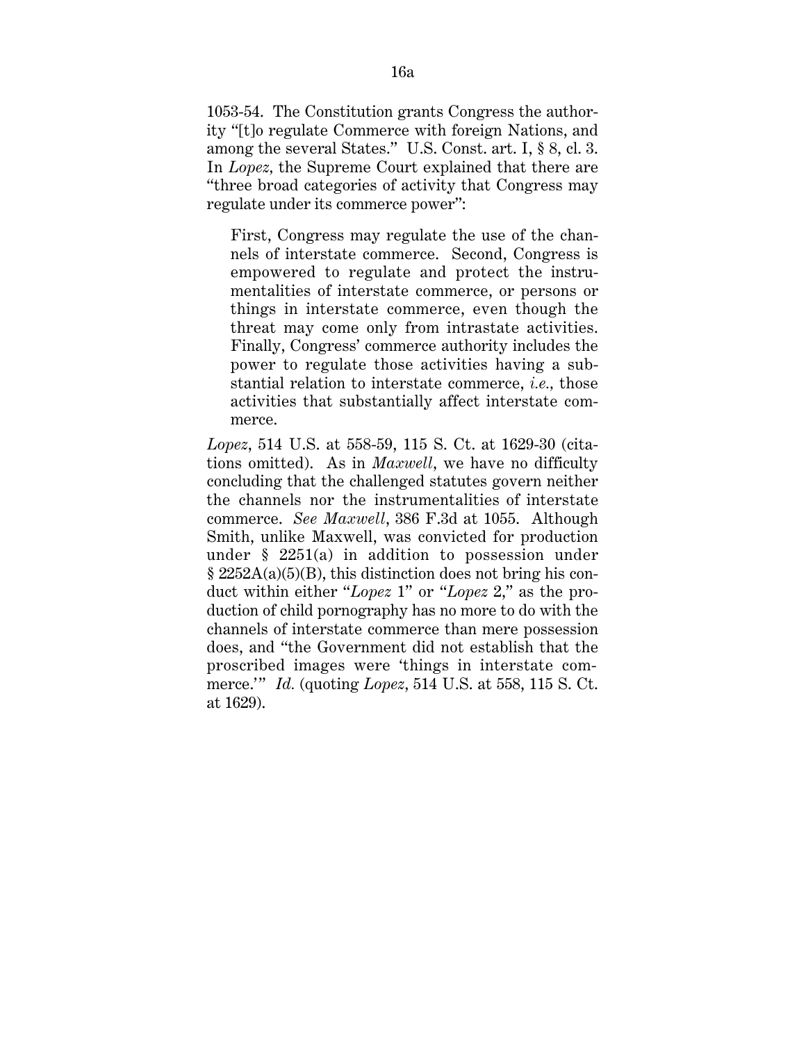1053-54. The Constitution grants Congress the authority "[t]o regulate Commerce with foreign Nations, and among the several States." U.S. Const. art. I, § 8, cl. 3. In *Lopez,* the Supreme Court explained that there are "three broad categories of activity that Congress may regulate under its commerce power":

First, Congress may regulate the use of the channels of interstate commerce. Second, Congress is empowered to regulate and protect the instrumentalities of interstate commerce, or persons or things in interstate commerce, even though the threat may come only from intrastate activities. Finally, Congress' commerce authority includes the power to regulate those activities having a substantial relation to interstate commerce, *i.e.,* those activities that substantially affect interstate commerce.

*Lopez*, 514 U.S. at 558-59, 115 S. Ct. at 1629-30 (citations omitted). As in *Maxwell*, we have no difficulty concluding that the challenged statutes govern neither the channels nor the instrumentalities of interstate commerce. *See Maxwell*, 386 F.3d at 1055. Although Smith, unlike Maxwell, was convicted for production under § 2251(a) in addition to possession under § 2252A(a)(5)(B), this distinction does not bring his conduct within either "*Lopez* 1" or "*Lopez* 2," as the production of child pornography has no more to do with the channels of interstate commerce than mere possession does, and "the Government did not establish that the proscribed images were 'things in interstate commerce.'" *Id.* (quoting *Lopez*, 514 U.S. at 558, 115 S. Ct. at 1629).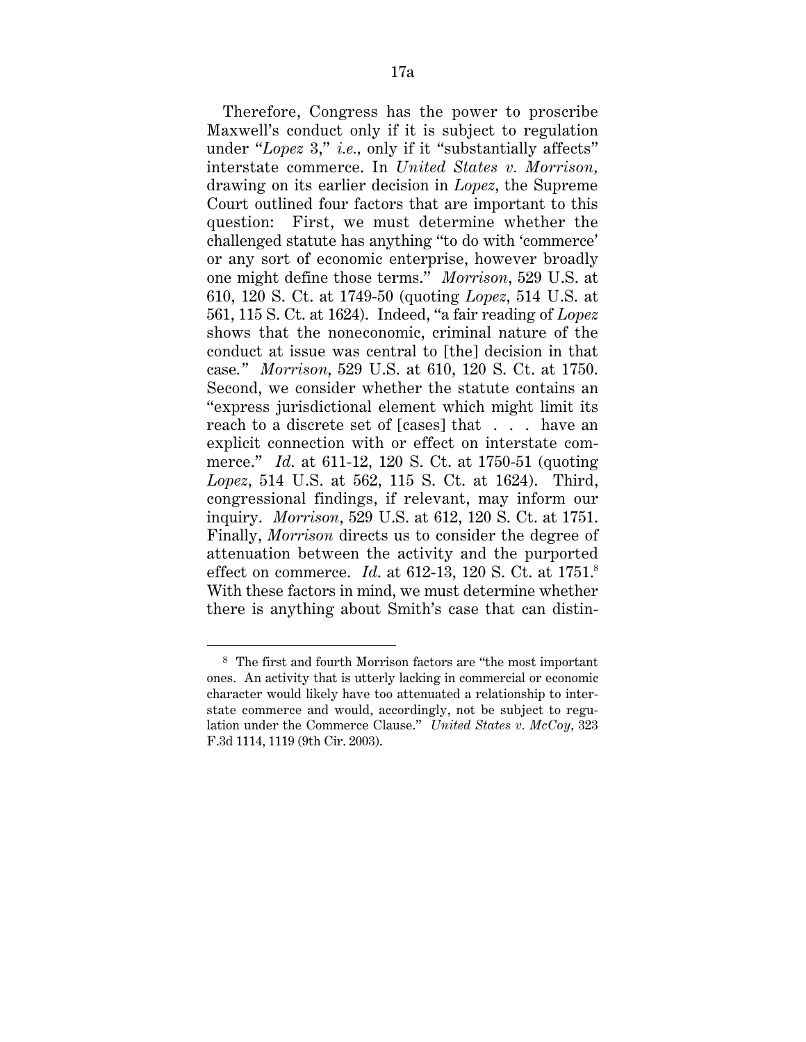Therefore, Congress has the power to proscribe Maxwell's conduct only if it is subject to regulation under "*Lopez* 3," *i.e.,* only if it "substantially affects" interstate commerce. In *United States v. Morrison,* drawing on its earlier decision in *Lopez*, the Supreme Court outlined four factors that are important to this question: First, we must determine whether the challenged statute has anything "to do with 'commerce' or any sort of economic enterprise, however broadly one might define those terms." *Morrison*, 529 U.S. at 610, 120 S. Ct. at 1749-50 (quoting *Lopez*, 514 U.S. at 561, 115 S. Ct. at 1624). Indeed, "a fair reading of *Lopez* shows that the noneconomic, criminal nature of the conduct at issue was central to [the] decision in that case*." Morrison*, 529 U.S. at 610, 120 S. Ct. at 1750. Second, we consider whether the statute contains an "express jurisdictional element which might limit its reach to a discrete set of [cases] that . . . have an explicit connection with or effect on interstate commerce." *Id*. at 611-12, 120 S. Ct. at 1750-51 (quoting *Lopez*, 514 U.S. at 562, 115 S. Ct. at 1624). Third, congressional findings, if relevant, may inform our inquiry. *Morrison*, 529 U.S. at 612, 120 S. Ct. at 1751. Finally, *Morrison* directs us to consider the degree of attenuation between the activity and the purported effect on commerce. *Id*. at 612-13, 120 S. Ct. at 1751.8 With these factors in mind, we must determine whether there is anything about Smith's case that can distin-

 <sup>8</sup> The first and fourth Morrison factors are "the most important ones. An activity that is utterly lacking in commercial or economic character would likely have too attenuated a relationship to interstate commerce and would, accordingly, not be subject to regulation under the Commerce Clause." *United States v. McCoy*, 323 F.3d 1114, 1119 (9th Cir. 2003).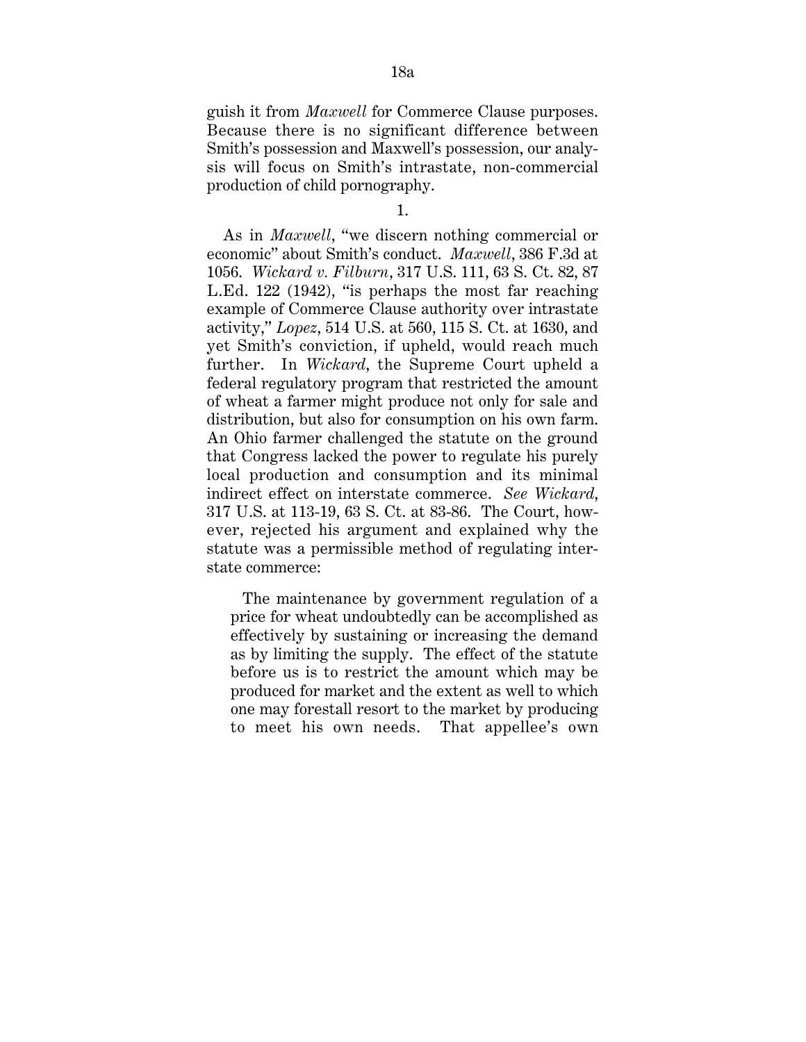guish it from *Maxwell* for Commerce Clause purposes. Because there is no significant difference between Smith's possession and Maxwell's possession, our analysis will focus on Smith's intrastate, non-commercial production of child pornography.

1.

As in *Maxwell*, "we discern nothing commercial or economic" about Smith's conduct. *Maxwell*, 386 F.3d at 1056. *Wickard v. Filburn*, 317 U.S. 111, 63 S. Ct. 82, 87 L.Ed. 122 (1942), "is perhaps the most far reaching example of Commerce Clause authority over intrastate activity," *Lopez*, 514 U.S. at 560, 115 S. Ct. at 1630, and yet Smith's conviction, if upheld, would reach much further. In *Wickard*, the Supreme Court upheld a federal regulatory program that restricted the amount of wheat a farmer might produce not only for sale and distribution, but also for consumption on his own farm. An Ohio farmer challenged the statute on the ground that Congress lacked the power to regulate his purely local production and consumption and its minimal indirect effect on interstate commerce. *See Wickard*, 317 U.S. at 113-19, 63 S. Ct. at 83-86. The Court, however, rejected his argument and explained why the statute was a permissible method of regulating interstate commerce:

The maintenance by government regulation of a price for wheat undoubtedly can be accomplished as effectively by sustaining or increasing the demand as by limiting the supply. The effect of the statute before us is to restrict the amount which may be produced for market and the extent as well to which one may forestall resort to the market by producing to meet his own needs. That appellee's own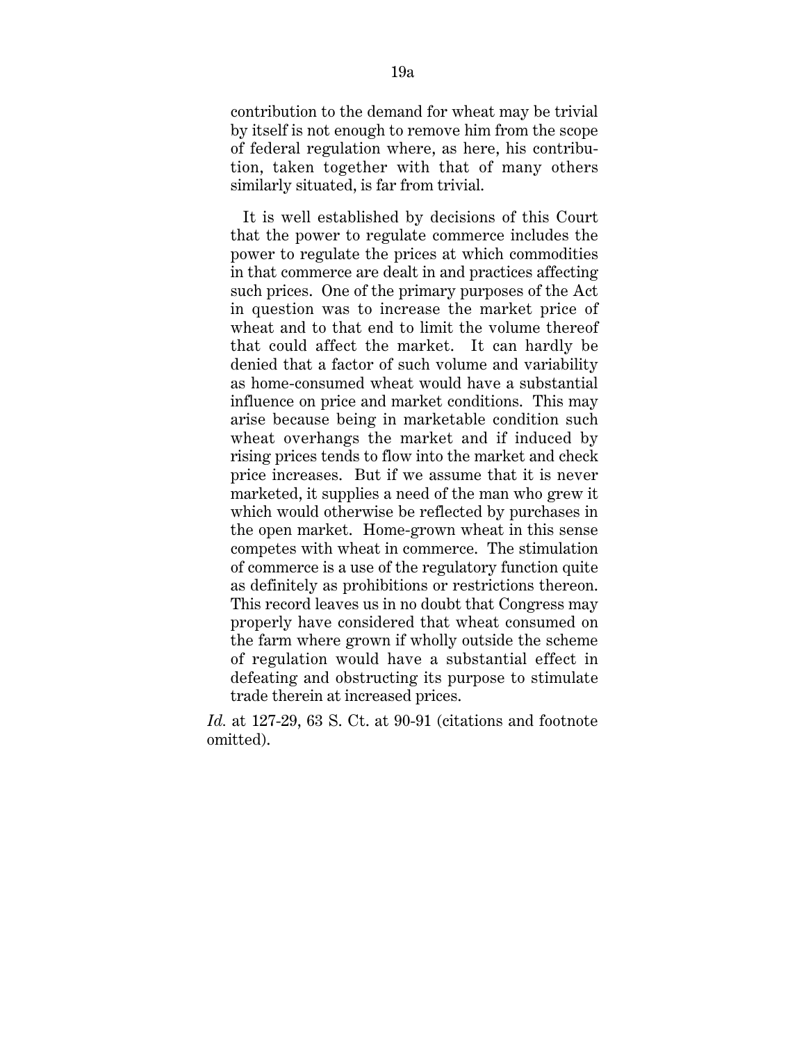contribution to the demand for wheat may be trivial by itself is not enough to remove him from the scope of federal regulation where, as here, his contribution, taken together with that of many others similarly situated, is far from trivial.

It is well established by decisions of this Court that the power to regulate commerce includes the power to regulate the prices at which commodities in that commerce are dealt in and practices affecting such prices. One of the primary purposes of the Act in question was to increase the market price of wheat and to that end to limit the volume thereof that could affect the market. It can hardly be denied that a factor of such volume and variability as home-consumed wheat would have a substantial influence on price and market conditions. This may arise because being in marketable condition such wheat overhangs the market and if induced by rising prices tends to flow into the market and check price increases. But if we assume that it is never marketed, it supplies a need of the man who grew it which would otherwise be reflected by purchases in the open market. Home-grown wheat in this sense competes with wheat in commerce. The stimulation of commerce is a use of the regulatory function quite as definitely as prohibitions or restrictions thereon. This record leaves us in no doubt that Congress may properly have considered that wheat consumed on the farm where grown if wholly outside the scheme of regulation would have a substantial effect in defeating and obstructing its purpose to stimulate trade therein at increased prices.

*Id.* at 127-29, 63 S. Ct. at 90-91 (citations and footnote omitted).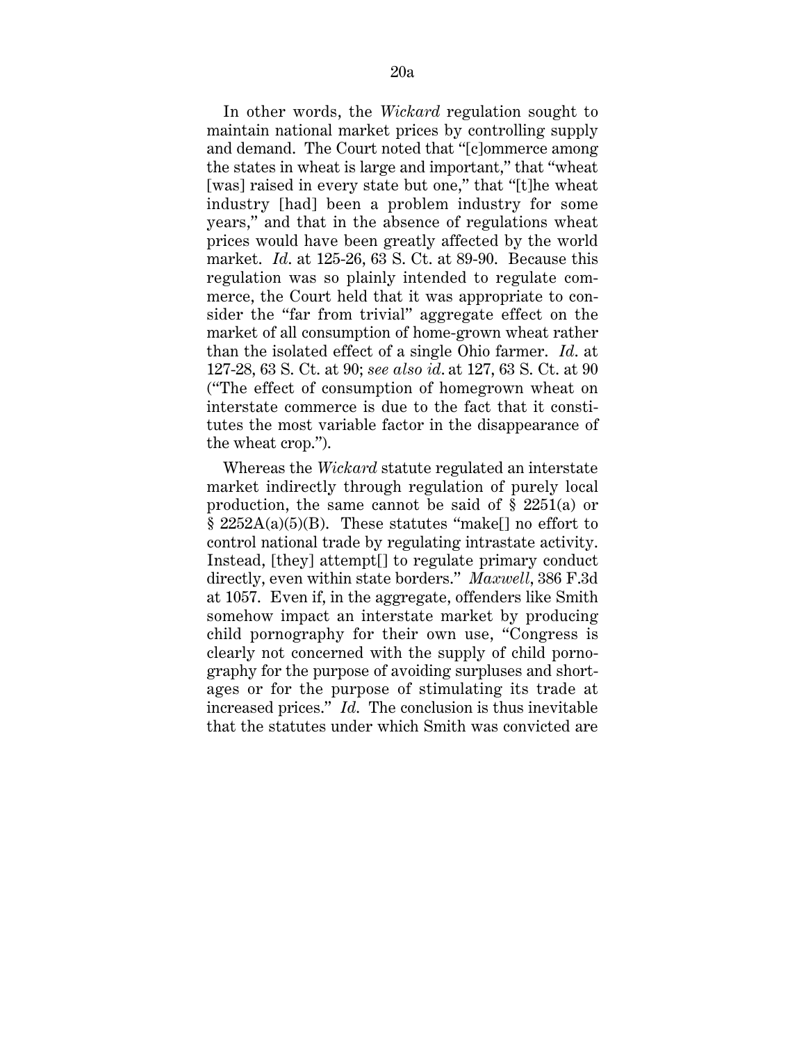In other words, the *Wickard* regulation sought to maintain national market prices by controlling supply and demand. The Court noted that "[c]ommerce among the states in wheat is large and important," that "wheat [was] raised in every state but one," that "[t]he wheat industry [had] been a problem industry for some years," and that in the absence of regulations wheat prices would have been greatly affected by the world market. *Id*. at 125-26, 63 S. Ct. at 89-90. Because this regulation was so plainly intended to regulate commerce, the Court held that it was appropriate to consider the "far from trivial" aggregate effect on the market of all consumption of home-grown wheat rather than the isolated effect of a single Ohio farmer. *Id*. at 127-28, 63 S. Ct. at 90; *see also id*. at 127, 63 S. Ct. at 90 ("The effect of consumption of homegrown wheat on interstate commerce is due to the fact that it constitutes the most variable factor in the disappearance of the wheat crop.").

Whereas the *Wickard* statute regulated an interstate market indirectly through regulation of purely local production, the same cannot be said of § 2251(a) or § 2252A(a)(5)(B). These statutes "make[] no effort to control national trade by regulating intrastate activity. Instead, [they] attempt[] to regulate primary conduct directly, even within state borders." *Maxwell*, 386 F.3d at 1057. Even if, in the aggregate, offenders like Smith somehow impact an interstate market by producing child pornography for their own use, "Congress is clearly not concerned with the supply of child pornography for the purpose of avoiding surpluses and shortages or for the purpose of stimulating its trade at increased prices." *Id*. The conclusion is thus inevitable that the statutes under which Smith was convicted are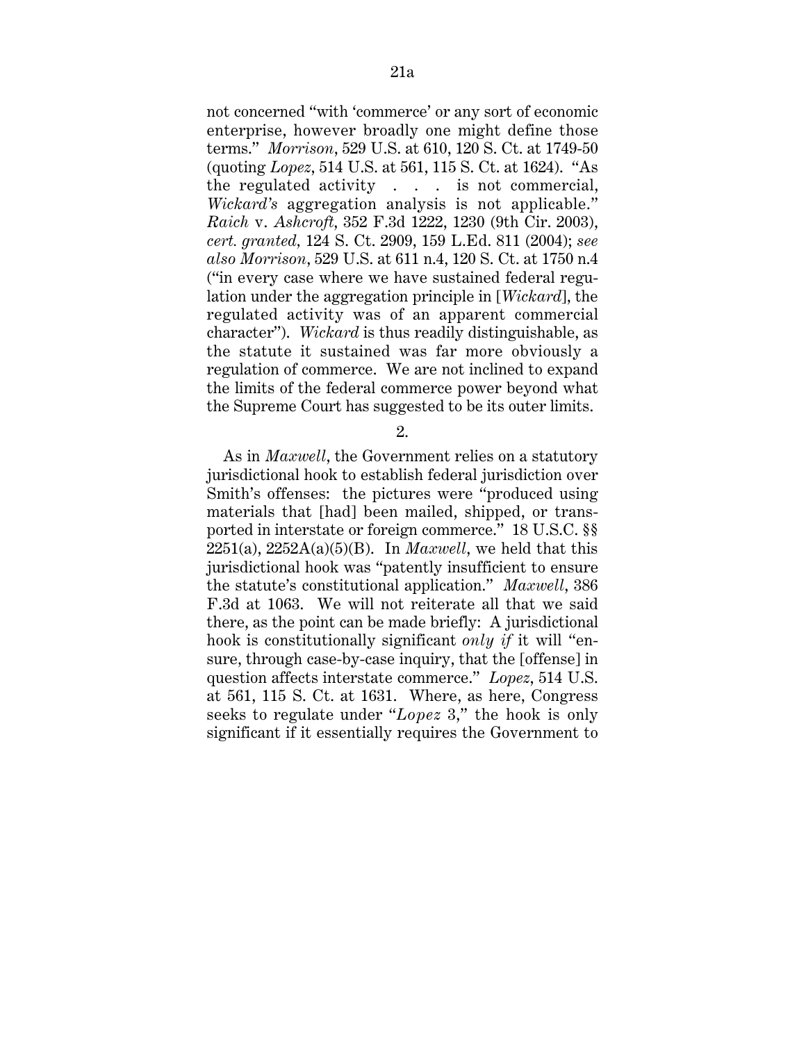not concerned "with 'commerce' or any sort of economic enterprise, however broadly one might define those terms." *Morrison*, 529 U.S. at 610, 120 S. Ct. at 1749-50 (quoting *Lopez*, 514 U.S. at 561, 115 S. Ct. at 1624). "As the regulated activity . . . is not commercial, *Wickard's* aggregation analysis is not applicable." *Raich* v. *Ashcroft*, 352 F.3d 1222, 1230 (9th Cir. 2003), *cert. granted,* 124 S. Ct. 2909, 159 L.Ed. 811 (2004); *see also Morrison*, 529 U.S. at 611 n.4, 120 S. Ct. at 1750 n.4 ("in every case where we have sustained federal regulation under the aggregation principle in [*Wickard*], the regulated activity was of an apparent commercial character"). *Wickard* is thus readily distinguishable, as the statute it sustained was far more obviously a regulation of commerce. We are not inclined to expand the limits of the federal commerce power beyond what the Supreme Court has suggested to be its outer limits.

2.

As in *Maxwell*, the Government relies on a statutory jurisdictional hook to establish federal jurisdiction over Smith's offenses: the pictures were "produced using materials that [had] been mailed, shipped, or transported in interstate or foreign commerce." 18 U.S.C. §§  $2251(a)$ ,  $2252A(a)(5)(B)$ . In *Maxwell*, we held that this jurisdictional hook was "patently insufficient to ensure the statute's constitutional application." *Maxwell*, 386 F.3d at 1063. We will not reiterate all that we said there, as the point can be made briefly: A jurisdictional hook is constitutionally significant *only if* it will "ensure, through case-by-case inquiry, that the [offense] in question affects interstate commerce." *Lopez*, 514 U.S. at 561, 115 S. Ct. at 1631. Where, as here, Congress seeks to regulate under "*Lopez* 3," the hook is only significant if it essentially requires the Government to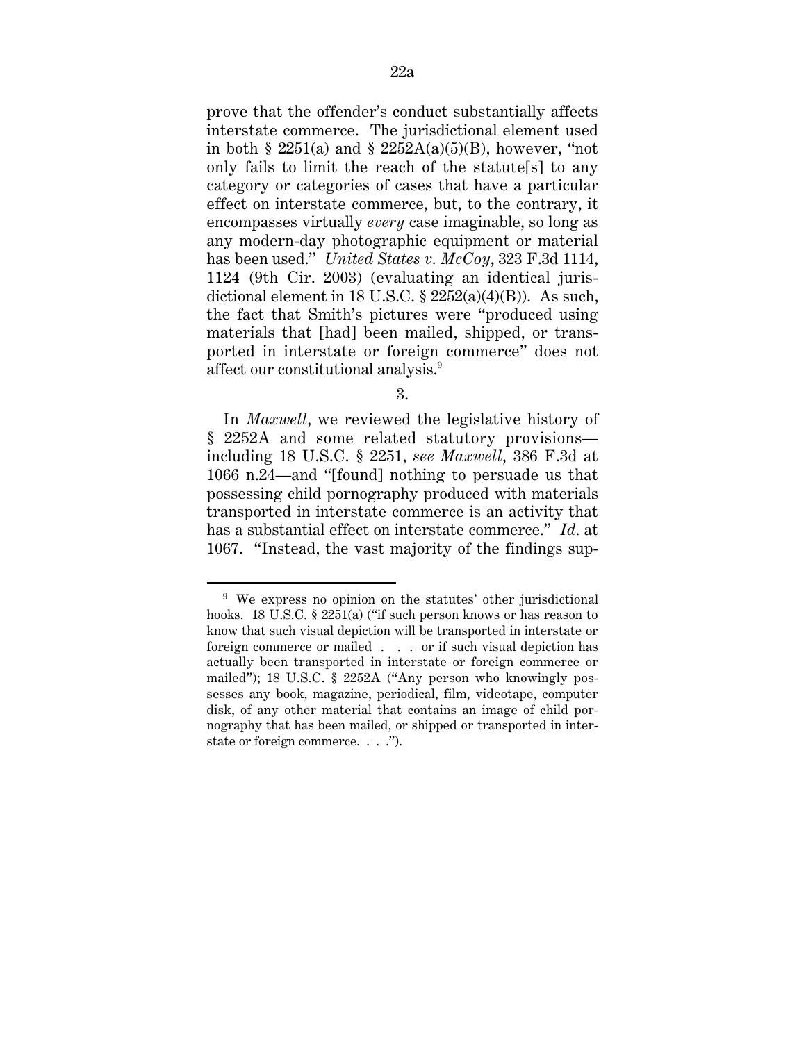prove that the offender's conduct substantially affects interstate commerce. The jurisdictional element used in both § 2251(a) and § 2252A(a)(5)(B), however, "not only fails to limit the reach of the statute[s] to any category or categories of cases that have a particular effect on interstate commerce, but, to the contrary, it encompasses virtually *every* case imaginable, so long as any modern-day photographic equipment or material has been used." *United States v. McCoy*, 323 F.3d 1114, 1124 (9th Cir. 2003) (evaluating an identical jurisdictional element in 18 U.S.C.  $\S 2252(a)(4)(B)$ ). As such, the fact that Smith's pictures were "produced using materials that [had] been mailed, shipped, or transported in interstate or foreign commerce" does not affect our constitutional analysis.9

3.

In *Maxwell*, we reviewed the legislative history of § 2252A and some related statutory provisions including 18 U.S.C. § 2251, *see Maxwell*, 386 F.3d at 1066 n.24—and "[found] nothing to persuade us that possessing child pornography produced with materials transported in interstate commerce is an activity that has a substantial effect on interstate commerce." *Id*. at 1067. "Instead, the vast majority of the findings sup-

 <sup>9</sup> We express no opinion on the statutes' other jurisdictional hooks. 18 U.S.C. § 2251(a) ("if such person knows or has reason to know that such visual depiction will be transported in interstate or foreign commerce or mailed . . . or if such visual depiction has actually been transported in interstate or foreign commerce or mailed"); 18 U.S.C. § 2252A ("Any person who knowingly possesses any book, magazine, periodical, film, videotape, computer disk, of any other material that contains an image of child pornography that has been mailed, or shipped or transported in interstate or foreign commerce. . . .").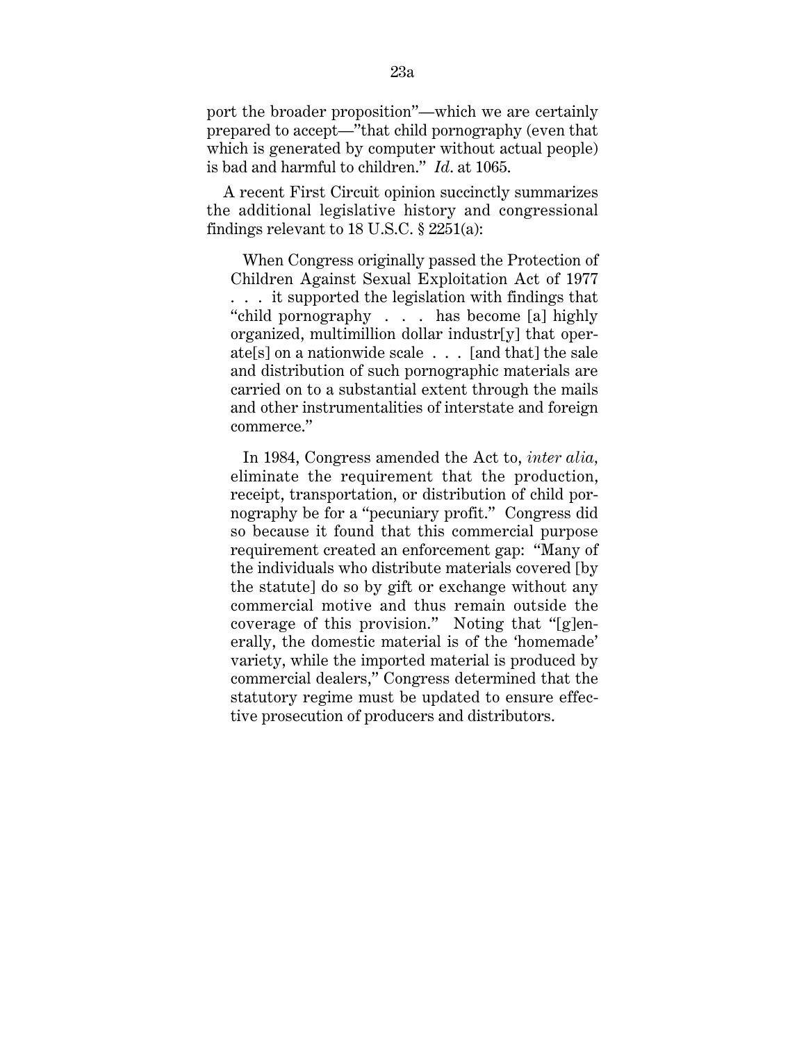port the broader proposition"—which we are certainly prepared to accept—"that child pornography (even that which is generated by computer without actual people) is bad and harmful to children." *Id*. at 1065.

A recent First Circuit opinion succinctly summarizes the additional legislative history and congressional findings relevant to 18 U.S.C. § 2251(a):

When Congress originally passed the Protection of Children Against Sexual Exploitation Act of 1977 . . . it supported the legislation with findings that "child pornography . . . has become [a] highly organized, multimillion dollar industr[y] that operate[s] on a nationwide scale . . . [and that] the sale and distribution of such pornographic materials are carried on to a substantial extent through the mails and other instrumentalities of interstate and foreign commerce."

In 1984, Congress amended the Act to, *inter alia,* eliminate the requirement that the production, receipt, transportation, or distribution of child pornography be for a "pecuniary profit." Congress did so because it found that this commercial purpose requirement created an enforcement gap: "Many of the individuals who distribute materials covered [by the statute] do so by gift or exchange without any commercial motive and thus remain outside the coverage of this provision." Noting that "[g]enerally, the domestic material is of the 'homemade' variety, while the imported material is produced by commercial dealers," Congress determined that the statutory regime must be updated to ensure effective prosecution of producers and distributors.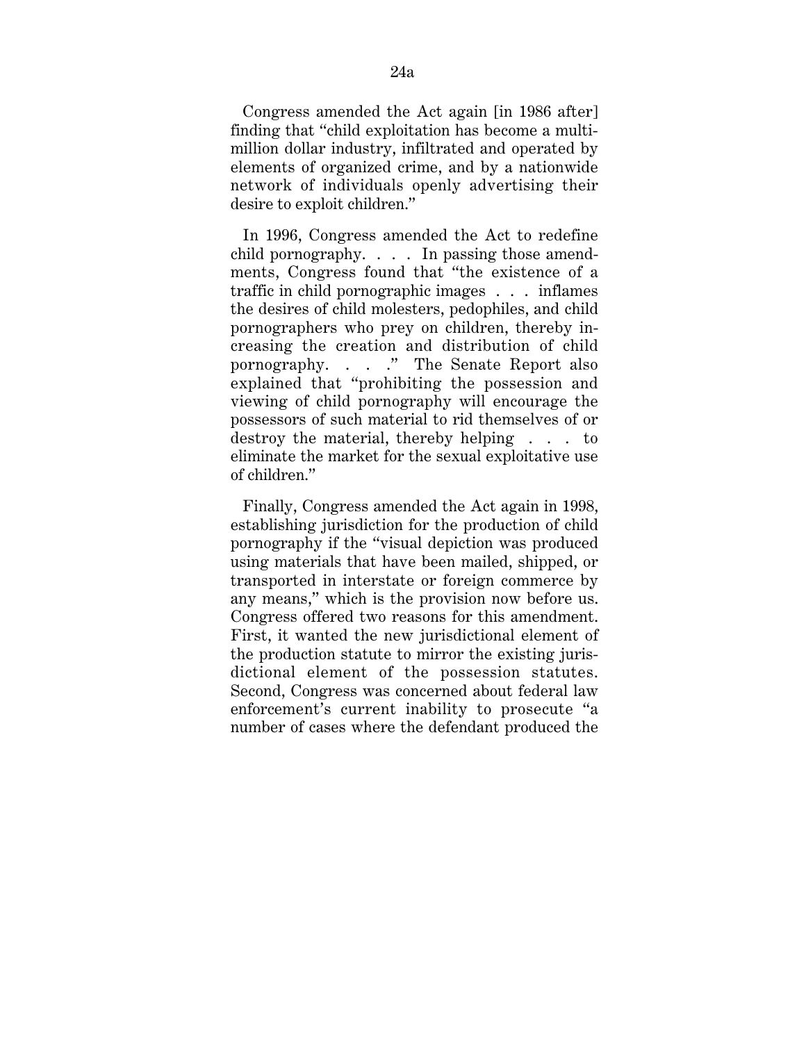Congress amended the Act again [in 1986 after] finding that "child exploitation has become a multimillion dollar industry, infiltrated and operated by elements of organized crime, and by a nationwide network of individuals openly advertising their desire to exploit children."

In 1996, Congress amended the Act to redefine child pornography. . . . In passing those amendments, Congress found that "the existence of a traffic in child pornographic images . . . inflames the desires of child molesters, pedophiles, and child pornographers who prey on children, thereby increasing the creation and distribution of child pornography. . . ." The Senate Report also explained that "prohibiting the possession and viewing of child pornography will encourage the possessors of such material to rid themselves of or destroy the material, thereby helping . . . to eliminate the market for the sexual exploitative use of children."

Finally, Congress amended the Act again in 1998, establishing jurisdiction for the production of child pornography if the "visual depiction was produced using materials that have been mailed, shipped, or transported in interstate or foreign commerce by any means," which is the provision now before us. Congress offered two reasons for this amendment. First, it wanted the new jurisdictional element of the production statute to mirror the existing jurisdictional element of the possession statutes. Second, Congress was concerned about federal law enforcement's current inability to prosecute "a number of cases where the defendant produced the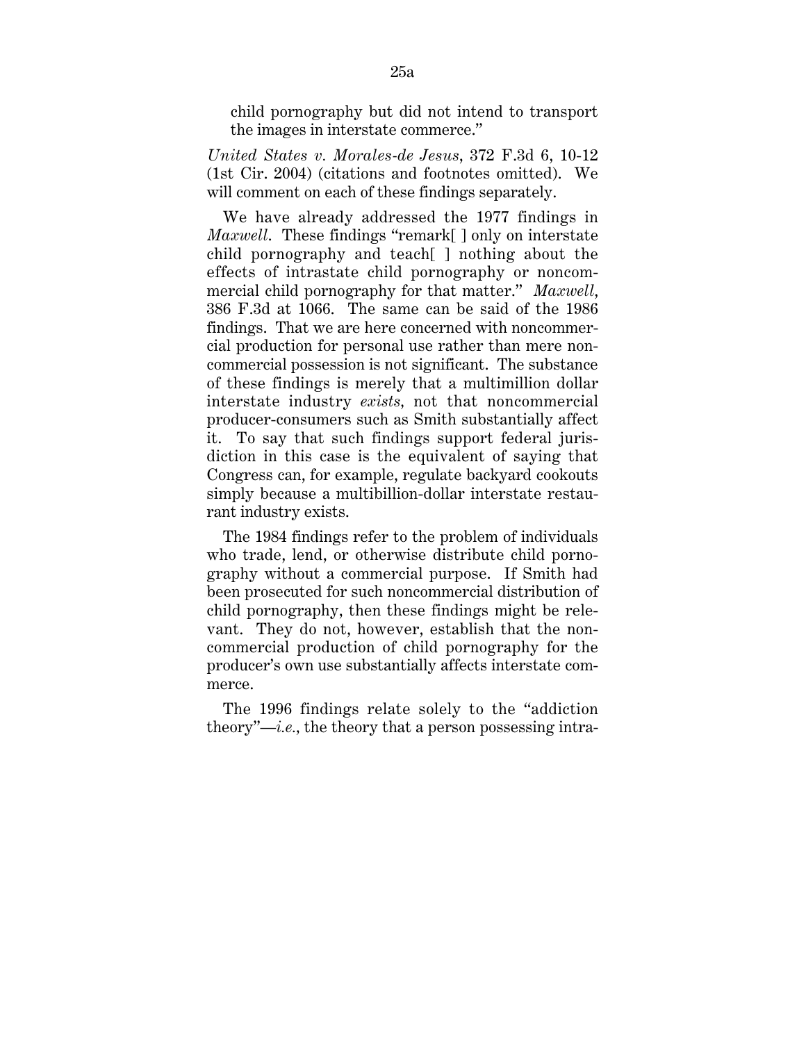child pornography but did not intend to transport the images in interstate commerce."

*United States v. Morales-de Jesus*, 372 F.3d 6, 10-12 (1st Cir. 2004) (citations and footnotes omitted). We will comment on each of these findings separately.

We have already addressed the 1977 findings in *Maxwell*. These findings "remark[ ] only on interstate child pornography and teach[ ] nothing about the effects of intrastate child pornography or noncommercial child pornography for that matter." *Maxwell*, 386 F.3d at 1066. The same can be said of the 1986 findings. That we are here concerned with noncommercial production for personal use rather than mere noncommercial possession is not significant. The substance of these findings is merely that a multimillion dollar interstate industry *exists,* not that noncommercial producer-consumers such as Smith substantially affect it. To say that such findings support federal jurisdiction in this case is the equivalent of saying that Congress can, for example, regulate backyard cookouts simply because a multibillion-dollar interstate restaurant industry exists.

The 1984 findings refer to the problem of individuals who trade, lend, or otherwise distribute child pornography without a commercial purpose. If Smith had been prosecuted for such noncommercial distribution of child pornography, then these findings might be relevant. They do not, however, establish that the noncommercial production of child pornography for the producer's own use substantially affects interstate commerce.

The 1996 findings relate solely to the "addiction theory"—*i.e.,* the theory that a person possessing intra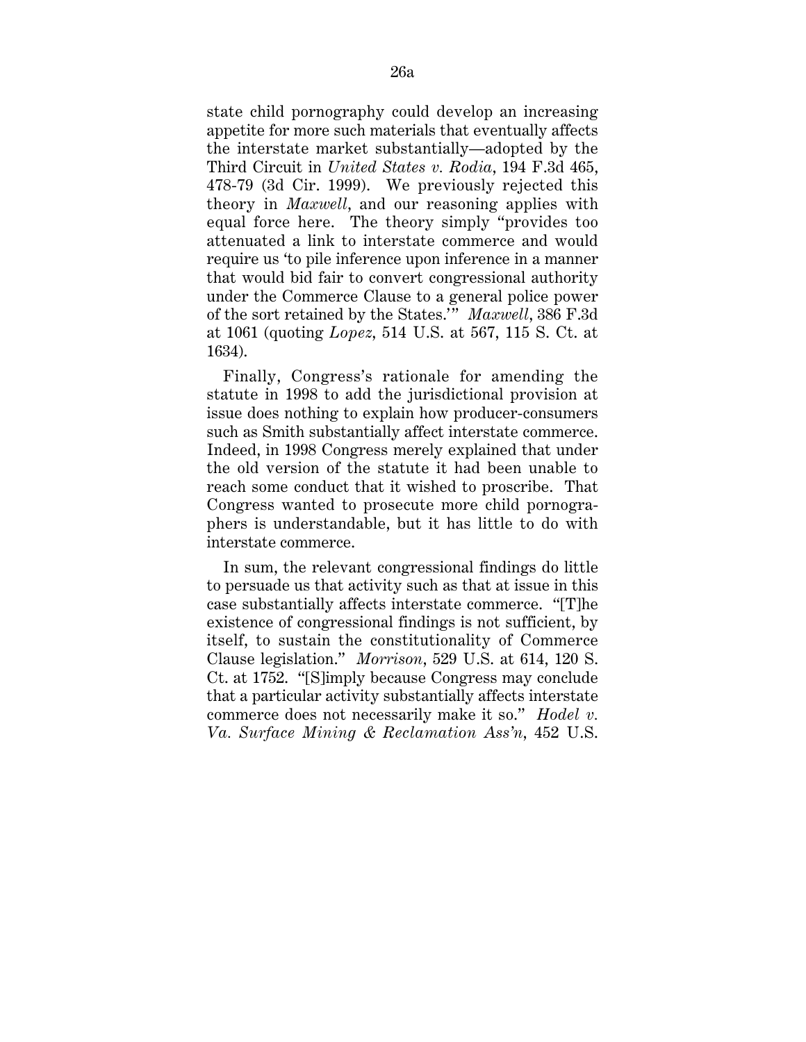state child pornography could develop an increasing appetite for more such materials that eventually affects the interstate market substantially—adopted by the Third Circuit in *United States v. Rodia*, 194 F.3d 465, 478-79 (3d Cir. 1999). We previously rejected this theory in *Maxwell*, and our reasoning applies with equal force here. The theory simply "provides too attenuated a link to interstate commerce and would require us 'to pile inference upon inference in a manner that would bid fair to convert congressional authority under the Commerce Clause to a general police power of the sort retained by the States." *Maxwell*, 386 F.3d at 1061 (quoting *Lopez*, 514 U.S. at 567, 115 S. Ct. at 1634).

Finally, Congress's rationale for amending the statute in 1998 to add the jurisdictional provision at issue does nothing to explain how producer-consumers such as Smith substantially affect interstate commerce. Indeed, in 1998 Congress merely explained that under the old version of the statute it had been unable to reach some conduct that it wished to proscribe. That Congress wanted to prosecute more child pornographers is understandable, but it has little to do with interstate commerce.

In sum, the relevant congressional findings do little to persuade us that activity such as that at issue in this case substantially affects interstate commerce. "[T]he existence of congressional findings is not sufficient, by itself, to sustain the constitutionality of Commerce Clause legislation." *Morrison*, 529 U.S. at 614, 120 S. Ct. at 1752. "[S]imply because Congress may conclude that a particular activity substantially affects interstate commerce does not necessarily make it so." *Hodel v. Va. Surface Mining & Reclamation Ass'n*, 452 U.S.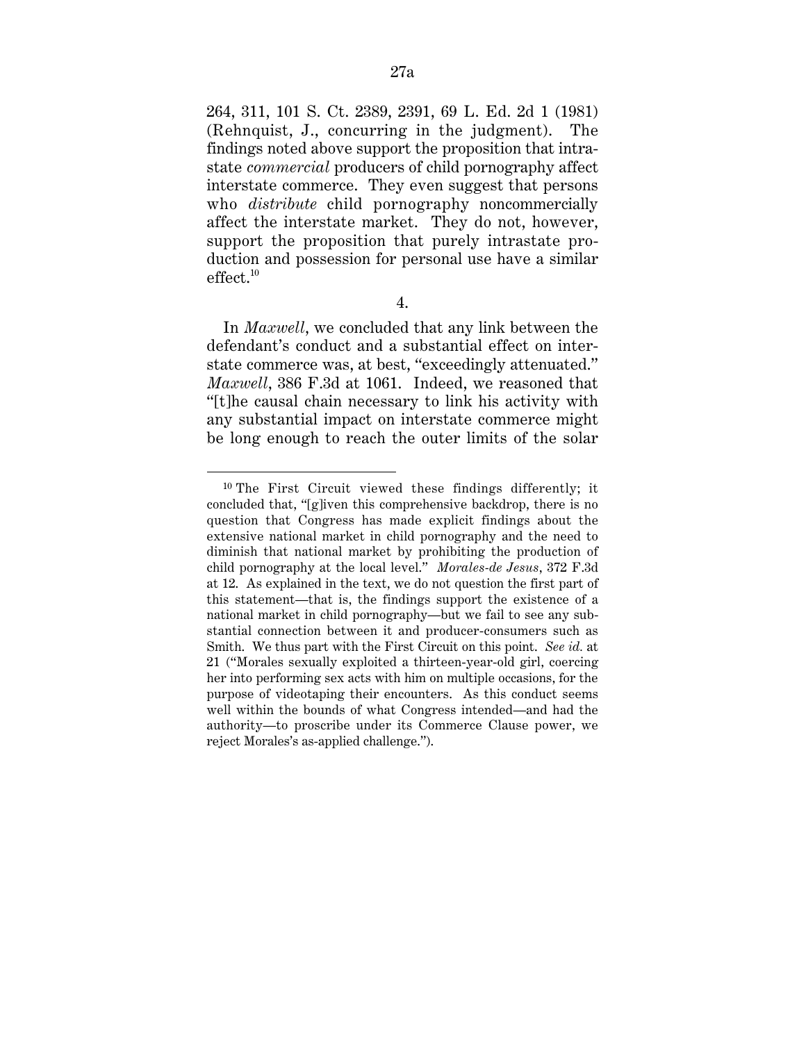264, 311, 101 S. Ct. 2389, 2391, 69 L. Ed. 2d 1 (1981) (Rehnquist, J., concurring in the judgment). The findings noted above support the proposition that intrastate *commercial* producers of child pornography affect interstate commerce. They even suggest that persons who *distribute* child pornography noncommercially affect the interstate market. They do not, however, support the proposition that purely intrastate production and possession for personal use have a similar effect.<sup>10</sup>

4.

In *Maxwell*, we concluded that any link between the defendant's conduct and a substantial effect on interstate commerce was, at best, "exceedingly attenuated." *Maxwell*, 386 F.3d at 1061. Indeed, we reasoned that "[t]he causal chain necessary to link his activity with any substantial impact on interstate commerce might be long enough to reach the outer limits of the solar

 <sup>10</sup> The First Circuit viewed these findings differently; it concluded that, "[g]iven this comprehensive backdrop, there is no question that Congress has made explicit findings about the extensive national market in child pornography and the need to diminish that national market by prohibiting the production of child pornography at the local level." *Morales-de Jesus*, 372 F.3d at 12. As explained in the text, we do not question the first part of this statement—that is, the findings support the existence of a national market in child pornography—but we fail to see any substantial connection between it and producer-consumers such as Smith. We thus part with the First Circuit on this point. *See id.* at 21 ("Morales sexually exploited a thirteen-year-old girl, coercing her into performing sex acts with him on multiple occasions, for the purpose of videotaping their encounters. As this conduct seems well within the bounds of what Congress intended—and had the authority—to proscribe under its Commerce Clause power, we reject Morales's as-applied challenge.").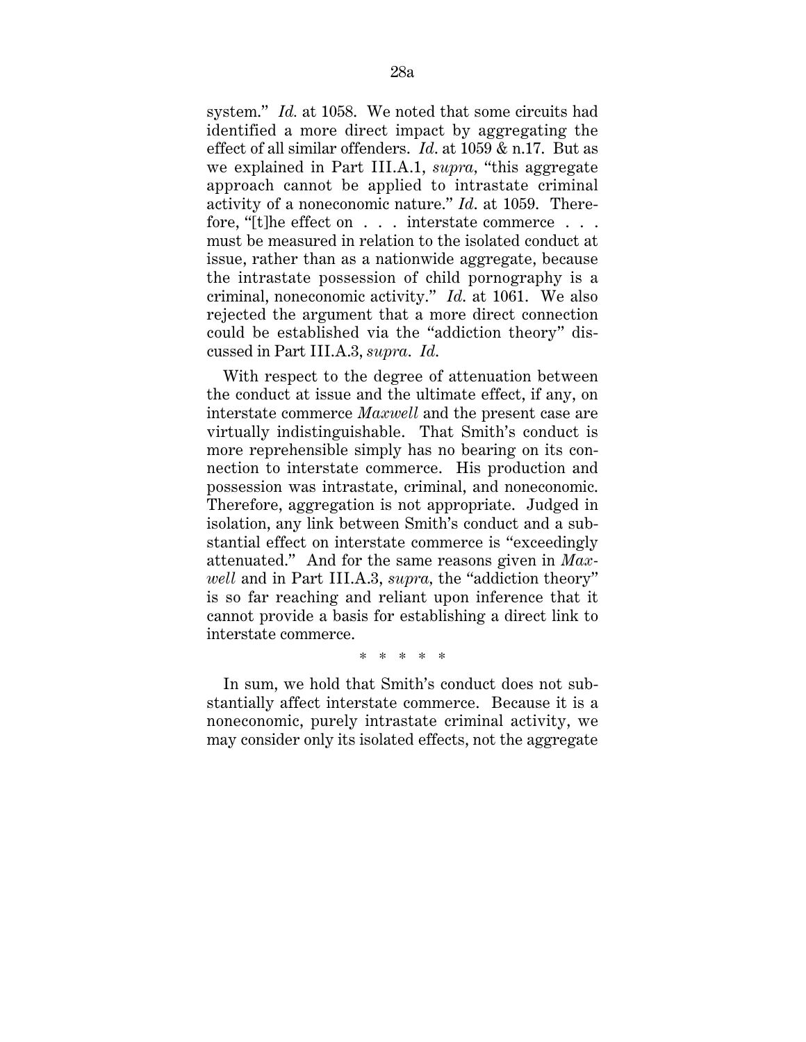system." *Id.* at 1058. We noted that some circuits had identified a more direct impact by aggregating the effect of all similar offenders. *Id*. at 1059 & n.17. But as we explained in Part III.A.1, *supra,* "this aggregate approach cannot be applied to intrastate criminal activity of a noneconomic nature." *Id*. at 1059. Therefore, "[t]he effect on . . . interstate commerce . . . must be measured in relation to the isolated conduct at issue, rather than as a nationwide aggregate, because the intrastate possession of child pornography is a criminal, noneconomic activity." *Id*. at 1061. We also rejected the argument that a more direct connection could be established via the "addiction theory" discussed in Part III.A.3, *supra*. *Id*.

With respect to the degree of attenuation between the conduct at issue and the ultimate effect, if any, on interstate commerce *Maxwell* and the present case are virtually indistinguishable. That Smith's conduct is more reprehensible simply has no bearing on its connection to interstate commerce. His production and possession was intrastate, criminal, and noneconomic. Therefore, aggregation is not appropriate. Judged in isolation, any link between Smith's conduct and a substantial effect on interstate commerce is "exceedingly attenuated." And for the same reasons given in *Maxwell* and in Part III.A.3, *supra,* the "addiction theory" is so far reaching and reliant upon inference that it cannot provide a basis for establishing a direct link to interstate commerce.

\* \* \* \* \*

In sum, we hold that Smith's conduct does not substantially affect interstate commerce. Because it is a noneconomic, purely intrastate criminal activity, we may consider only its isolated effects, not the aggregate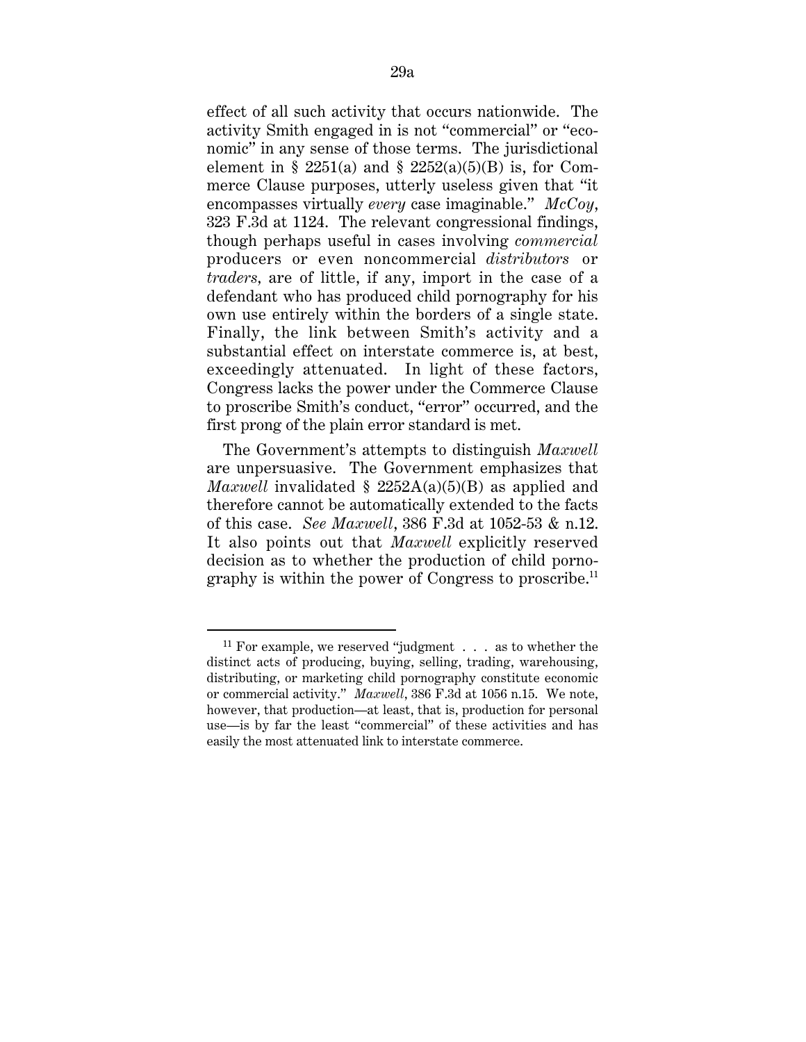effect of all such activity that occurs nationwide. The activity Smith engaged in is not "commercial" or "economic" in any sense of those terms. The jurisdictional element in § 2251(a) and § 2252(a)(5)(B) is, for Commerce Clause purposes, utterly useless given that "it encompasses virtually *every* case imaginable." *McCoy*, 323 F.3d at 1124. The relevant congressional findings, though perhaps useful in cases involving *commercial* producers or even noncommercial *distributors* or *traders,* are of little, if any, import in the case of a defendant who has produced child pornography for his own use entirely within the borders of a single state. Finally, the link between Smith's activity and a substantial effect on interstate commerce is, at best, exceedingly attenuated. In light of these factors, Congress lacks the power under the Commerce Clause to proscribe Smith's conduct, "error" occurred, and the first prong of the plain error standard is met.

The Government's attempts to distinguish *Maxwell* are unpersuasive. The Government emphasizes that *Maxwell* invalidated § 2252A(a)(5)(B) as applied and therefore cannot be automatically extended to the facts of this case. *See Maxwell*, 386 F.3d at 1052-53 & n.12. It also points out that *Maxwell* explicitly reserved decision as to whether the production of child pornography is within the power of Congress to proscribe.<sup>11</sup>

 <sup>11</sup> For example, we reserved "judgment . . . as to whether the distinct acts of producing, buying, selling, trading, warehousing, distributing, or marketing child pornography constitute economic or commercial activity." *Maxwell*, 386 F.3d at 1056 n.15. We note, however, that production—at least, that is, production for personal use—is by far the least "commercial" of these activities and has easily the most attenuated link to interstate commerce.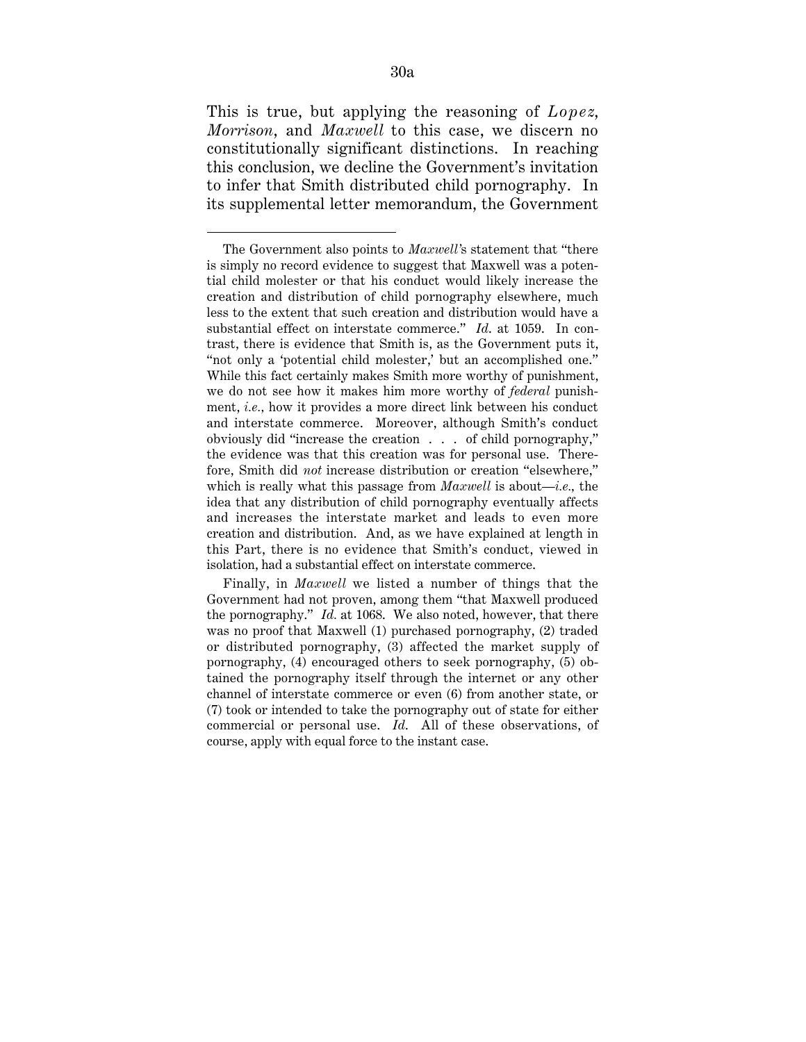This is true, but applying the reasoning of *Lopez*, *Morrison*, and *Maxwell* to this case, we discern no constitutionally significant distinctions. In reaching this conclusion, we decline the Government's invitation to infer that Smith distributed child pornography. In its supplemental letter memorandum, the Government

 $\overline{a}$ 

The Government also points to *Maxwell'*s statement that "there is simply no record evidence to suggest that Maxwell was a potential child molester or that his conduct would likely increase the creation and distribution of child pornography elsewhere, much less to the extent that such creation and distribution would have a substantial effect on interstate commerce." *Id*. at 1059. In contrast, there is evidence that Smith is, as the Government puts it, "not only a 'potential child molester,' but an accomplished one." While this fact certainly makes Smith more worthy of punishment, we do not see how it makes him more worthy of *federal* punishment, *i.e.,* how it provides a more direct link between his conduct and interstate commerce. Moreover, although Smith's conduct obviously did "increase the creation . . . of child pornography," the evidence was that this creation was for personal use. Therefore, Smith did *not* increase distribution or creation "elsewhere," which is really what this passage from *Maxwell* is about—*i.e.,* the idea that any distribution of child pornography eventually affects and increases the interstate market and leads to even more creation and distribution. And, as we have explained at length in this Part, there is no evidence that Smith's conduct, viewed in isolation, had a substantial effect on interstate commerce.

Finally, in *Maxwell* we listed a number of things that the Government had not proven, among them "that Maxwell produced the pornography." *Id.* at 1068. We also noted, however, that there was no proof that Maxwell (1) purchased pornography, (2) traded or distributed pornography, (3) affected the market supply of pornography, (4) encouraged others to seek pornography, (5) obtained the pornography itself through the internet or any other channel of interstate commerce or even (6) from another state, or (7) took or intended to take the pornography out of state for either commercial or personal use. *Id*. All of these observations, of course, apply with equal force to the instant case.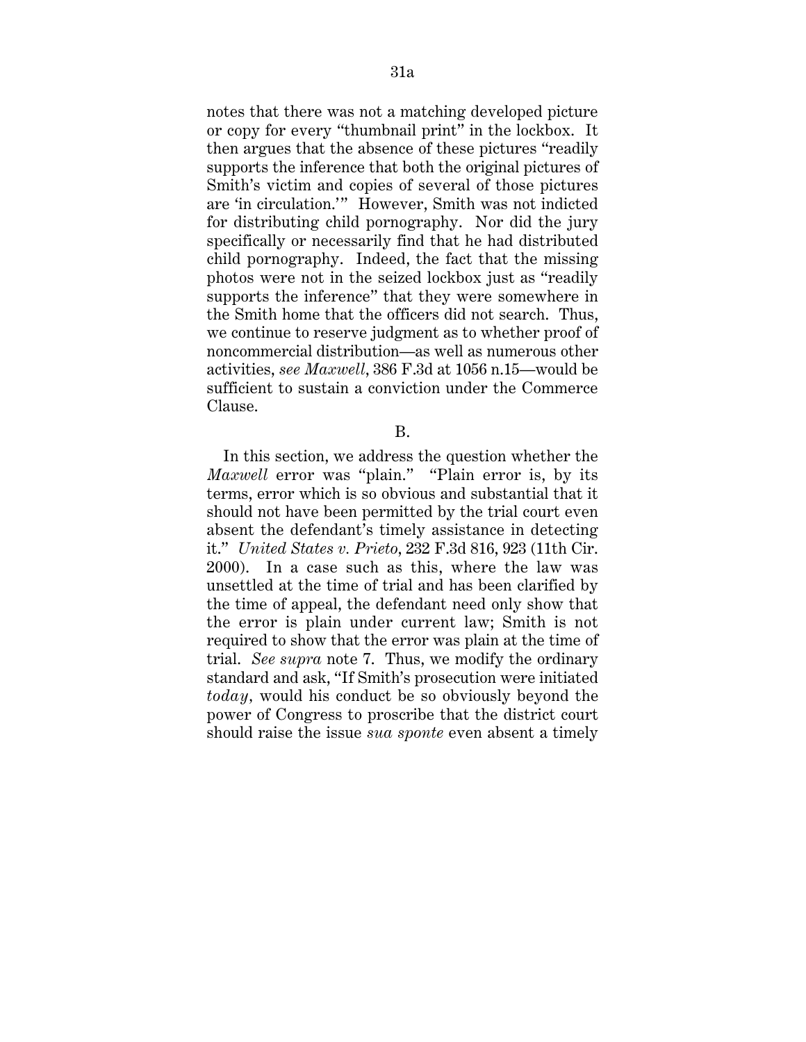notes that there was not a matching developed picture or copy for every "thumbnail print" in the lockbox. It then argues that the absence of these pictures "readily supports the inference that both the original pictures of Smith's victim and copies of several of those pictures are 'in circulation.'" However, Smith was not indicted for distributing child pornography. Nor did the jury specifically or necessarily find that he had distributed child pornography. Indeed, the fact that the missing photos were not in the seized lockbox just as "readily supports the inference" that they were somewhere in the Smith home that the officers did not search. Thus, we continue to reserve judgment as to whether proof of noncommercial distribution—as well as numerous other activities, *see Maxwell*, 386 F.3d at 1056 n.15—would be sufficient to sustain a conviction under the Commerce Clause.

B.

In this section, we address the question whether the *Maxwell* error was "plain." "Plain error is, by its terms, error which is so obvious and substantial that it should not have been permitted by the trial court even absent the defendant's timely assistance in detecting it." *United States v. Prieto*, 232 F.3d 816, 923 (11th Cir. 2000). In a case such as this, where the law was unsettled at the time of trial and has been clarified by the time of appeal, the defendant need only show that the error is plain under current law; Smith is not required to show that the error was plain at the time of trial. *See supra* note 7. Thus, we modify the ordinary standard and ask, "If Smith's prosecution were initiated *today,* would his conduct be so obviously beyond the power of Congress to proscribe that the district court should raise the issue *sua sponte* even absent a timely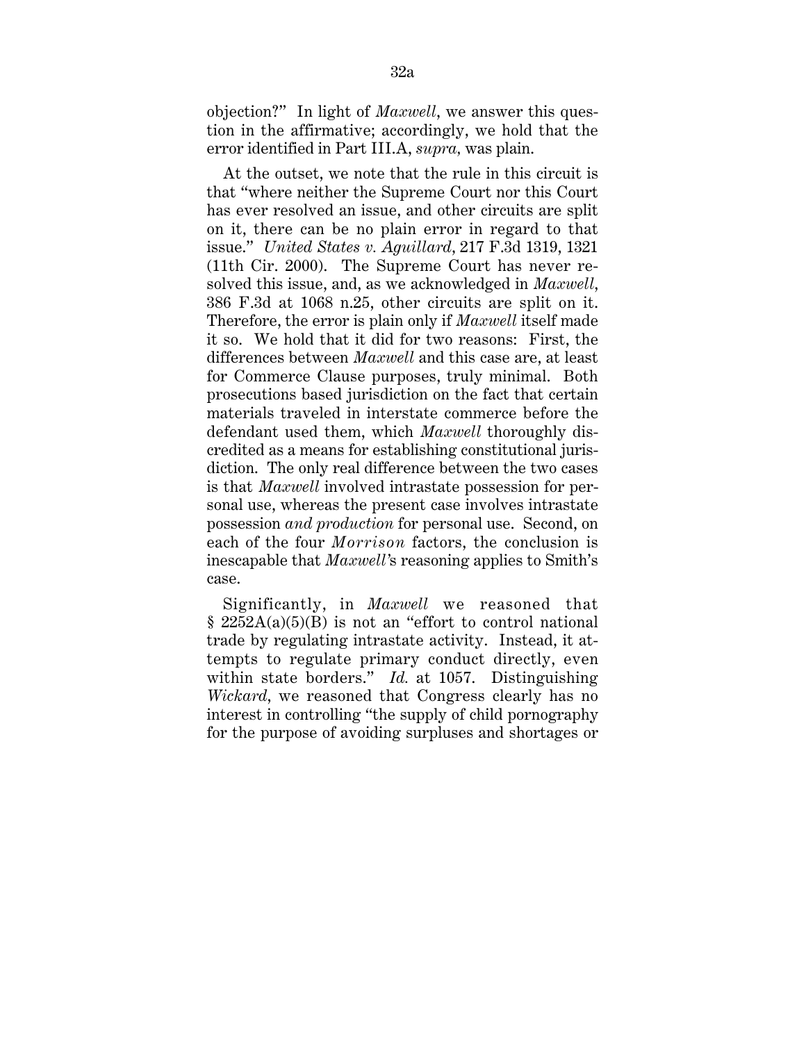objection?" In light of *Maxwell*, we answer this question in the affirmative; accordingly, we hold that the error identified in Part III.A, *supra,* was plain.

At the outset, we note that the rule in this circuit is that "where neither the Supreme Court nor this Court has ever resolved an issue, and other circuits are split on it, there can be no plain error in regard to that issue." *United States v. Aguillard*, 217 F.3d 1319, 1321 (11th Cir. 2000). The Supreme Court has never resolved this issue, and, as we acknowledged in *Maxwell*, 386 F.3d at 1068 n.25, other circuits are split on it. Therefore, the error is plain only if *Maxwell* itself made it so. We hold that it did for two reasons: First, the differences between *Maxwell* and this case are, at least for Commerce Clause purposes, truly minimal. Both prosecutions based jurisdiction on the fact that certain materials traveled in interstate commerce before the defendant used them, which *Maxwell* thoroughly discredited as a means for establishing constitutional jurisdiction. The only real difference between the two cases is that *Maxwell* involved intrastate possession for personal use, whereas the present case involves intrastate possession *and production* for personal use. Second, on each of the four *Morrison* factors, the conclusion is inescapable that *Maxwell'*s reasoning applies to Smith's case.

Significantly, in *Maxwell* we reasoned that  $§ 2252A(a)(5)(B)$  is not an "effort to control national trade by regulating intrastate activity. Instead, it attempts to regulate primary conduct directly, even within state borders." *Id.* at 1057. Distinguishing *Wickard*, we reasoned that Congress clearly has no interest in controlling "the supply of child pornography for the purpose of avoiding surpluses and shortages or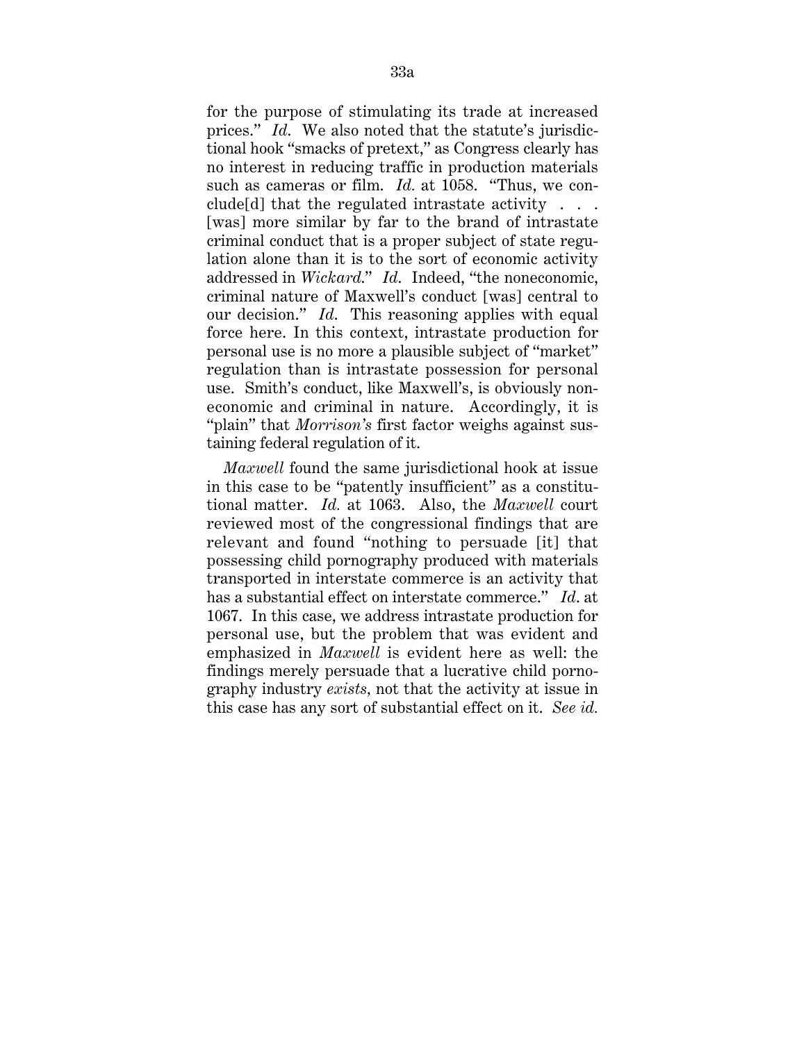for the purpose of stimulating its trade at increased prices." *Id*. We also noted that the statute's jurisdictional hook "smacks of pretext," as Congress clearly has no interest in reducing traffic in production materials such as cameras or film. *Id.* at 1058. "Thus, we conclude[d] that the regulated intrastate activity . . . [was] more similar by far to the brand of intrastate criminal conduct that is a proper subject of state regulation alone than it is to the sort of economic activity addressed in *Wickard*." *Id*. Indeed, "the noneconomic, criminal nature of Maxwell's conduct [was] central to our decision." *Id*. This reasoning applies with equal force here. In this context, intrastate production for personal use is no more a plausible subject of "market" regulation than is intrastate possession for personal use. Smith's conduct, like Maxwell's, is obviously noneconomic and criminal in nature. Accordingly, it is "plain" that *Morrison's* first factor weighs against sustaining federal regulation of it.

*Maxwell* found the same jurisdictional hook at issue in this case to be "patently insufficient" as a constitutional matter. *Id.* at 1063. Also, the *Maxwell* court reviewed most of the congressional findings that are relevant and found "nothing to persuade [it] that possessing child pornography produced with materials transported in interstate commerce is an activity that has a substantial effect on interstate commerce." *Id*. at 1067. In this case, we address intrastate production for personal use, but the problem that was evident and emphasized in *Maxwell* is evident here as well: the findings merely persuade that a lucrative child pornography industry *exists,* not that the activity at issue in this case has any sort of substantial effect on it. *See id.*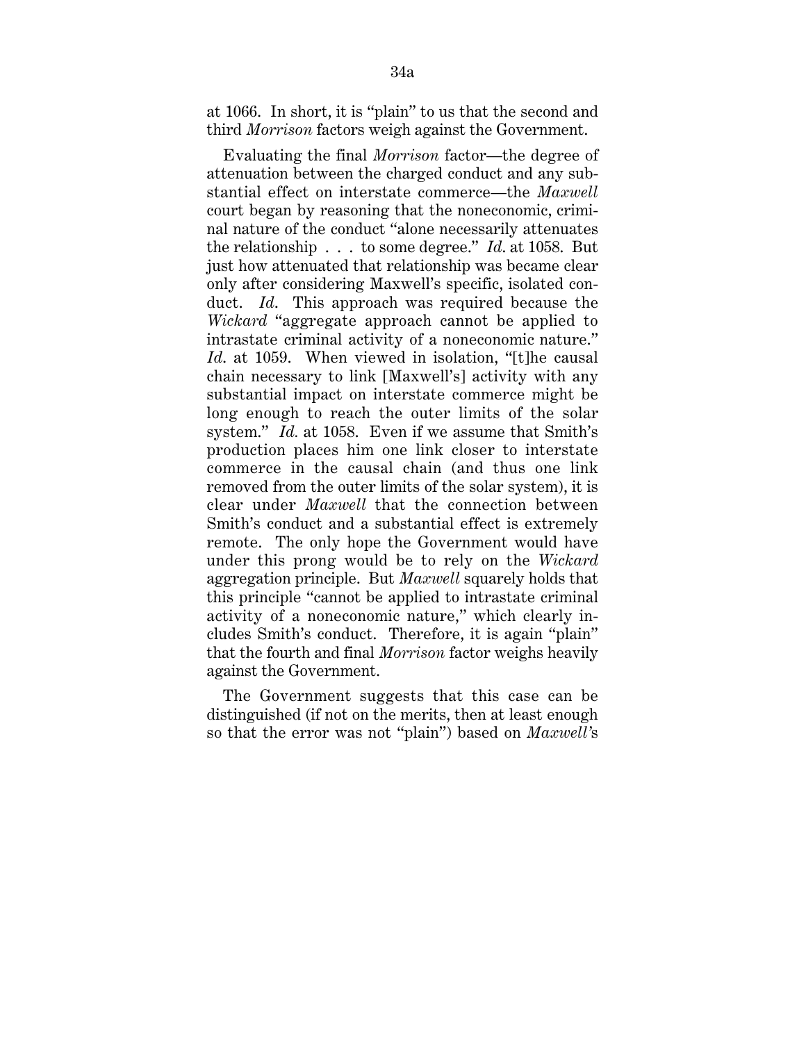at 1066. In short, it is "plain" to us that the second and third *Morrison* factors weigh against the Government.

Evaluating the final *Morrison* factor—the degree of attenuation between the charged conduct and any substantial effect on interstate commerce—the *Maxwell* court began by reasoning that the noneconomic, criminal nature of the conduct "alone necessarily attenuates the relationship . . . to some degree." *Id*. at 1058. But just how attenuated that relationship was became clear only after considering Maxwell's specific, isolated conduct. *Id*. This approach was required because the *Wickard* "aggregate approach cannot be applied to intrastate criminal activity of a noneconomic nature." *Id*. at 1059. When viewed in isolation, "[t]he causal chain necessary to link [Maxwell's] activity with any substantial impact on interstate commerce might be long enough to reach the outer limits of the solar system." *Id.* at 1058. Even if we assume that Smith's production places him one link closer to interstate commerce in the causal chain (and thus one link removed from the outer limits of the solar system), it is clear under *Maxwell* that the connection between Smith's conduct and a substantial effect is extremely remote. The only hope the Government would have under this prong would be to rely on the *Wickard* aggregation principle. But *Maxwell* squarely holds that this principle "cannot be applied to intrastate criminal activity of a noneconomic nature," which clearly includes Smith's conduct. Therefore, it is again "plain" that the fourth and final *Morrison* factor weighs heavily against the Government.

The Government suggests that this case can be distinguished (if not on the merits, then at least enough so that the error was not "plain") based on *Maxwell'*s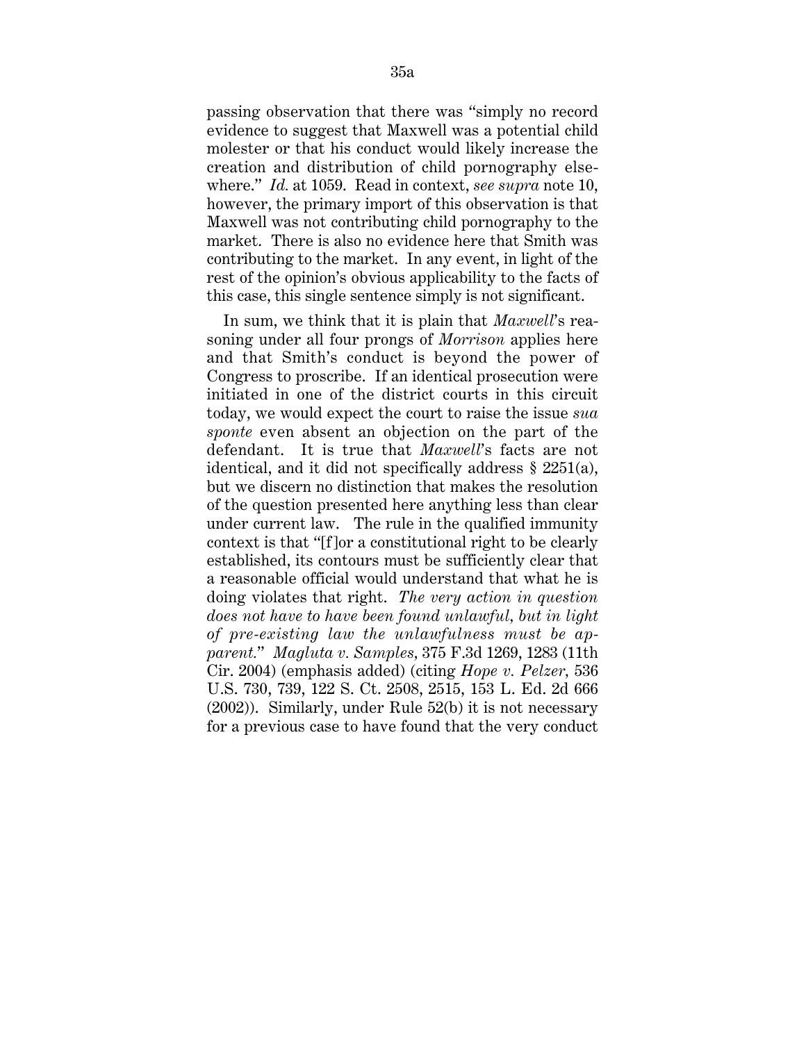passing observation that there was "simply no record evidence to suggest that Maxwell was a potential child molester or that his conduct would likely increase the creation and distribution of child pornography elsewhere." *Id.* at 1059. Read in context, *see supra* note 10, however, the primary import of this observation is that Maxwell was not contributing child pornography to the market. There is also no evidence here that Smith was contributing to the market. In any event, in light of the rest of the opinion's obvious applicability to the facts of this case, this single sentence simply is not significant.

In sum, we think that it is plain that *Maxwell*'s reasoning under all four prongs of *Morrison* applies here and that Smith's conduct is beyond the power of Congress to proscribe. If an identical prosecution were initiated in one of the district courts in this circuit today, we would expect the court to raise the issue *sua sponte* even absent an objection on the part of the defendant. It is true that *Maxwell*'s facts are not identical, and it did not specifically address § 2251(a), but we discern no distinction that makes the resolution of the question presented here anything less than clear under current law. The rule in the qualified immunity context is that "[f ]or a constitutional right to be clearly established, its contours must be sufficiently clear that a reasonable official would understand that what he is doing violates that right. *The very action in question does not have to have been found unlawful, but in light of pre-existing law the unlawfulness must be apparent.*" *Magluta v. Samples,* 375 F.3d 1269, 1283 (11th Cir. 2004) (emphasis added) (citing *Hope v. Pelzer,* 536 U.S. 730, 739, 122 S. Ct. 2508, 2515, 153 L. Ed. 2d 666 (2002)). Similarly, under Rule 52(b) it is not necessary for a previous case to have found that the very conduct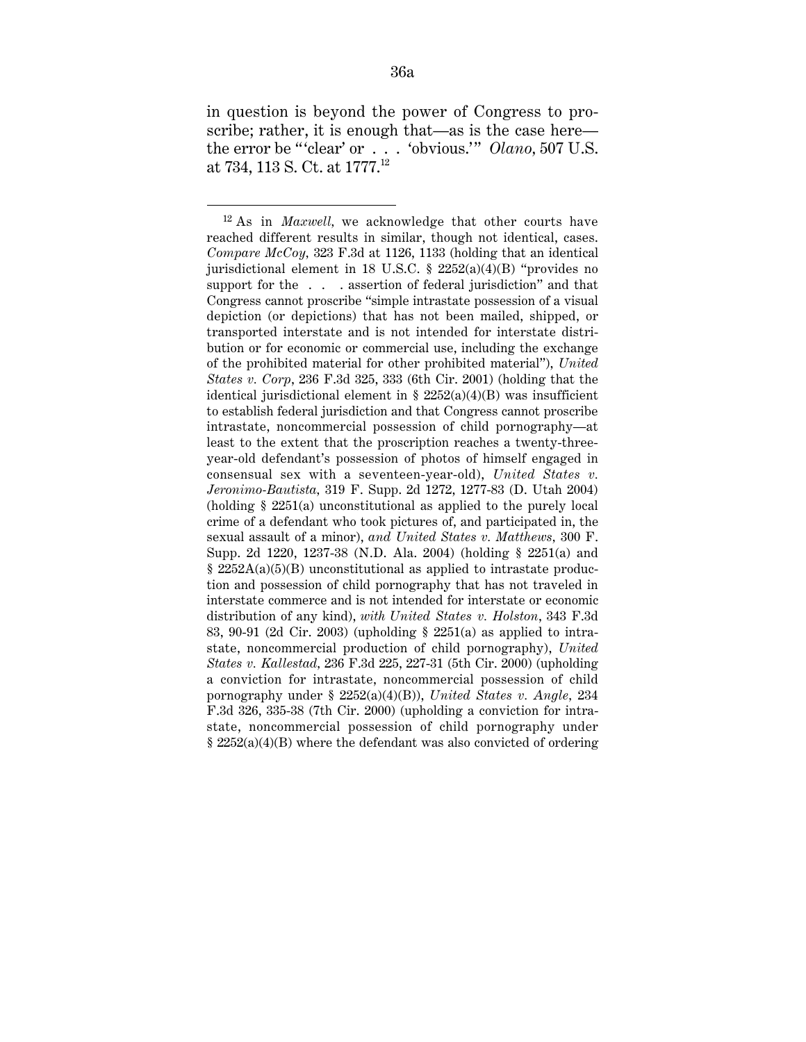in question is beyond the power of Congress to proscribe; rather, it is enough that—as is the case here the error be "'clear' or . . . 'obvious.'" *Olano*, 507 U.S. at 734, 113 S. Ct. at 1777.12

 <sup>12</sup> As in *Maxwell,* we acknowledge that other courts have reached different results in similar, though not identical, cases. *Compare McCoy,* 323 F.3d at 1126, 1133 (holding that an identical jurisdictional element in 18 U.S.C. § 2252(a)(4)(B) "provides no support for the . . . assertion of federal jurisdiction" and that Congress cannot proscribe "simple intrastate possession of a visual depiction (or depictions) that has not been mailed, shipped, or transported interstate and is not intended for interstate distribution or for economic or commercial use, including the exchange of the prohibited material for other prohibited material"), *United States v. Corp*, 236 F.3d 325, 333 (6th Cir. 2001) (holding that the identical jurisdictional element in  $\S$  2252(a)(4)(B) was insufficient to establish federal jurisdiction and that Congress cannot proscribe intrastate, noncommercial possession of child pornography—at least to the extent that the proscription reaches a twenty-threeyear-old defendant's possession of photos of himself engaged in consensual sex with a seventeen-year-old), *United States v. Jeronimo-Bautista,* 319 F. Supp. 2d 1272, 1277-83 (D. Utah 2004) (holding § 2251(a) unconstitutional as applied to the purely local crime of a defendant who took pictures of, and participated in, the sexual assault of a minor), *and United States v. Matthews,* 300 F. Supp. 2d 1220, 1237-38 (N.D. Ala. 2004) (holding § 2251(a) and § 2252A(a)(5)(B) unconstitutional as applied to intrastate production and possession of child pornography that has not traveled in interstate commerce and is not intended for interstate or economic distribution of any kind), *with United States v. Holston*, 343 F.3d 83, 90-91 (2d Cir. 2003) (upholding § 2251(a) as applied to intrastate, noncommercial production of child pornography), *United States v. Kallestad,* 236 F.3d 225, 227-31 (5th Cir. 2000) (upholding a conviction for intrastate, noncommercial possession of child pornography under § 2252(a)(4)(B)), *United States v. Angle,* 234 F.3d 326, 335-38 (7th Cir. 2000) (upholding a conviction for intrastate, noncommercial possession of child pornography under § 2252(a)(4)(B) where the defendant was also convicted of ordering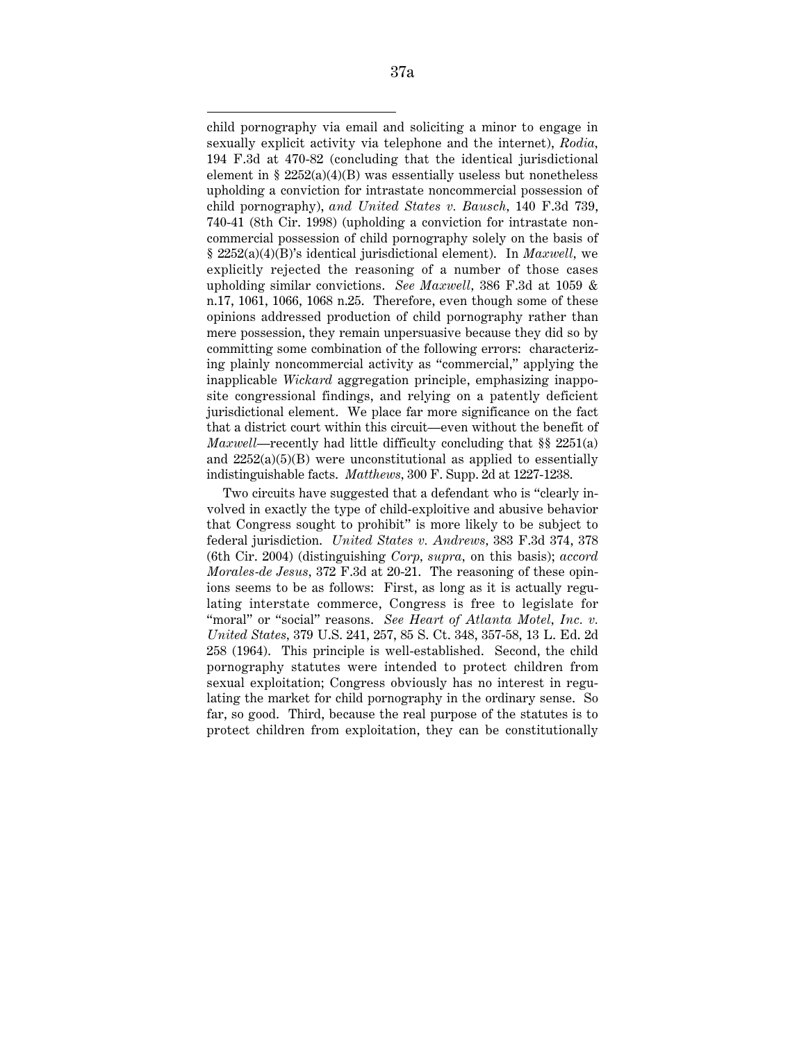child pornography via email and soliciting a minor to engage in sexually explicit activity via telephone and the internet), *Rodia,* 194 F.3d at 470-82 (concluding that the identical jurisdictional element in  $\S 2252(a)(4)(B)$  was essentially useless but nonetheless upholding a conviction for intrastate noncommercial possession of child pornography), *and United States v. Bausch,* 140 F.3d 739, 740-41 (8th Cir. 1998) (upholding a conviction for intrastate noncommercial possession of child pornography solely on the basis of § 2252(a)(4)(B)'s identical jurisdictional element). In *Maxwell,* we explicitly rejected the reasoning of a number of those cases upholding similar convictions. *See Maxwell,* 386 F.3d at 1059 & n.17, 1061, 1066, 1068 n.25. Therefore, even though some of these opinions addressed production of child pornography rather than mere possession, they remain unpersuasive because they did so by committing some combination of the following errors: characterizing plainly noncommercial activity as "commercial," applying the inapplicable *Wickard* aggregation principle, emphasizing inapposite congressional findings, and relying on a patently deficient jurisdictional element. We place far more significance on the fact that a district court within this circuit—even without the benefit of *Maxwell*—recently had little difficulty concluding that §§ 2251(a) and  $2252(a)(5)(B)$  were unconstitutional as applied to essentially indistinguishable facts. *Matthews,* 300 F. Supp. 2d at 1227-1238.

Two circuits have suggested that a defendant who is "clearly involved in exactly the type of child-exploitive and abusive behavior that Congress sought to prohibit" is more likely to be subject to federal jurisdiction. *United States v. Andrews,* 383 F.3d 374, 378 (6th Cir. 2004) (distinguishing *Corp, supra,* on this basis); *accord Morales-de Jesus,* 372 F.3d at 20-21. The reasoning of these opinions seems to be as follows: First, as long as it is actually regulating interstate commerce, Congress is free to legislate for "moral" or "social" reasons. *See Heart of Atlanta Motel, Inc. v. United States,* 379 U.S. 241, 257, 85 S. Ct. 348, 357-58, 13 L. Ed. 2d 258 (1964). This principle is well-established. Second, the child pornography statutes were intended to protect children from sexual exploitation; Congress obviously has no interest in regulating the market for child pornography in the ordinary sense. So far, so good. Third, because the real purpose of the statutes is to protect children from exploitation, they can be constitutionally

 $\overline{a}$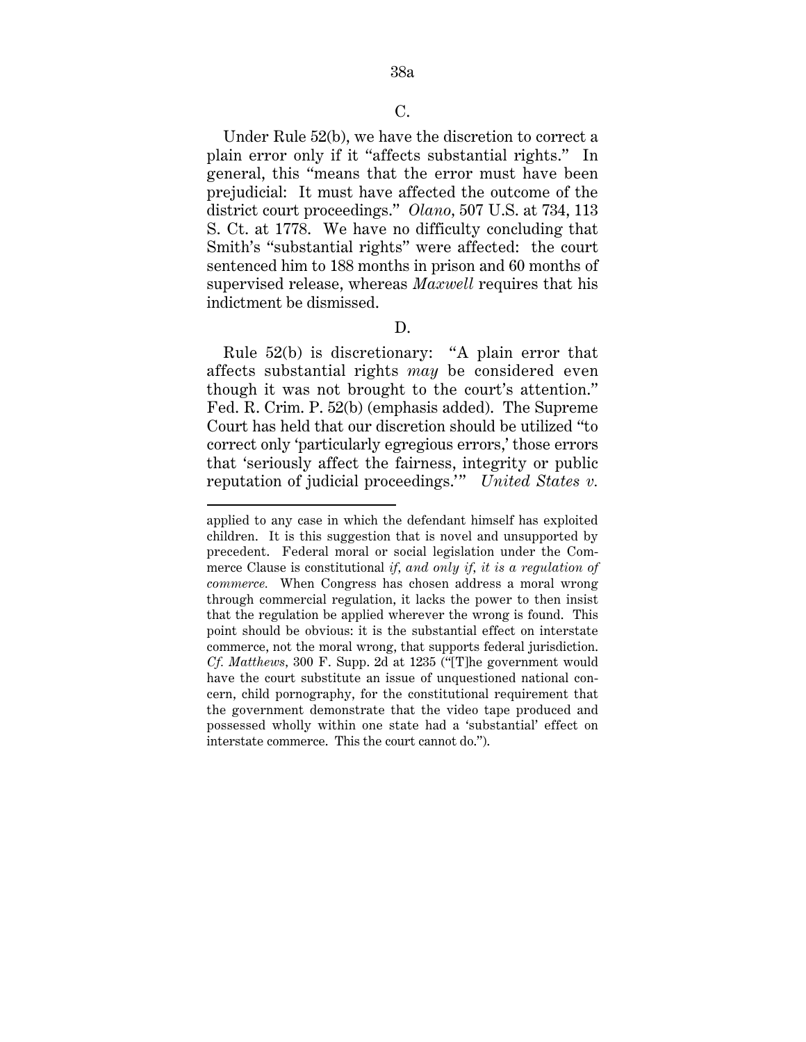Under Rule 52(b), we have the discretion to correct a plain error only if it "affects substantial rights." In general, this "means that the error must have been prejudicial: It must have affected the outcome of the district court proceedings." *Olano,* 507 U.S. at 734, 113 S. Ct. at 1778. We have no difficulty concluding that Smith's "substantial rights" were affected: the court sentenced him to 188 months in prison and 60 months of supervised release, whereas *Maxwell* requires that his indictment be dismissed.

D.

Rule 52(b) is discretionary: "A plain error that affects substantial rights *may* be considered even though it was not brought to the court's attention." Fed. R. Crim. P. 52(b) (emphasis added). The Supreme Court has held that our discretion should be utilized "to correct only 'particularly egregious errors,' those errors that 'seriously affect the fairness, integrity or public reputation of judicial proceedings." United States v.

applied to any case in which the defendant himself has exploited children. It is this suggestion that is novel and unsupported by precedent. Federal moral or social legislation under the Commerce Clause is constitutional *if, and only if, it is a regulation of commerce.* When Congress has chosen address a moral wrong through commercial regulation, it lacks the power to then insist that the regulation be applied wherever the wrong is found. This point should be obvious: it is the substantial effect on interstate commerce, not the moral wrong, that supports federal jurisdiction. *Cf. Matthews,* 300 F. Supp. 2d at 1235 ("[T]he government would have the court substitute an issue of unquestioned national concern, child pornography, for the constitutional requirement that the government demonstrate that the video tape produced and possessed wholly within one state had a 'substantial' effect on interstate commerce. This the court cannot do.").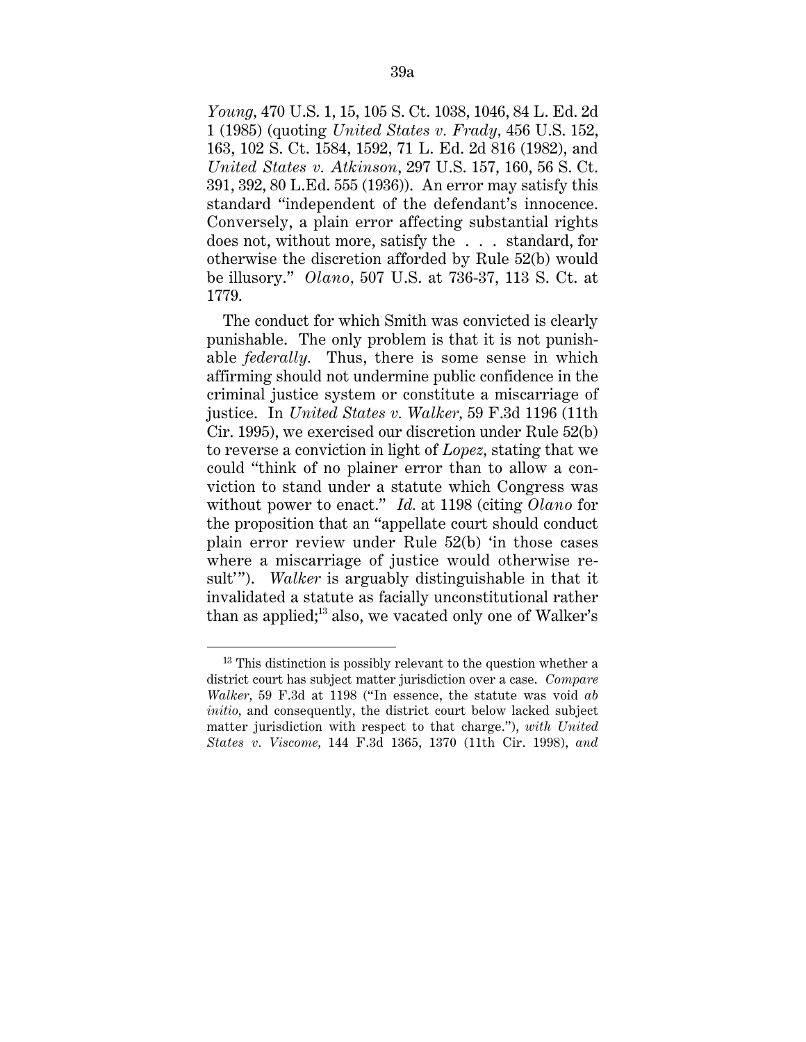*Young,* 470 U.S. 1, 15, 105 S. Ct. 1038, 1046, 84 L. Ed. 2d 1 (1985) (quoting *United States v. Frady,* 456 U.S. 152, 163, 102 S. Ct. 1584, 1592, 71 L. Ed. 2d 816 (1982), and *United States v. Atkinson*, 297 U.S. 157, 160, 56 S. Ct. 391, 392, 80 L.Ed. 555 (1936)). An error may satisfy this standard "independent of the defendant's innocence. Conversely, a plain error affecting substantial rights does not, without more, satisfy the . . . standard, for otherwise the discretion afforded by Rule 52(b) would be illusory." *Olano,* 507 U.S. at 736-37, 113 S. Ct. at 1779.

The conduct for which Smith was convicted is clearly punishable. The only problem is that it is not punishable *federally.* Thus, there is some sense in which affirming should not undermine public confidence in the criminal justice system or constitute a miscarriage of justice. In *United States v. Walker,* 59 F.3d 1196 (11th Cir. 1995), we exercised our discretion under Rule 52(b) to reverse a conviction in light of *Lopez,* stating that we could "think of no plainer error than to allow a conviction to stand under a statute which Congress was without power to enact." *Id.* at 1198 (citing *Olano* for the proposition that an "appellate court should conduct plain error review under Rule 52(b) 'in those cases where a miscarriage of justice would otherwise result'"). *Walker* is arguably distinguishable in that it invalidated a statute as facially unconstitutional rather than as applied; $^{13}$  also, we vacated only one of Walker's

<sup>&</sup>lt;sup>13</sup> This distinction is possibly relevant to the question whether a district court has subject matter jurisdiction over a case. *Compare Walker,* 59 F.3d at 1198 ("In essence, the statute was void *ab initio,* and consequently, the district court below lacked subject matter jurisdiction with respect to that charge."), *with United States v. Viscome,* 144 F.3d 1365, 1370 (11th Cir. 1998), *and*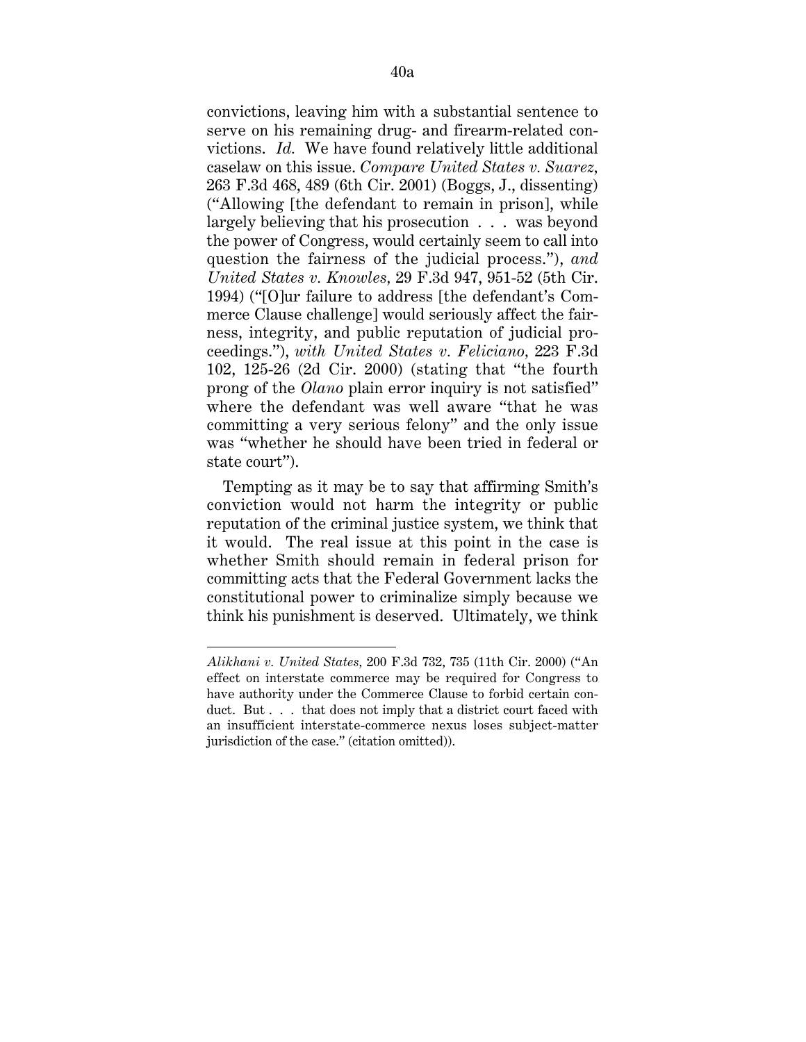convictions, leaving him with a substantial sentence to serve on his remaining drug- and firearm-related convictions. *Id.* We have found relatively little additional caselaw on this issue. *Compare United States v. Suarez,* 263 F.3d 468, 489 (6th Cir. 2001) (Boggs, J., dissenting) ("Allowing [the defendant to remain in prison], while largely believing that his prosecution . . . was beyond the power of Congress, would certainly seem to call into question the fairness of the judicial process."), *and United States v. Knowles,* 29 F.3d 947, 951-52 (5th Cir. 1994) ("[O]ur failure to address [the defendant's Commerce Clause challenge] would seriously affect the fairness, integrity, and public reputation of judicial proceedings."), *with United States v. Feliciano,* 223 F.3d 102, 125-26 (2d Cir. 2000) (stating that "the fourth prong of the *Olano* plain error inquiry is not satisfied" where the defendant was well aware "that he was committing a very serious felony" and the only issue was "whether he should have been tried in federal or state court").

Tempting as it may be to say that affirming Smith's conviction would not harm the integrity or public reputation of the criminal justice system, we think that it would. The real issue at this point in the case is whether Smith should remain in federal prison for committing acts that the Federal Government lacks the constitutional power to criminalize simply because we think his punishment is deserved. Ultimately, we think

 $\overline{a}$ 

*Alikhani v. United States,* 200 F.3d 732, 735 (11th Cir. 2000) ("An effect on interstate commerce may be required for Congress to have authority under the Commerce Clause to forbid certain conduct. But . . . that does not imply that a district court faced with an insufficient interstate-commerce nexus loses subject-matter jurisdiction of the case." (citation omitted)).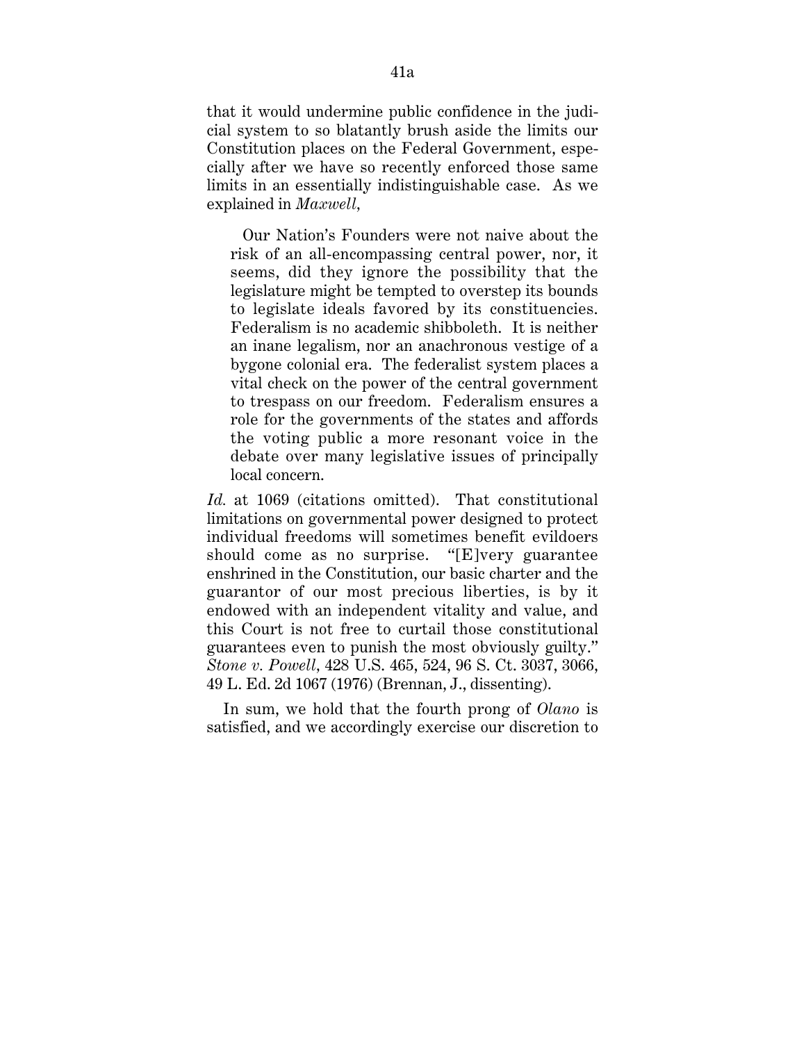that it would undermine public confidence in the judicial system to so blatantly brush aside the limits our Constitution places on the Federal Government, especially after we have so recently enforced those same limits in an essentially indistinguishable case. As we explained in *Maxwell,*

Our Nation's Founders were not naive about the risk of an all-encompassing central power, nor, it seems, did they ignore the possibility that the legislature might be tempted to overstep its bounds to legislate ideals favored by its constituencies. Federalism is no academic shibboleth. It is neither an inane legalism, nor an anachronous vestige of a bygone colonial era. The federalist system places a vital check on the power of the central government to trespass on our freedom. Federalism ensures a role for the governments of the states and affords the voting public a more resonant voice in the debate over many legislative issues of principally local concern.

*Id.* at 1069 (citations omitted). That constitutional limitations on governmental power designed to protect individual freedoms will sometimes benefit evildoers should come as no surprise. "[E]very guarantee enshrined in the Constitution, our basic charter and the guarantor of our most precious liberties, is by it endowed with an independent vitality and value, and this Court is not free to curtail those constitutional guarantees even to punish the most obviously guilty." *Stone v. Powell,* 428 U.S. 465, 524, 96 S. Ct. 3037, 3066, 49 L. Ed. 2d 1067 (1976) (Brennan, J., dissenting).

In sum, we hold that the fourth prong of *Olano* is satisfied, and we accordingly exercise our discretion to